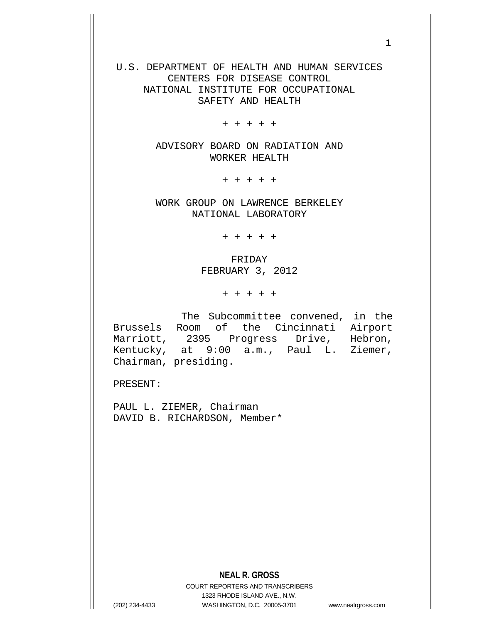U.S. DEPARTMENT OF HEALTH AND HUMAN SERVICES CENTERS FOR DISEASE CONTROL NATIONAL INSTITUTE FOR OCCUPATIONAL SAFETY AND HEALTH

+ + + + +

ADVISORY BOARD ON RADIATION AND WORKER HEALTH

+ + + + +

WORK GROUP ON LAWRENCE BERKELEY NATIONAL LABORATORY

+ + + + +

FRIDAY FEBRUARY 3, 2012

+ + + + +

 The Subcommittee convened, in the Brussels Room of the Cincinnati Airport Marriott, 2395 Progress Drive, Hebron, Kentucky, at 9:00 a.m., Paul L. Ziemer, Chairman, presiding.

PRESENT:

PAUL L. ZIEMER, Chairman DAVID B. RICHARDSON, Member\*

COURT REPORTERS AND TRANSCRIBERS 1323 RHODE ISLAND AVE., N.W. (202) 234-4433 WASHINGTON, D.C. 20005-3701 www.nealrgross.com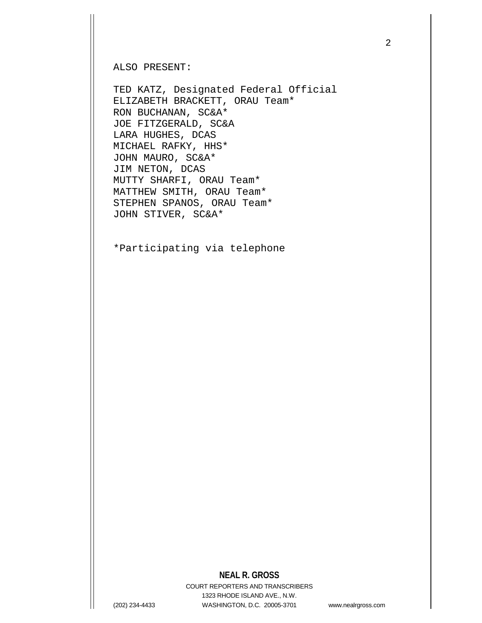ALSO PRESENT:

TED KATZ, Designated Federal Official ELIZABETH BRACKETT, ORAU Team\* RON BUCHANAN, SC&A\* JOE FITZGERALD, SC&A LARA HUGHES, DCAS MICHAEL RAFKY, HHS\* JOHN MAURO, SC&A\* JIM NETON, DCAS MUTTY SHARFI, ORAU Team\* MATTHEW SMITH, ORAU Team\* STEPHEN SPANOS, ORAU Team\* JOHN STIVER, SC&A\*

\*Participating via telephone

## **NEAL R. GROSS**

COURT REPORTERS AND TRANSCRIBERS 1323 RHODE ISLAND AVE., N.W. (202) 234-4433 WASHINGTON, D.C. 20005-3701 www.nealrgross.com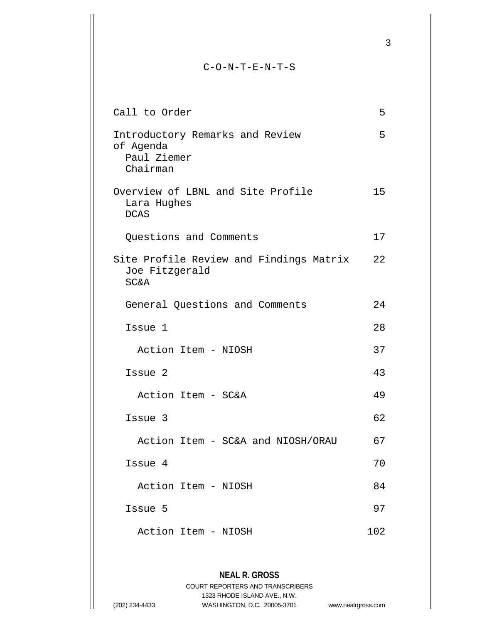## C-O-N-T-E-N-T-S

| Call to Order                                                                | 5   |
|------------------------------------------------------------------------------|-----|
| Introductory Remarks and Review<br>of Agenda<br>Paul Ziemer<br>Chairman      | 5   |
| Overview of LBNL and Site Profile<br>Lara Hughes<br><b>DCAS</b>              | 15  |
| Questions and Comments                                                       | 17  |
| Site Profile Review and Findings Matrix<br>Joe Fitzgerald<br><b>SC&amp;A</b> | 22  |
| General Questions and Comments                                               | 24  |
| Issue 1                                                                      | 28  |
| Action Item - NIOSH                                                          | 37  |
| Issue 2                                                                      | 43  |
| Action Item - SC&A                                                           | 49  |
| Issue 3                                                                      | 62  |
| Action Item - SC&A and NIOSH/ORAU                                            | 67  |
| Issue 4                                                                      | 70  |
| Action Item - NIOSH                                                          | 84  |
| Issue 5                                                                      | 97  |
| Action Item - NIOSH                                                          | 102 |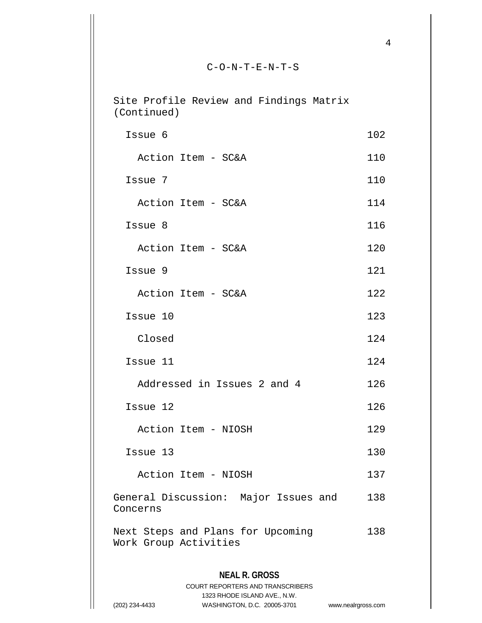## C-O-N-T-E-N-T-S

**NEAL R. GROSS** COURT REPORTERS AND TRANSCRIBERS Site Profile Review and Findings Matrix (Continued) Issue 6 102 Action Item - SC&A 110 Issue 7 110 Action Item - SC&A 114 Issue 8 116 Action Item - SC&A 120 Issue 9 121 Action Item - SC&A 122 Issue 10 123 Closed 124 Issue 11 124 Addressed in Issues 2 and 4 126 Issue 12 126 Action Item - NIOSH 129 **Issue 13** 130 Action Item - NIOSH 137 General Discussion: Major Issues and 138 Concerns Next Steps and Plans for Upcoming 138 Work Group Activities

4

1323 RHODE ISLAND AVE., N.W. (202) 234-4433 WASHINGTON, D.C. 20005-3701 www.nealrgross.com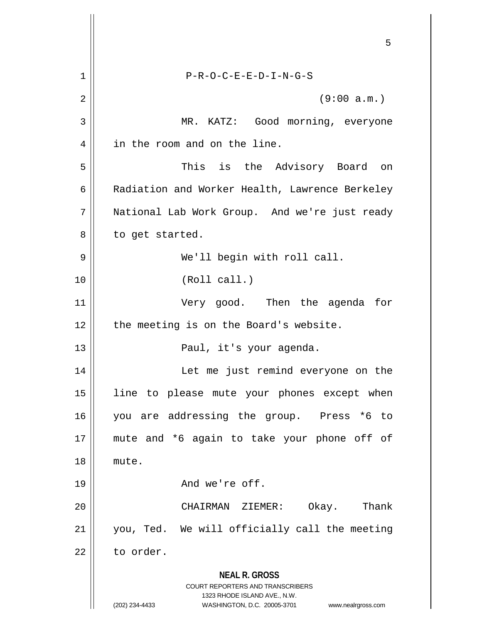|    | 5                                                                                               |
|----|-------------------------------------------------------------------------------------------------|
| 1  | $P-R-O-C-E-E-D-I-N-G-S$                                                                         |
| 2  | (9:00 a.m.)                                                                                     |
| 3  | MR. KATZ: Good morning, everyone                                                                |
| 4  | in the room and on the line.                                                                    |
| 5  | This is the Advisory Board<br>on                                                                |
| 6  | Radiation and Worker Health, Lawrence Berkeley                                                  |
| 7  | National Lab Work Group. And we're just ready                                                   |
| 8  | to get started.                                                                                 |
| 9  | We'll begin with roll call.                                                                     |
| 10 | (Roll call.)                                                                                    |
| 11 | Very good. Then the agenda for                                                                  |
| 12 | the meeting is on the Board's website.                                                          |
| 13 | Paul, it's your agenda.                                                                         |
| 14 | Let me just remind everyone on the                                                              |
| 15 | line to please mute your phones except when                                                     |
| 16 | you are addressing the group. Press<br>*6 to                                                    |
| 17 | mute and *6 again to take your phone off of                                                     |
| 18 | mute.                                                                                           |
| 19 | And we're off.                                                                                  |
| 20 | CHAIRMAN ZIEMER:<br>Okay. Thank                                                                 |
| 21 | you, Ted. We will officially call the meeting                                                   |
| 22 | to order.                                                                                       |
|    | <b>NEAL R. GROSS</b><br><b>COURT REPORTERS AND TRANSCRIBERS</b><br>1323 RHODE ISLAND AVE., N.W. |
|    | (202) 234-4433<br>WASHINGTON, D.C. 20005-3701<br>www.nealrgross.com                             |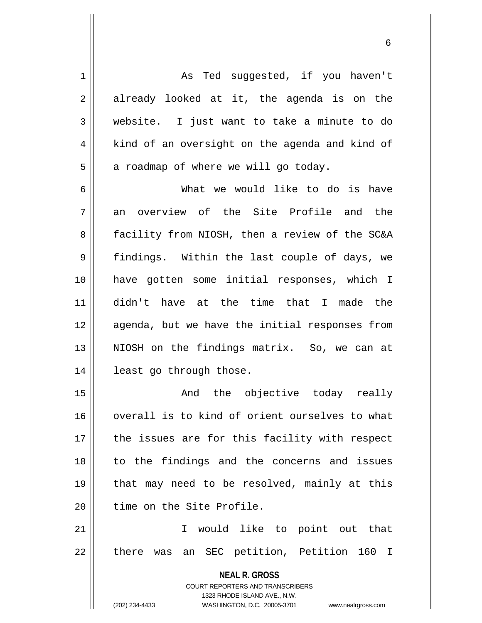1 || As Ted suggested, if you haven't  $2 \parallel$  already looked at it, the agenda is on the 3 website. I just want to take a minute to do  $4 \parallel$  kind of an oversight on the agenda and kind of  $5 \parallel$  a roadmap of where we will go today.

6 What we would like to do is have  $7\parallel$  an overview of the Site Profile and the 8 || facility from NIOSH, then a review of the SC&A 9 || findings. Within the last couple of days, we 10 have gotten some initial responses, which I 11 didn't have at the time that I made the 12 agenda, but we have the initial responses from 13 || NIOSH on the findings matrix. So, we can at 14 least go through those.

15 || The And the objective today really 16 || overall is to kind of orient ourselves to what  $17$  | the issues are for this facility with respect 18 || to the findings and the concerns and issues 19 that may need to be resolved, mainly at this 20 I time on the Site Profile.

21 I would like to point out that 22 || there was an SEC petition, Petition 160 I

> **NEAL R. GROSS** COURT REPORTERS AND TRANSCRIBERS 1323 RHODE ISLAND AVE., N.W. (202) 234-4433 WASHINGTON, D.C. 20005-3701 www.nealrgross.com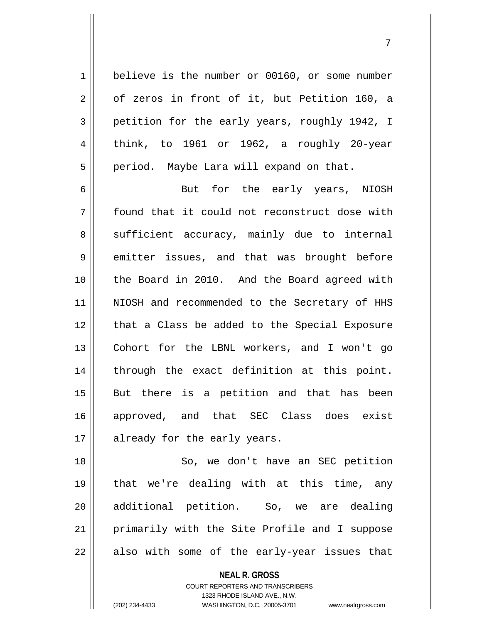1 believe is the number or 00160, or some number  $2 \parallel$  of zeros in front of it, but Petition 160, a 3 petition for the early years, roughly 1942, I  $4 \parallel$  think, to 1961 or 1962, a roughly 20-year 5 | period. Maybe Lara will expand on that.

6 But for the early years, NIOSH 7 found that it could not reconstruct dose with  $8 \parallel$  sufficient accuracy, mainly due to internal 9 emitter issues, and that was brought before 10 the Board in 2010. And the Board agreed with 11 || NIOSH and recommended to the Secretary of HHS 12 || that a Class be added to the Special Exposure 13 Cohort for the LBNL workers, and I won't go 14 || through the exact definition at this point. 15 || But there is a petition and that has been 16 approved, and that SEC Class does exist 17 || already for the early years.

18 || So, we don't have an SEC petition 19 that we're dealing with at this time, any 20 additional petition. So, we are dealing 21 || primarily with the Site Profile and I suppose  $22$  || also with some of the early-year issues that

> **NEAL R. GROSS** COURT REPORTERS AND TRANSCRIBERS 1323 RHODE ISLAND AVE., N.W.

(202) 234-4433 WASHINGTON, D.C. 20005-3701 www.nealrgross.com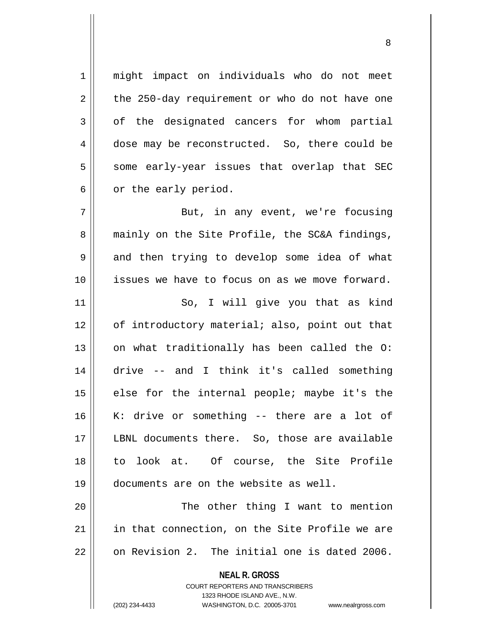**NEAL R. GROSS** COURT REPORTERS AND TRANSCRIBERS 1 || might impact on individuals who do not meet  $2 \parallel$  the 250-day requirement or who do not have one  $3 \parallel$  of the designated cancers for whom partial 4 dose may be reconstructed. So, there could be  $5$  some early-year issues that overlap that SEC  $6 \parallel$  or the early period. 7 || But, in any event, we're focusing 8 || mainly on the Site Profile, the SC&A findings, 9 and then trying to develop some idea of what 10 issues we have to focus on as we move forward. 11 || So, I will give you that as kind 12 || of introductory material; also, point out that  $13$  on what traditionally has been called the O: 14 drive -- and I think it's called something  $15$  || else for the internal people; maybe it's the 16 K: drive or something -- there are a lot of 17 LBNL documents there. So, those are available 18 to look at. Of course, the Site Profile 19 documents are on the website as well. 20 || The other thing I want to mention 21 || in that connection, on the Site Profile we are 22 0 on Revision 2. The initial one is dated 2006.

1323 RHODE ISLAND AVE., N.W.

(202) 234-4433 WASHINGTON, D.C. 20005-3701 www.nealrgross.com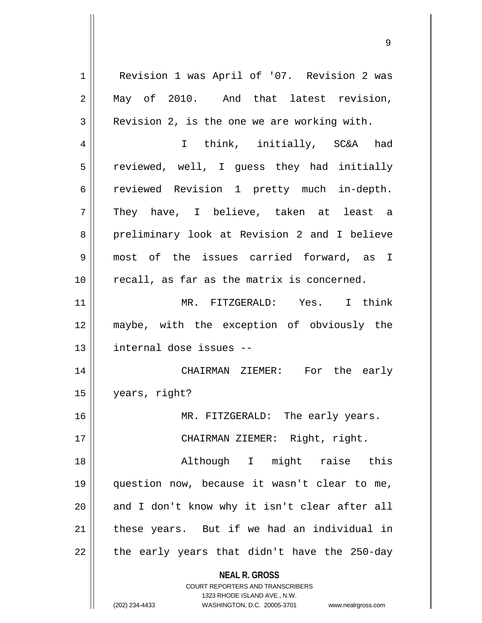**NEAL R. GROSS** COURT REPORTERS AND TRANSCRIBERS 1 | Revision 1 was April of '07. Revision 2 was 2 May of 2010. And that latest revision,  $3 \parallel$  Revision 2, is the one we are working with. 4 || I think, initially, SC&A had 5 || reviewed, well, I guess they had initially 6 reviewed Revision 1 pretty much in-depth.  $7 \parallel$  They have, I believe, taken at least a 8 preliminary look at Revision 2 and I believe 9 most of the issues carried forward, as I 10 || recall, as far as the matrix is concerned. 11 MR. FITZGERALD: Yes. I think 12 maybe, with the exception of obviously the 13 || internal dose issues --14 CHAIRMAN ZIEMER: For the early 15 years, right? 16 || MR. FITZGERALD: The early years. 17 || CHAIRMAN ZIEMER: Right, right. 18 Although I might raise this 19 question now, because it wasn't clear to me, 20 || and I don't know why it isn't clear after all  $21$  | these years. But if we had an individual in  $22$  || the early years that didn't have the 250-day

1323 RHODE ISLAND AVE., N.W.

(202) 234-4433 WASHINGTON, D.C. 20005-3701 www.nealrgross.com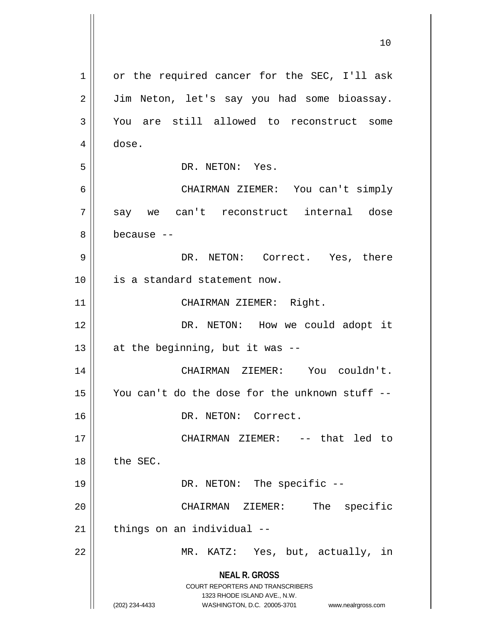|    | 10                                                                                                                                                                     |
|----|------------------------------------------------------------------------------------------------------------------------------------------------------------------------|
| 1  | or the required cancer for the SEC, I'll ask                                                                                                                           |
| 2  | Jim Neton, let's say you had some bioassay.                                                                                                                            |
| 3  | You are still allowed to reconstruct some                                                                                                                              |
| 4  | dose.                                                                                                                                                                  |
| 5  | DR. NETON: Yes.                                                                                                                                                        |
| 6  | CHAIRMAN ZIEMER: You can't simply                                                                                                                                      |
| 7  | say we can't reconstruct internal dose                                                                                                                                 |
| 8  | because --                                                                                                                                                             |
| 9  | DR. NETON: Correct. Yes, there                                                                                                                                         |
| 10 | is a standard statement now.                                                                                                                                           |
| 11 | CHAIRMAN ZIEMER: Right.                                                                                                                                                |
| 12 | DR. NETON: How we could adopt it                                                                                                                                       |
| 13 | at the beginning, but it was --                                                                                                                                        |
| 14 | CHAIRMAN ZIEMER: You couldn't.                                                                                                                                         |
| 15 | You can't do the dose for the unknown stuff                                                                                                                            |
| 16 | DR. NETON: Correct.                                                                                                                                                    |
| 17 | CHAIRMAN ZIEMER: -- that led to                                                                                                                                        |
| 18 | the SEC.                                                                                                                                                               |
| 19 | DR. NETON: The specific --                                                                                                                                             |
| 20 | The specific<br>CHAIRMAN ZIEMER:                                                                                                                                       |
| 21 | things on an individual --                                                                                                                                             |
| 22 | MR. KATZ: Yes, but, actually, in                                                                                                                                       |
|    | <b>NEAL R. GROSS</b><br><b>COURT REPORTERS AND TRANSCRIBERS</b><br>1323 RHODE ISLAND AVE., N.W.<br>WASHINGTON, D.C. 20005-3701<br>(202) 234-4433<br>www.nealrgross.com |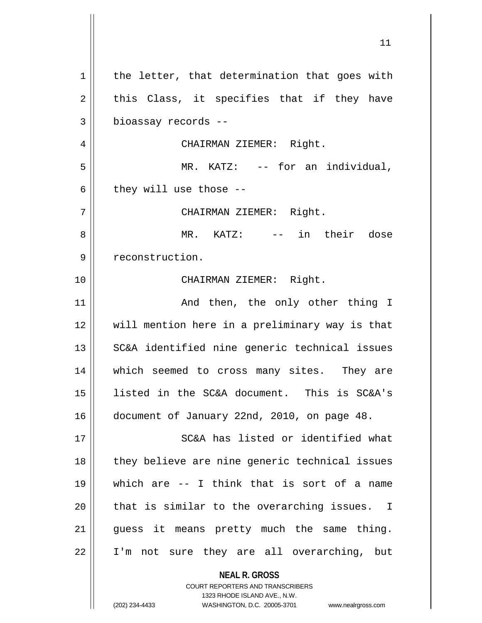**NEAL R. GROSS** COURT REPORTERS AND TRANSCRIBERS  $1$  the letter, that determination that goes with  $2 \parallel$  this Class, it specifies that if they have 3 bioassay records -- 4 CHAIRMAN ZIEMER: Right. 5 MR. KATZ: -- for an individual,  $6$  || they will use those  $-$ 7 CHAIRMAN ZIEMER: Right. 8 MR. KATZ: -- in their dose 9 | reconstruction. 10 CHAIRMAN ZIEMER: Right. 11 || The Mand then, the only other thing I 12 will mention here in a preliminary way is that 13 || SC&A identified nine generic technical issues 14 which seemed to cross many sites. They are 15 listed in the SC&A document. This is SC&A's 16 document of January 22nd, 2010, on page 48. 17 SC&A has listed or identified what 18 || they believe are nine generic technical issues 19 which are -- I think that is sort of a name  $20$  || that is similar to the overarching issues. I 21 || guess it means pretty much the same thing. 22 I'm not sure they are all overarching, but

1323 RHODE ISLAND AVE., N.W.

(202) 234-4433 WASHINGTON, D.C. 20005-3701 www.nealrgross.com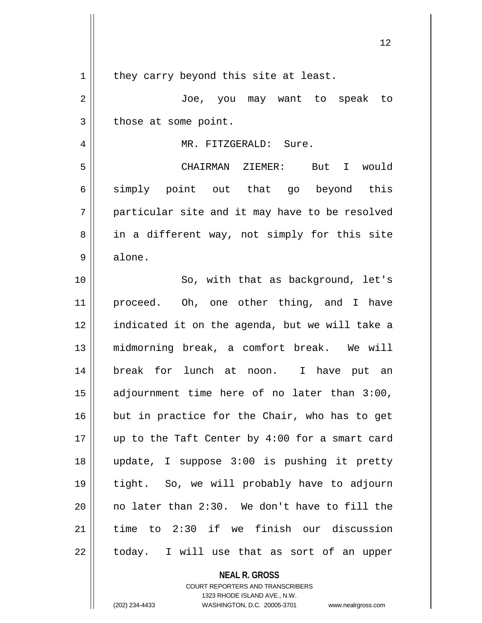| 1  | they carry beyond this site at least.          |
|----|------------------------------------------------|
| 2  | Joe, you may want to speak to                  |
| 3  | those at some point.                           |
| 4  | MR. FITZGERALD: Sure.                          |
| 5  | CHAIRMAN ZIEMER: But I would                   |
| 6  | simply point out that go beyond this           |
| 7  | particular site and it may have to be resolved |
| 8  | in a different way, not simply for this site   |
| 9  | alone.                                         |
| 10 | So, with that as background, let's             |
| 11 | proceed. Oh, one other thing, and I have       |
| 12 | indicated it on the agenda, but we will take a |
| 13 | midmorning break, a comfort break. We will     |
| 14 | break for lunch at noon. I have put an         |
| 15 | adjournment time here of no later than 3:00,   |
| 16 | but in practice for the Chair, who has to get  |
| 17 | up to the Taft Center by 4:00 for a smart card |
| 18 | update, I suppose 3:00 is pushing it pretty    |
| 19 | tight. So, we will probably have to adjourn    |
| 20 | no later than 2:30. We don't have to fill the  |
| 21 | time to 2:30 if we finish our discussion       |
| 22 | today. I will use that as sort of an upper     |
|    |                                                |

**NEAL R. GROSS** COURT REPORTERS AND TRANSCRIBERS 1323 RHODE ISLAND AVE., N.W. (202) 234-4433 WASHINGTON, D.C. 20005-3701 www.nealrgross.com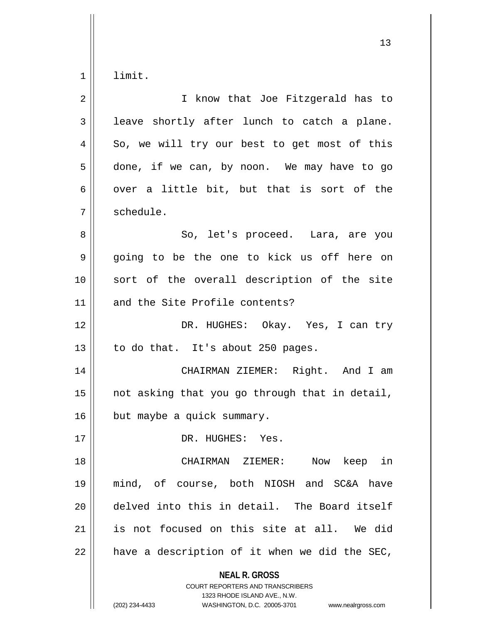$1 \parallel$  limit.

| $\overline{2}$ | I know that Joe Fitzgerald has to                                                                                                                                      |
|----------------|------------------------------------------------------------------------------------------------------------------------------------------------------------------------|
| 3              | leave shortly after lunch to catch a plane.                                                                                                                            |
| 4              | So, we will try our best to get most of this                                                                                                                           |
| 5              | done, if we can, by noon. We may have to go                                                                                                                            |
| 6              | over a little bit, but that is sort of the                                                                                                                             |
| 7              | schedule.                                                                                                                                                              |
| 8              | So, let's proceed. Lara, are you                                                                                                                                       |
| 9              | going to be the one to kick us off here on                                                                                                                             |
| 10             | sort of the overall description of the site                                                                                                                            |
| 11             | and the Site Profile contents?                                                                                                                                         |
| 12             | DR. HUGHES: Okay. Yes, I can try                                                                                                                                       |
| 13             | to do that. It's about 250 pages.                                                                                                                                      |
| 14             | CHAIRMAN ZIEMER: Right. And I am                                                                                                                                       |
| 15             | not asking that you go through that in detail,                                                                                                                         |
| 16             | but maybe a quick summary.                                                                                                                                             |
| 17             | DR. HUGHES: Yes.                                                                                                                                                       |
| 18             | CHAIRMAN ZIEMER:<br>Now keep in                                                                                                                                        |
| 19             | mind, of course, both NIOSH and SC&A have                                                                                                                              |
| 20             | delved into this in detail. The Board itself                                                                                                                           |
| 21             | is not focused on this site at all. We did                                                                                                                             |
| 22             | have a description of it when we did the SEC,                                                                                                                          |
|                | <b>NEAL R. GROSS</b><br><b>COURT REPORTERS AND TRANSCRIBERS</b><br>1323 RHODE ISLAND AVE., N.W.<br>(202) 234-4433<br>WASHINGTON, D.C. 20005-3701<br>www.nealrgross.com |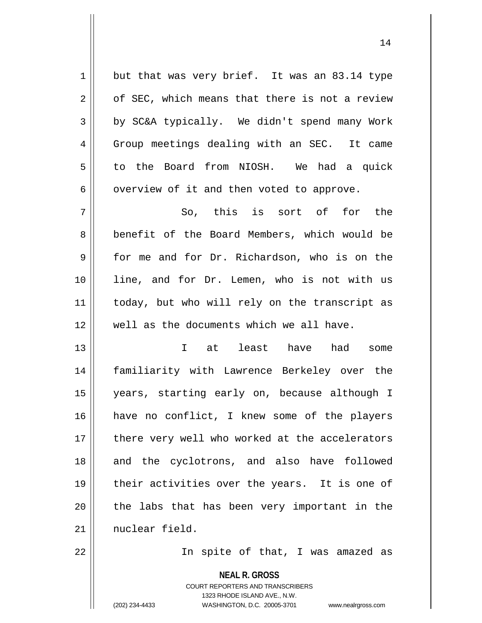$1$  but that was very brief. It was an 83.14 type  $2 \parallel$  of SEC, which means that there is not a review 3 by SC&A typically. We didn't spend many Work 4 Group meetings dealing with an SEC. It came 5 to the Board from NIOSH. We had a quick  $6 \parallel$  overview of it and then voted to approve.  $7 \parallel$  So, this is sort of for the 8 || benefit of the Board Members, which would be 9 for me and for Dr. Richardson, who is on the 10 line, and for Dr. Lemen, who is not with us 11 || today, but who will rely on the transcript as 12 well as the documents which we all have. 13 I at least have had some 14 familiarity with Lawrence Berkeley over the 15 years, starting early on, because although I 16 have no conflict, I knew some of the players

17 || there very well who worked at the accelerators 18 || and the cyclotrons, and also have followed 19 || their activities over the years. It is one of  $20$  || the labs that has been very important in the 21 | nuclear field.

22 || In spite of that, I was amazed as

**NEAL R. GROSS** COURT REPORTERS AND TRANSCRIBERS 1323 RHODE ISLAND AVE., N.W. (202) 234-4433 WASHINGTON, D.C. 20005-3701 www.nealrgross.com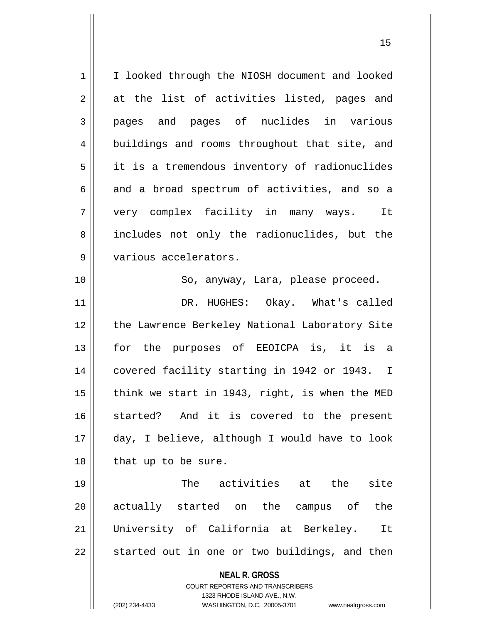**NEAL R. GROSS** COURT REPORTERS AND TRANSCRIBERS 1323 RHODE ISLAND AVE., N.W. (202) 234-4433 WASHINGTON, D.C. 20005-3701 www.nealrgross.com 1 | I looked through the NIOSH document and looked  $2 \parallel$  at the list of activities listed, pages and 3 pages and pages of nuclides in various 4 buildings and rooms throughout that site, and  $5 \parallel$  it is a tremendous inventory of radionuclides  $6 \parallel$  and a broad spectrum of activities, and so a 7 very complex facility in many ways. It 8 || includes not only the radionuclides, but the 9 | various accelerators. 10 || So, anyway, Lara, please proceed. 11 DR. HUGHES: Okay. What's called 12 || the Lawrence Berkeley National Laboratory Site 13 for the purposes of EEOICPA is, it is a 14 || covered facility starting in 1942 or 1943. I 15  $\parallel$  think we start in 1943, right, is when the MED 16 started? And it is covered to the present 17 day, I believe, although I would have to look  $18$  | that up to be sure. 19 The activities at the site 20 || actually started on the campus of the 21 University of California at Berkeley. It  $22 \parallel$  started out in one or two buildings, and then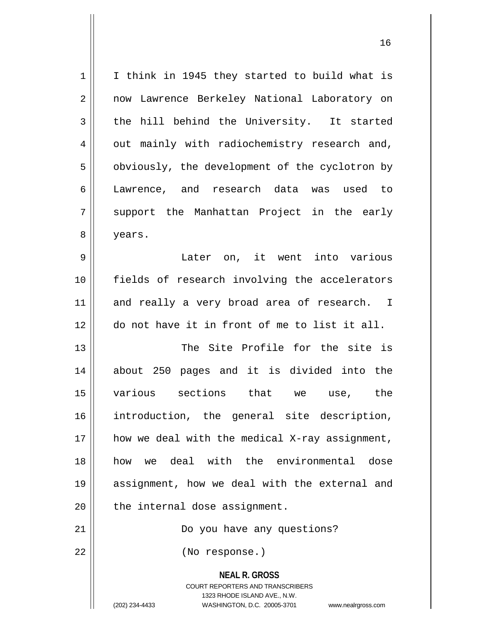| $1\,$          | I think in 1945 they started to build what is                                                                                                                   |
|----------------|-----------------------------------------------------------------------------------------------------------------------------------------------------------------|
| $\overline{2}$ | now Lawrence Berkeley National Laboratory on                                                                                                                    |
| 3              | the hill behind the University. It started                                                                                                                      |
| $\overline{4}$ | out mainly with radiochemistry research and,                                                                                                                    |
| 5              | obviously, the development of the cyclotron by                                                                                                                  |
| 6              | Lawrence, and research data was used to                                                                                                                         |
| 7              | support the Manhattan Project in the early                                                                                                                      |
| 8              | years.                                                                                                                                                          |
| $\mathsf 9$    | Later on, it went into various                                                                                                                                  |
| 10             | fields of research involving the accelerators                                                                                                                   |
| 11             | and really a very broad area of research. I                                                                                                                     |
| 12             | do not have it in front of me to list it all.                                                                                                                   |
| 13             | The Site Profile for the site is                                                                                                                                |
| 14             | about 250 pages and it is divided into the                                                                                                                      |
| 15             | various sections that we<br>use, the                                                                                                                            |
| 16             | introduction, the general site description,                                                                                                                     |
| 17             | how we deal with the medical X-ray assignment,                                                                                                                  |
| 18             | deal with the environmental<br>dose<br>how<br>we                                                                                                                |
| 19             | assignment, how we deal with the external and                                                                                                                   |
| 20             | the internal dose assignment.                                                                                                                                   |
| 21             | Do you have any questions?                                                                                                                                      |
| 22             | (No response.)                                                                                                                                                  |
|                | <b>NEAL R. GROSS</b><br>COURT REPORTERS AND TRANSCRIBERS<br>1323 RHODE ISLAND AVE., N.W.<br>(202) 234-4433<br>WASHINGTON, D.C. 20005-3701<br>www.nealrgross.com |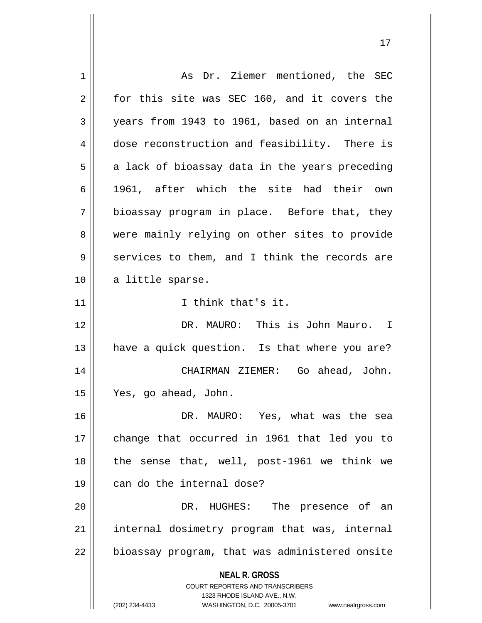**NEAL R. GROSS** COURT REPORTERS AND TRANSCRIBERS 1323 RHODE ISLAND AVE., N.W. (202) 234-4433 WASHINGTON, D.C. 20005-3701 www.nealrgross.com 1 | As Dr. Ziemer mentioned, the SEC  $2 \parallel$  for this site was SEC 160, and it covers the  $3 \parallel$  years from 1943 to 1961, based on an internal 4 dose reconstruction and feasibility. There is  $5 \parallel$  a lack of bioassay data in the years preceding 6  $\parallel$  1961, after which the site had their own  $7 \parallel$  bioassay program in place. Before that, they 8 were mainly relying on other sites to provide  $9 \parallel$  services to them, and I think the records are 10 || a little sparse. 11 || I think that's it. 12 DR. MAURO: This is John Mauro. I 13 || have a quick question. Is that where you are? 14 CHAIRMAN ZIEMER: Go ahead, John. 15 Yes, go ahead, John. 16 DR. MAURO: Yes, what was the sea 17 change that occurred in 1961 that led you to 18  $\parallel$  the sense that, well, post-1961 we think we 19 can do the internal dose? 20 DR. HUGHES: The presence of an 21 || internal dosimetry program that was, internal  $22$  | bioassay program, that was administered onsite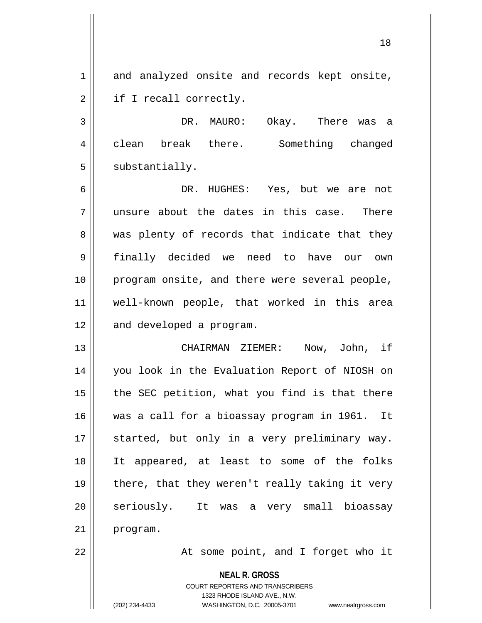1 and analyzed onsite and records kept onsite, 2 | if I recall correctly.

3 DR. MAURO: Okay. There was a 4 clean break there. Something changed  $5 \parallel$  substantially.

6 DR. HUGHES: Yes, but we are not  $7$  || unsure about the dates in this case. There 8 was plenty of records that indicate that they 9 finally decided we need to have our own 10 program onsite, and there were several people, 11 well-known people, that worked in this area 12 | and developed a program.

13 CHAIRMAN ZIEMER: Now, John, if 14 you look in the Evaluation Report of NIOSH on  $15$  || the SEC petition, what you find is that there 16 was a call for a bioassay program in 1961. It 17 || started, but only in a very preliminary way. 18 It appeared, at least to some of the folks 19 || there, that they weren't really taking it very 20 || seriously. It was a very small bioassay 21 program.

22 || The Some point, and I forget who it

**NEAL R. GROSS**

COURT REPORTERS AND TRANSCRIBERS 1323 RHODE ISLAND AVE., N.W. (202) 234-4433 WASHINGTON, D.C. 20005-3701 www.nealrgross.com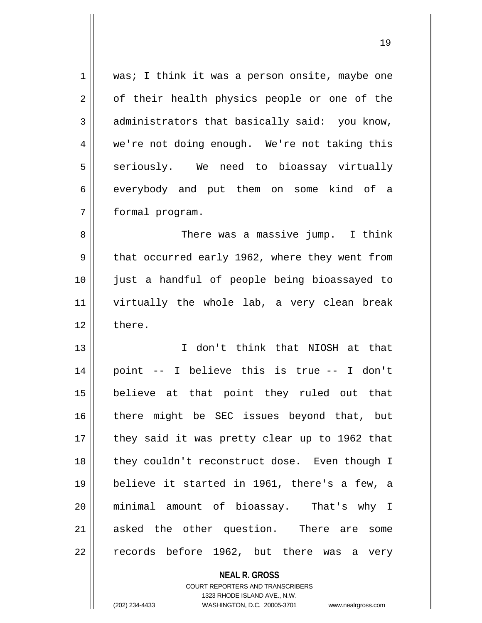| 1  | was; I think it was a person onsite, maybe one  |
|----|-------------------------------------------------|
| 2  | of their health physics people or one of the    |
| 3  | administrators that basically said: you know,   |
| 4  | we're not doing enough. We're not taking this   |
| 5  | seriously. We need to bioassay virtually        |
| 6  | everybody and put them on some kind of a        |
| 7  | formal program.                                 |
| 8  | There was a massive jump. I think               |
| 9  | that occurred early 1962, where they went from  |
| 10 | just a handful of people being bioassayed to    |
| 11 | virtually the whole lab, a very clean break     |
| 12 | there.                                          |
| 13 | I don't think that NIOSH at that                |
| 14 | point -- I believe this is true -- I don't      |
| 15 | believe at that point they ruled out that       |
| 16 | there might be SEC issues beyond that, but      |
| 17 | they said it was pretty clear up to 1962 that   |
| 18 | they couldn't reconstruct dose. Even though I   |
| 19 | believe it started in 1961, there's a few, a    |
| 20 | minimal amount of bioassay. That's why I        |
| 21 | asked the other question. There are some        |
| 22 | records before 1962, but there was<br>very<br>a |

**NEAL R. GROSS** COURT REPORTERS AND TRANSCRIBERS 1323 RHODE ISLAND AVE., N.W. (202) 234-4433 WASHINGTON, D.C. 20005-3701 www.nealrgross.com

 $\mathbf{I}$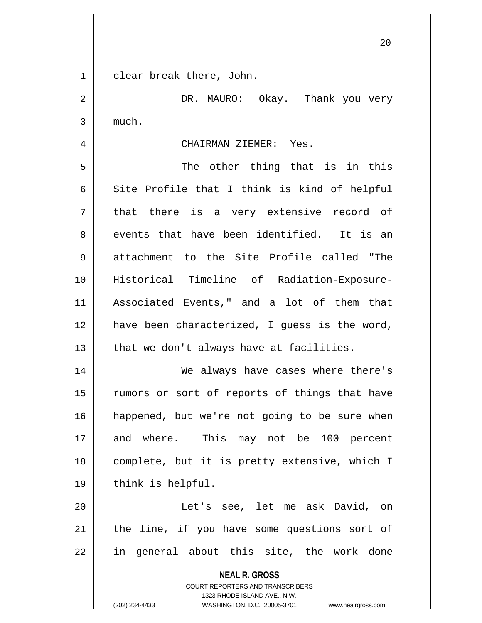1 clear break there, John.

**NEAL R. GROSS** COURT REPORTERS AND TRANSCRIBERS 1323 RHODE ISLAND AVE., N.W. (202) 234-4433 WASHINGTON, D.C. 20005-3701 www.nealrgross.com 2 DR. MAURO: Okay. Thank you very  $3 \parallel$  much. 4 CHAIRMAN ZIEMER: Yes. 5 The other thing that is in this  $6 \parallel$  Site Profile that I think is kind of helpful  $7 \parallel$  that there is a very extensive record of 8 events that have been identified. It is an 9 attachment to the Site Profile called "The 10 Historical Timeline of Radiation-Exposure-11 Associated Events," and a lot of them that 12 have been characterized, I quess is the word,  $13$  || that we don't always have at facilities. 14 We always have cases where there's 15 || rumors or sort of reports of things that have 16 || happened, but we're not going to be sure when 17 and where. This may not be 100 percent 18 complete, but it is pretty extensive, which I 19 || think is helpful. 20 || The Let's see, let me ask David, on  $21$  | the line, if you have some questions sort of  $22$  in general about this site, the work done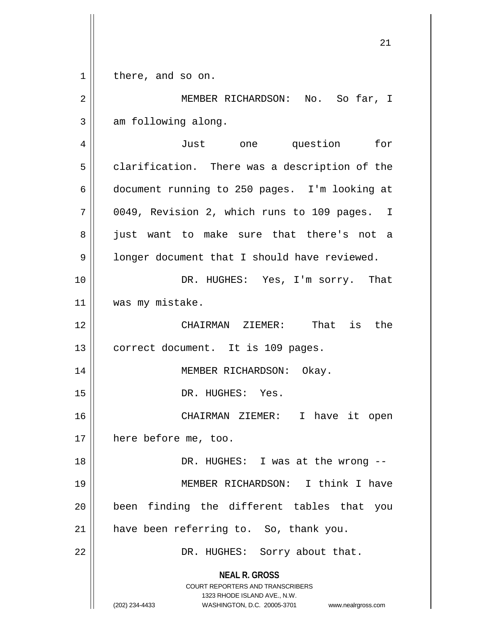**NEAL R. GROSS** COURT REPORTERS AND TRANSCRIBERS 1323 RHODE ISLAND AVE., N.W. (202) 234-4433 WASHINGTON, D.C. 20005-3701 www.nealrgross.com 21 1 || there, and so on. 2 MEMBER RICHARDSON: No. So far, I  $3 \parallel$  am following along. 4 Just one question for  $5 \parallel$  clarification. There was a description of the 6 document running to 250 pages. I'm looking at 7 0049, Revision 2, which runs to 109 pages. I 8 || just want to make sure that there's not a 9 | longer document that I should have reviewed. 10 || DR. HUGHES: Yes, I'm sorry. That 11 | was my mistake. 12 CHAIRMAN ZIEMER: That is the 13 || correct document. It is 109 pages. 14 || MEMBER RICHARDSON: Okay. 15 || DR. HUGHES: Yes. 16 CHAIRMAN ZIEMER: I have it open 17 | here before me, too. 18 || DR. HUGHES: I was at the wrong --19 MEMBER RICHARDSON: I think I have 20 || been finding the different tables that you 21 | have been referring to. So, thank you. 22 || DR. HUGHES: Sorry about that.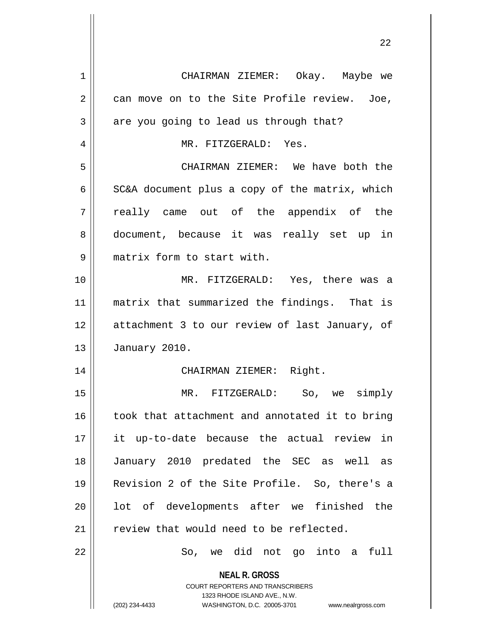| $\mathbf 1$    | CHAIRMAN ZIEMER: Okay. Maybe we                                                                                                                                     |
|----------------|---------------------------------------------------------------------------------------------------------------------------------------------------------------------|
| $\overline{2}$ | can move on to the Site Profile review. Joe,                                                                                                                        |
| 3              | are you going to lead us through that?                                                                                                                              |
| 4              | MR. FITZGERALD: Yes.                                                                                                                                                |
| 5              | CHAIRMAN ZIEMER: We have both the                                                                                                                                   |
| 6              | SC&A document plus a copy of the matrix, which                                                                                                                      |
| 7              | really came out of the appendix of the                                                                                                                              |
| 8              | document, because it was really set up in                                                                                                                           |
| 9              | matrix form to start with.                                                                                                                                          |
| 10             | MR. FITZGERALD: Yes, there was a                                                                                                                                    |
| 11             | matrix that summarized the findings. That is                                                                                                                        |
| 12             | attachment 3 to our review of last January, of                                                                                                                      |
| 13             | January 2010.                                                                                                                                                       |
| 14             | CHAIRMAN ZIEMER: Right.                                                                                                                                             |
| 15             | MR. FITZGERALD: So, we simply                                                                                                                                       |
| 16             | took that attachment and annotated it to bring                                                                                                                      |
| 17             | it up-to-date because the actual review in                                                                                                                          |
| 18             | January 2010 predated the SEC as well as                                                                                                                            |
| 19             | Revision 2 of the Site Profile. So, there's a                                                                                                                       |
| 20             | lot of developments after we finished the                                                                                                                           |
| 21             | review that would need to be reflected.                                                                                                                             |
| 22             | So, we did not go into a<br>full                                                                                                                                    |
|                | <b>NEAL R. GROSS</b><br><b>COURT REPORTERS AND TRANSCRIBERS</b><br>1323 RHODE ISLAND AVE., N.W.<br>(202) 234-4433<br>WASHINGTON, D.C. 20005-3701 www.nealrgross.com |
|                |                                                                                                                                                                     |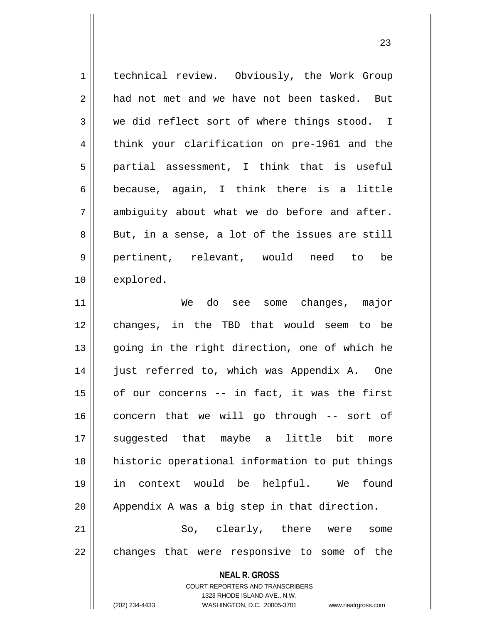| $\mathbf 1$ | technical review. Obviously, the Work Group       |
|-------------|---------------------------------------------------|
| 2           | had not met and we have not been tasked. But      |
| 3           | we did reflect sort of where things stood. I      |
| 4           | think your clarification on pre-1961 and the      |
| 5           | partial assessment, I think that is useful        |
| 6           | because, again, I think there is a little         |
| 7           | ambiguity about what we do before and after.      |
| 8           | But, in a sense, a lot of the issues are still    |
| $\mathsf 9$ | pertinent, relevant, would need to be             |
| 10          | explored.                                         |
| 11          | We do see some changes, major                     |
| 12          | changes, in the TBD that would seem to be         |
| 13          | going in the right direction, one of which he     |
| 14          | just referred to, which was Appendix A. One       |
| 15          | of our concerns -- in fact, it was the first      |
| 16          | concern that we will go through -- sort of        |
| 17          | suggested that maybe a little bit<br>more         |
| 18          | historic operational information to put things    |
| 19          | in context would be helpful. We<br>found          |
| 20          | Appendix A was a big step in that direction.      |
| 21          | So, clearly, there were<br>some                   |
| 22          | changes that were responsive to some of the       |
|             | <b>NEAL R. GROSS</b>                              |
|             | COURT REPORTERS AND TRANSCRIBERS                  |
|             | 1323 RHODE ISLAND AVE., N.W.<br>(202) 234-4433    |
|             | WASHINGTON, D.C. 20005-3701<br>www.nealrgross.com |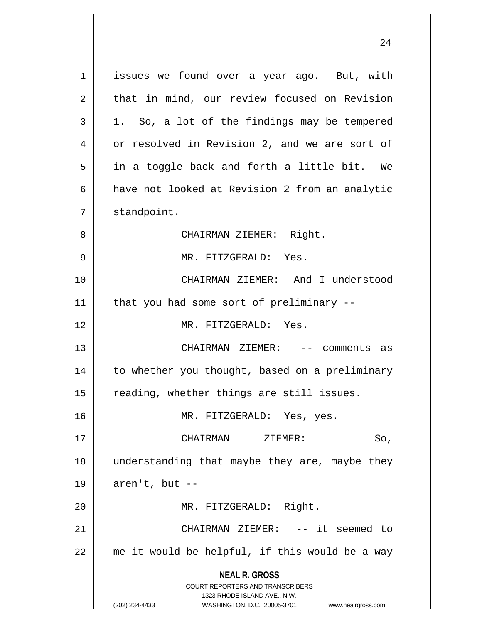**NEAL R. GROSS** COURT REPORTERS AND TRANSCRIBERS 1323 RHODE ISLAND AVE., N.W. (202) 234-4433 WASHINGTON, D.C. 20005-3701 www.nealrgross.com 1 issues we found over a year ago. But, with  $2 \parallel$  that in mind, our review focused on Revision  $3 \parallel 1$ . So, a lot of the findings may be tempered 4 | or resolved in Revision 2, and we are sort of  $5 \parallel$  in a toggle back and forth a little bit. We 6 aak of looked at Revision 2 from an analytic 7 | standpoint. 8 CHAIRMAN ZIEMER: Right. 9 MR. FITZGERALD: Yes. 10 CHAIRMAN ZIEMER: And I understood  $11$  | that you had some sort of preliminary --12 MR. FITZGERALD: Yes. 13 CHAIRMAN ZIEMER: -- comments as 14 || to whether you thought, based on a preliminary 15 || reading, whether things are still issues. 16 || MR. FITZGERALD: Yes, yes. 17 CHAIRMAN ZIEMER: So, 18 understanding that maybe they are, maybe they  $19 \parallel$  aren't, but --20 || MR. FITZGERALD: Right. 21 || CHAIRMAN ZIEMER: -- it seemed to  $22$  || me it would be helpful, if this would be a way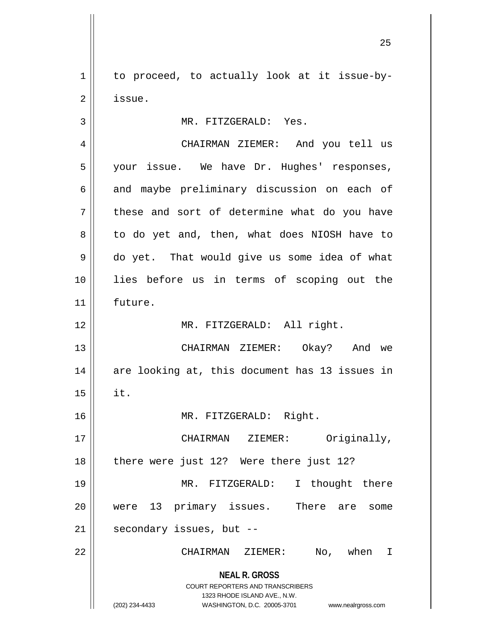$1 \parallel$  to proceed, to actually look at it issue-by-2 | issue.

3 | MR. FITZGERALD: Yes.

**NEAL R. GROSS** COURT REPORTERS AND TRANSCRIBERS 1323 RHODE ISLAND AVE., N.W. (202) 234-4433 WASHINGTON, D.C. 20005-3701 www.nealrgross.com 4 CHAIRMAN ZIEMER: And you tell us 5 || your issue. We have Dr. Hughes' responses,  $6 \parallel$  and maybe preliminary discussion on each of  $7 \parallel$  these and sort of determine what do you have 8 || to do yet and, then, what does NIOSH have to 9 do yet. That would give us some idea of what 10 lies before us in terms of scoping out the 11 future. 12 MR. FITZGERALD: All right. 13 CHAIRMAN ZIEMER: Okay? And we 14 || are looking at, this document has 13 issues in  $15$  || it. 16 MR. FITZGERALD: Right. 17 || CHAIRMAN ZIEMER: Originally, 18 || there were just 12? Were there just 12? 19 || MR. FITZGERALD: I thought there 20 || were 13 primary issues. There are some  $21$  | secondary issues, but --22 CHAIRMAN ZIEMER: No, when I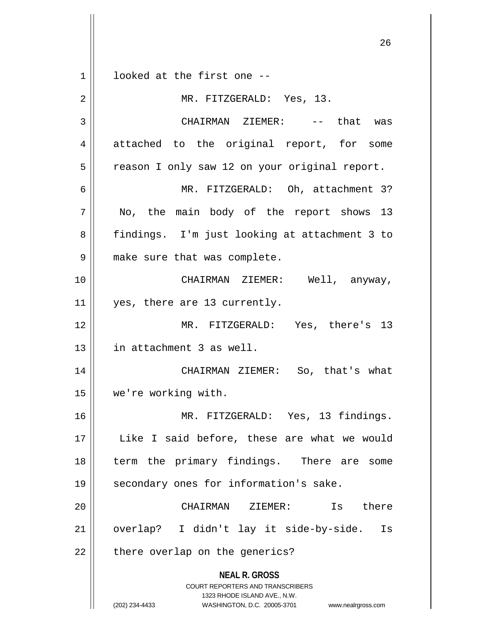**NEAL R. GROSS** COURT REPORTERS AND TRANSCRIBERS 1323 RHODE ISLAND AVE., N.W. (202) 234-4433 WASHINGTON, D.C. 20005-3701 www.nealrgross.com  $1 \parallel$  looked at the first one --2 || MR. FITZGERALD: Yes, 13. 3 CHAIRMAN ZIEMER: -- that was 4 attached to the original report, for some 5 | reason I only saw 12 on your original report. 6 MR. FITZGERALD: Oh, attachment 3? 7 || No, the main body of the report shows 13 8 || findings. I'm just looking at attachment 3 to 9 | make sure that was complete. 10 CHAIRMAN ZIEMER: Well, anyway, 11 | yes, there are 13 currently. 12 MR. FITZGERALD: Yes, there's 13 13 in attachment 3 as well. 14 || CHAIRMAN ZIEMER: So, that's what 15 we're working with. 16 MR. FITZGERALD: Yes, 13 findings. 17 || Like I said before, these are what we would 18 || term the primary findings. There are some 19 || secondary ones for information's sake. 20 CHAIRMAN ZIEMER: Is there 21 overlap? I didn't lay it side-by-side. Is  $22$  | there overlap on the generics?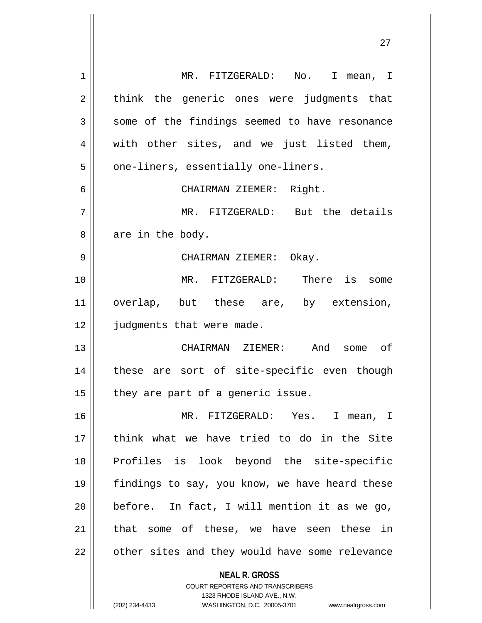| 1  | MR. FITZGERALD: No. I mean, I                                                                                                                                          |
|----|------------------------------------------------------------------------------------------------------------------------------------------------------------------------|
| 2  | think the generic ones were judgments that                                                                                                                             |
| 3  | some of the findings seemed to have resonance                                                                                                                          |
| 4  | with other sites, and we just listed them,                                                                                                                             |
| 5  | one-liners, essentially one-liners.                                                                                                                                    |
| 6  | CHAIRMAN ZIEMER: Right.                                                                                                                                                |
| 7  | MR. FITZGERALD: But the details                                                                                                                                        |
| 8  | are in the body.                                                                                                                                                       |
| 9  | CHAIRMAN ZIEMER: Okay.                                                                                                                                                 |
| 10 | MR. FITZGERALD: There is some                                                                                                                                          |
| 11 | overlap, but these are, by extension,                                                                                                                                  |
| 12 | judgments that were made.                                                                                                                                              |
| 13 | CHAIRMAN ZIEMER: And<br>some of                                                                                                                                        |
| 14 | these are sort of site-specific even though                                                                                                                            |
| 15 | they are part of a generic issue.                                                                                                                                      |
| 16 | MR. FITZGERALD: Yes. I mean, I                                                                                                                                         |
| 17 | think what we have tried to do in the Site                                                                                                                             |
| 18 | Profiles is look beyond the site-specific                                                                                                                              |
| 19 | findings to say, you know, we have heard these                                                                                                                         |
| 20 | before. In fact, I will mention it as we go,                                                                                                                           |
| 21 | that some of these, we have seen these in                                                                                                                              |
| 22 | other sites and they would have some relevance                                                                                                                         |
|    | <b>NEAL R. GROSS</b><br><b>COURT REPORTERS AND TRANSCRIBERS</b><br>1323 RHODE ISLAND AVE., N.W.<br>(202) 234-4433<br>WASHINGTON, D.C. 20005-3701<br>www.nealrgross.com |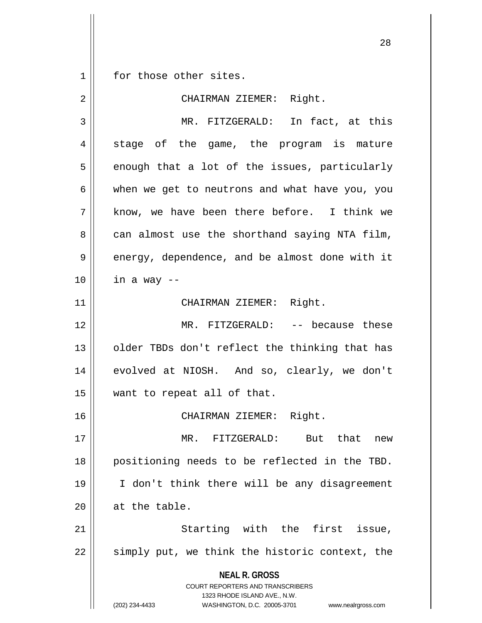$1 \parallel$  for those other sites.

| 2  | CHAIRMAN ZIEMER: Right.                                                                                                                                         |
|----|-----------------------------------------------------------------------------------------------------------------------------------------------------------------|
| 3  | MR. FITZGERALD: In fact, at this                                                                                                                                |
| 4  | stage of the game, the program is mature                                                                                                                        |
| 5  | enough that a lot of the issues, particularly                                                                                                                   |
| 6  | when we get to neutrons and what have you, you                                                                                                                  |
| 7  | know, we have been there before. I think we                                                                                                                     |
| 8  | can almost use the shorthand saying NTA film,                                                                                                                   |
| 9  | energy, dependence, and be almost done with it                                                                                                                  |
| 10 | in a way --                                                                                                                                                     |
| 11 | CHAIRMAN ZIEMER: Right.                                                                                                                                         |
| 12 | MR. FITZGERALD: -- because these                                                                                                                                |
| 13 | older TBDs don't reflect the thinking that has                                                                                                                  |
| 14 | evolved at NIOSH. And so, clearly, we don't                                                                                                                     |
| 15 | want to repeat all of that.                                                                                                                                     |
| 16 | CHAIRMAN ZIEMER: Right.                                                                                                                                         |
| 17 | MR. FITZGERALD: But that new                                                                                                                                    |
| 18 | positioning needs to be reflected in the TBD.                                                                                                                   |
| 19 | I don't think there will be any disagreement                                                                                                                    |
| 20 | at the table.                                                                                                                                                   |
| 21 | Starting with the first issue,                                                                                                                                  |
| 22 | simply put, we think the historic context, the                                                                                                                  |
|    | <b>NEAL R. GROSS</b><br>COURT REPORTERS AND TRANSCRIBERS<br>1323 RHODE ISLAND AVE., N.W.<br>(202) 234-4433<br>WASHINGTON, D.C. 20005-3701<br>www.nealrgross.com |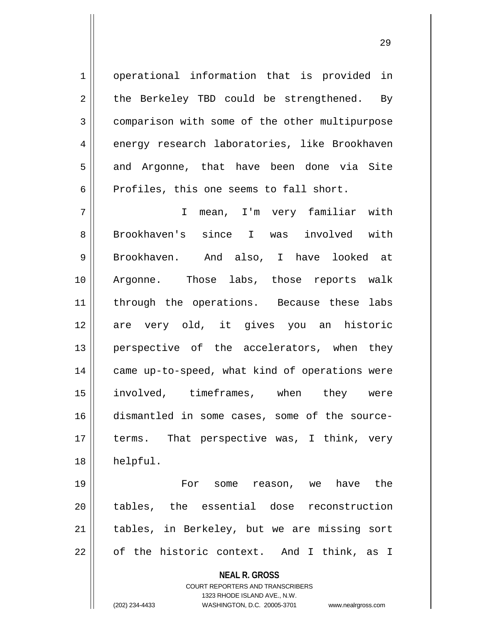1 | operational information that is provided in  $2 \parallel$  the Berkeley TBD could be strengthened. By 3 comparison with some of the other multipurpose 4 energy research laboratories, like Brookhaven 5 and Argonne, that have been done via Site  $6$  Profiles, this one seems to fall short.

7 I mean, I'm very familiar with 8 Brookhaven's since I was involved with 9 || Brookhaven. And also, I have looked at 10 Argonne. Those labs, those reports walk 11 || through the operations. Because these labs 12 || are very old, it gives you an historic 13 || perspective of the accelerators, when they 14 || came up-to-speed, what kind of operations were 15 involved, timeframes, when they were 16 dismantled in some cases, some of the source-17 || terms. That perspective was, I think, very 18 helpful.

19 For some reason, we have the 20 || tables, the essential dose reconstruction 21 || tables, in Berkeley, but we are missing sort  $22 \parallel$  of the historic context. And I think, as I

> **NEAL R. GROSS** COURT REPORTERS AND TRANSCRIBERS

1323 RHODE ISLAND AVE., N.W. (202) 234-4433 WASHINGTON, D.C. 20005-3701 www.nealrgross.com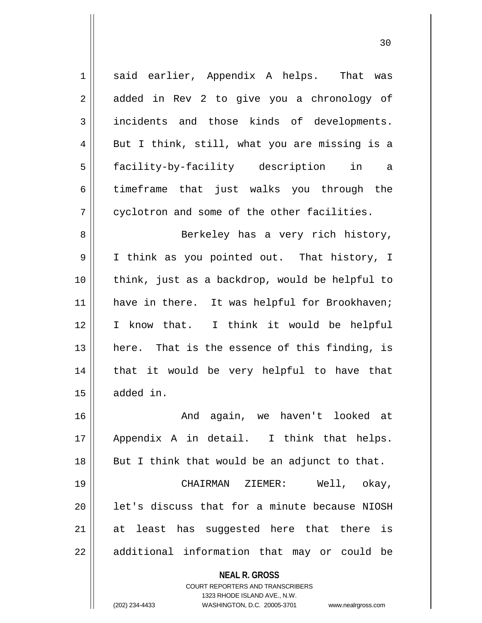| $\mathbf 1$  | said earlier, Appendix A helps. That was                                                                                                                               |
|--------------|------------------------------------------------------------------------------------------------------------------------------------------------------------------------|
| 2            | added in Rev 2 to give you a chronology of                                                                                                                             |
| $\mathbf{3}$ | incidents and those kinds of developments.                                                                                                                             |
| 4            | But I think, still, what you are missing is a                                                                                                                          |
| 5            | facility-by-facility description in<br>а                                                                                                                               |
| 6            | timeframe that just walks you through the                                                                                                                              |
| 7            | cyclotron and some of the other facilities.                                                                                                                            |
| 8            | Berkeley has a very rich history,                                                                                                                                      |
| 9            | I think as you pointed out. That history, I                                                                                                                            |
| 10           | think, just as a backdrop, would be helpful to                                                                                                                         |
| 11           | have in there. It was helpful for Brookhaven;                                                                                                                          |
| 12           | I know that. I think it would be helpful                                                                                                                               |
| 13           | here. That is the essence of this finding, is                                                                                                                          |
| 14           | that it would be very helpful to have that                                                                                                                             |
| 15           | added in.                                                                                                                                                              |
| 16           | And again, we haven't looked at                                                                                                                                        |
| 17           | Appendix A in detail. I think that helps.                                                                                                                              |
| 18           | But I think that would be an adjunct to that.                                                                                                                          |
| 19           | CHAIRMAN ZIEMER:<br>Well, okay,                                                                                                                                        |
| 20           | let's discuss that for a minute because NIOSH                                                                                                                          |
| 21           | at least has suggested here that there is                                                                                                                              |
| 22           | additional information that may or could be                                                                                                                            |
|              | <b>NEAL R. GROSS</b><br><b>COURT REPORTERS AND TRANSCRIBERS</b><br>1323 RHODE ISLAND AVE., N.W.<br>(202) 234-4433<br>WASHINGTON, D.C. 20005-3701<br>www.nealrgross.com |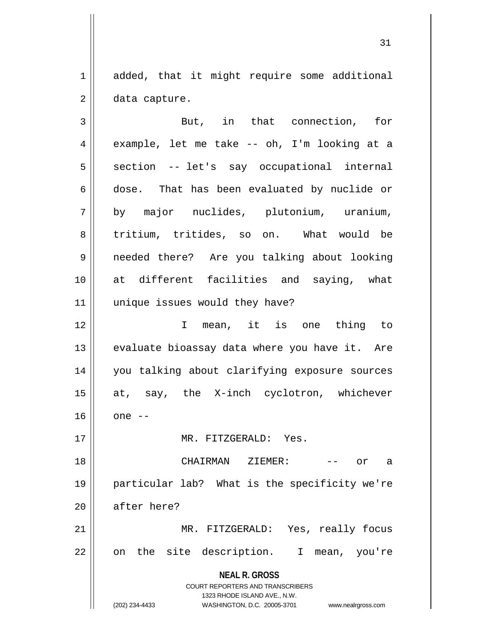1 added, that it might require some additional  $2 \parallel$  data capture.

**NEAL R. GROSS** COURT REPORTERS AND TRANSCRIBERS 1323 RHODE ISLAND AVE., N.W. (202) 234-4433 WASHINGTON, D.C. 20005-3701 www.nealrgross.com 3 || But, in that connection, for  $4 \parallel$  example, let me take -- oh, I'm looking at a  $5 \parallel$  section -- let's say occupational internal  $6 \parallel$  dose. That has been evaluated by nuclide or 7 by major nuclides, plutonium, uranium, 8 tritium, tritides, so on. What would be 9 needed there? Are you talking about looking 10 at different facilities and saying, what 11 || unique issues would they have? 12 I mean, it is one thing to 13  $\parallel$  evaluate bioassay data where you have it. Are 14 you talking about clarifying exposure sources 15 || at, say, the X-inch cyclotron, whichever  $16 \parallel$  one  $-$ 17 MR. FITZGERALD: Yes. 18 CHAIRMAN ZIEMER: -- or a 19 particular lab? What is the specificity we're 20 || after here? 21 MR. FITZGERALD: Yes, really focus 22 || on the site description. I mean, you're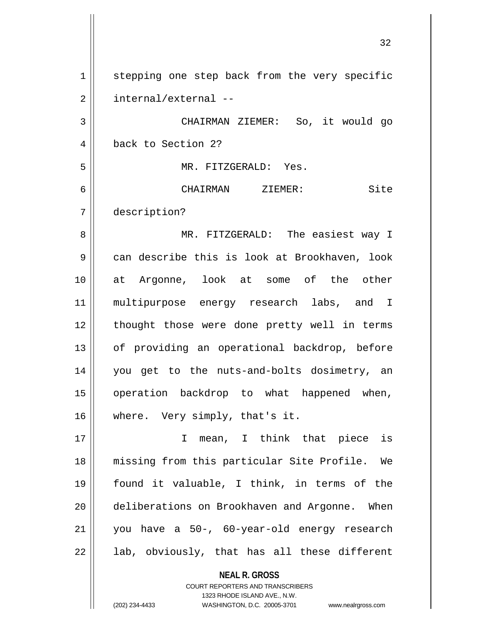**NEAL R. GROSS** COURT REPORTERS AND TRANSCRIBERS 1 | stepping one step back from the very specific 2 | internal/external --3 CHAIRMAN ZIEMER: So, it would go 4 back to Section 2? 5 MR. FITZGERALD: Yes. 6 CHAIRMAN ZIEMER: Site 7 description? 8 MR. FITZGERALD: The easiest way I 9 can describe this is look at Brookhaven, look 10 at Argonne, look at some of the other 11 || multipurpose energy research labs, and I 12 || thought those were done pretty well in terms 13 || of providing an operational backdrop, before 14 you get to the nuts-and-bolts dosimetry, an 15 || operation backdrop to what happened when, 16 || where. Very simply, that's it. 17 I mean, I think that piece is 18 missing from this particular Site Profile. We 19 found it valuable, I think, in terms of the 20 deliberations on Brookhaven and Argonne. When 21 you have a 50-, 60-year-old energy research  $22 \parallel$  lab, obviously, that has all these different

1323 RHODE ISLAND AVE., N.W.

(202) 234-4433 WASHINGTON, D.C. 20005-3701 www.nealrgross.com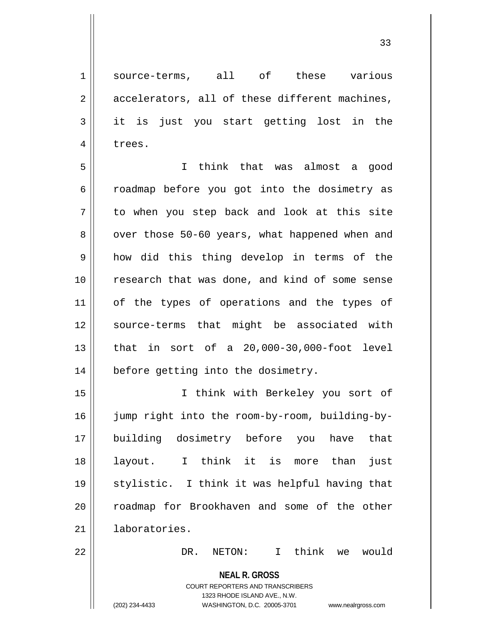1 || source-terms, all of these various  $2 \parallel$  accelerators, all of these different machines, 3 it is just you start getting lost in the 4 | trees.

5 I think that was almost a good 6 coadmap before you got into the dosimetry as 7 to when you step back and look at this site 8 | over those 50-60 years, what happened when and 9 how did this thing develop in terms of the 10 || research that was done, and kind of some sense 11 || of the types of operations and the types of 12 || source-terms that might be associated with 13 that in sort of a 20,000-30,000-foot level 14 | before getting into the dosimetry.

15 I think with Berkeley you sort of 16 || jump right into the room-by-room, building-by-17 building dosimetry before you have that 18 layout. I think it is more than just 19 stylistic. I think it was helpful having that 20 || roadmap for Brookhaven and some of the other 21 laboratories.

22 DR. NETON: I think we would

**NEAL R. GROSS** COURT REPORTERS AND TRANSCRIBERS

1323 RHODE ISLAND AVE., N.W.

(202) 234-4433 WASHINGTON, D.C. 20005-3701 www.nealrgross.com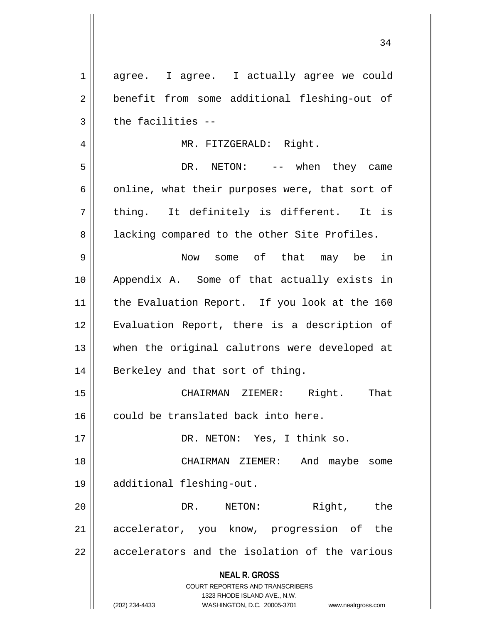| $\mathbf 1$ | agree. I agree. I actually agree we could                           |
|-------------|---------------------------------------------------------------------|
| 2           | benefit from some additional fleshing-out of                        |
| 3           | the facilities --                                                   |
| 4           | MR. FITZGERALD: Right.                                              |
| 5           | DR. NETON: -- when they came                                        |
| 6           | online, what their purposes were, that sort of                      |
| 7           | thing. It definitely is different. It is                            |
| 8           | lacking compared to the other Site Profiles.                        |
| 9           | Now some of that may be in                                          |
| 10          | Appendix A. Some of that actually exists in                         |
| 11          | the Evaluation Report. If you look at the 160                       |
| 12          | Evaluation Report, there is a description of                        |
| 13          |                                                                     |
|             | when the original calutrons were developed at                       |
| 14          | Berkeley and that sort of thing.                                    |
| 15          | That<br>CHAIRMAN ZIEMER: Right.                                     |
| 16          | could be translated back into here.                                 |
| 17          | DR. NETON: Yes, I think so.                                         |
| 18          | And maybe<br>CHAIRMAN ZIEMER:<br>some                               |
| 19          | additional fleshing-out.                                            |
| 20          | Right, the<br>DR. NETON:                                            |
| 21          | accelerator, you know, progression of the                           |
| 22          | accelerators and the isolation of the various                       |
|             | <b>NEAL R. GROSS</b>                                                |
|             | <b>COURT REPORTERS AND TRANSCRIBERS</b>                             |
|             | 1323 RHODE ISLAND AVE., N.W.                                        |
|             | (202) 234-4433<br>WASHINGTON, D.C. 20005-3701<br>www.nealrgross.com |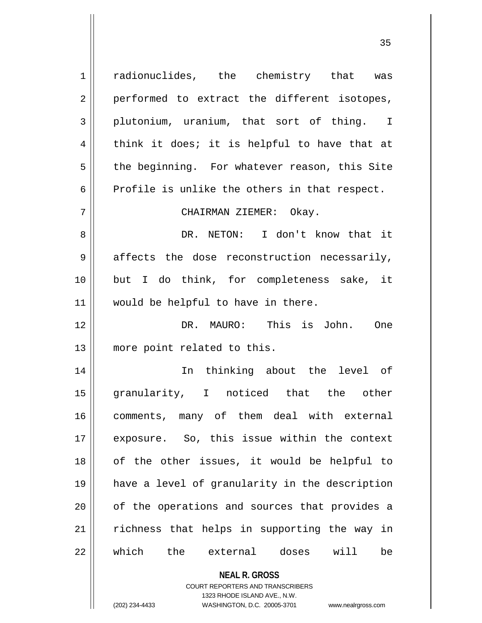**NEAL R. GROSS** 1 || radionuclides, the chemistry that was  $2 \parallel$  performed to extract the different isotopes, 3 plutonium, uranium, that sort of thing. I  $4 \parallel$  think it does; it is helpful to have that at  $5 \parallel$  the beginning. For whatever reason, this Site  $6 \parallel$  Profile is unlike the others in that respect. 7 CHAIRMAN ZIEMER: Okay. 8 DR. NETON: I don't know that it  $9 \parallel$  affects the dose reconstruction necessarily, 10 but I do think, for completeness sake, it 11 || would be helpful to have in there. 12 DR. MAURO: This is John. One 13 || more point related to this. 14 In thinking about the level of 15 granularity, I noticed that the other 16 comments, many of them deal with external 17 exposure. So, this issue within the context 18 || of the other issues, it would be helpful to 19 have a level of granularity in the description  $20$  || of the operations and sources that provides a  $21$  richness that helps in supporting the way in 22 which the external doses will be

> COURT REPORTERS AND TRANSCRIBERS 1323 RHODE ISLAND AVE., N.W.

(202) 234-4433 WASHINGTON, D.C. 20005-3701 www.nealrgross.com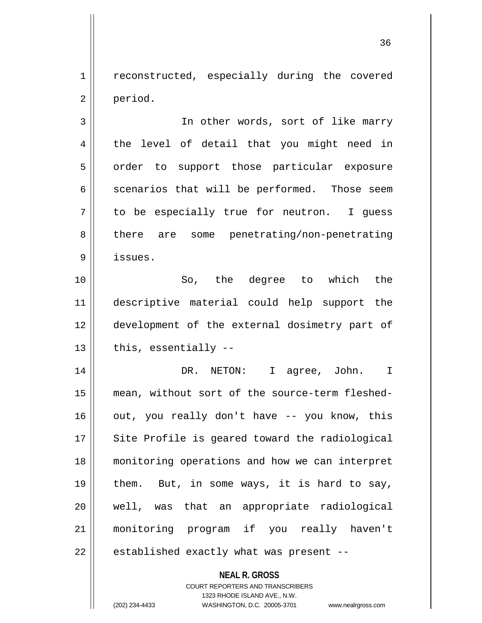1 || reconstructed, especially during the covered 2 period.

3 || In other words, sort of like marry 4 || the level of detail that you might need in 5 | order to support those particular exposure  $6 \parallel$  scenarios that will be performed. Those seem  $7 \parallel$  to be especially true for neutron. I quess 8 || there are some penetrating/non-penetrating 9 issues.

10 So, the degree to which the 11 descriptive material could help support the 12 development of the external dosimetry part of  $13$  | this, essentially  $-$ 

14 DR. NETON: I agree, John. I 15 mean, without sort of the source-term fleshed- $16$  | out, you really don't have  $-$ - you know, this  $17$   $\parallel$  Site Profile is geared toward the radiological 18 monitoring operations and how we can interpret 19  $\parallel$  them. But, in some ways, it is hard to say, 20 || well, was that an appropriate radiological 21 monitoring program if you really haven't  $22$  | established exactly what was present --

> **NEAL R. GROSS** COURT REPORTERS AND TRANSCRIBERS

> > 1323 RHODE ISLAND AVE., N.W.

(202) 234-4433 WASHINGTON, D.C. 20005-3701 www.nealrgross.com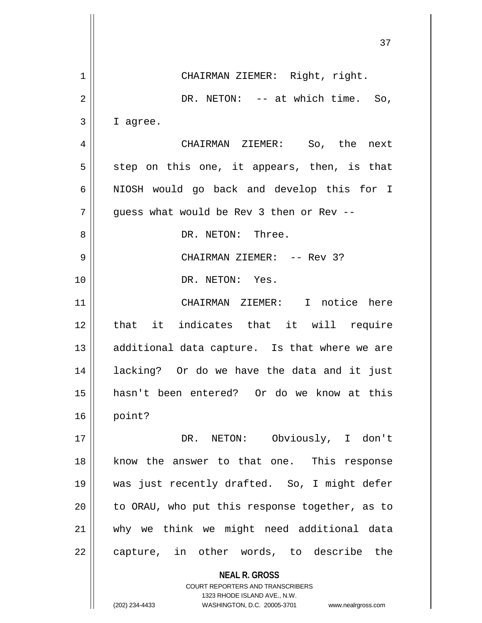|    | 37                                             |
|----|------------------------------------------------|
| 1  | CHAIRMAN ZIEMER: Right, right.                 |
| 2  | DR. NETON: -- at which time. So,               |
| 3  | I agree.                                       |
| 4  | CHAIRMAN ZIEMER: So, the next                  |
| 5  | step on this one, it appears, then, is that    |
| 6  | NIOSH would go back and develop this for I     |
| 7  | guess what would be Rev 3 then or Rev --       |
| 8  | DR. NETON: Three.                              |
| 9  | CHAIRMAN ZIEMER: -- Rev 3?                     |
| 10 | DR. NETON: Yes.                                |
|    |                                                |
| 11 | CHAIRMAN ZIEMER: I notice here                 |
| 12 | that it indicates that it will require         |
| 13 | additional data capture. Is that where we are  |
| 14 | lacking? Or do we have the data and it just    |
| 15 | hasn't been entered? Or do we know at this     |
| 16 | point?                                         |
| 17 | DR. NETON: Obviously, I don't                  |
| 18 | know the answer to that one. This response     |
| 19 | was just recently drafted. So, I might defer   |
| 20 | to ORAU, who put this response together, as to |
| 21 | why we think we might need additional data     |
| 22 | capture, in other words, to describe the       |
|    | <b>NEAL R. GROSS</b>                           |
|    |                                                |

COURT REPORTERS AND TRANSCRIBERS 1323 RHODE ISLAND AVE., N.W.

(202) 234-4433 WASHINGTON, D.C. 20005-3701 www.nealrgross.com

 $\mathsf{II}$ 

 $\overline{\mathsf{I}}$  $\mathsf{l}$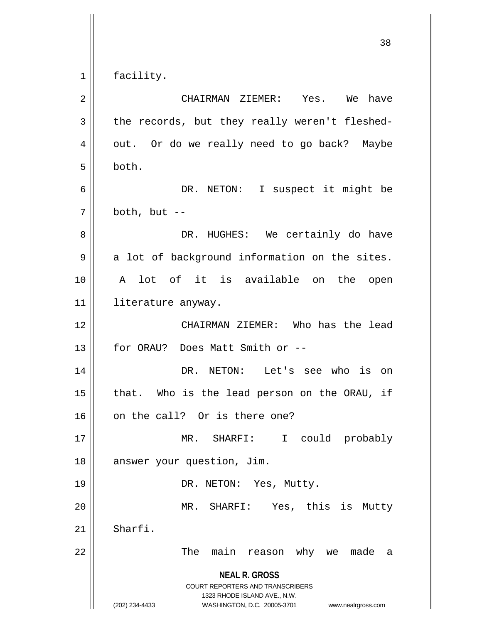$1 \parallel$  facility.

| $\overline{2}$ | CHAIRMAN ZIEMER: Yes. We<br>have                                                                                                                                       |
|----------------|------------------------------------------------------------------------------------------------------------------------------------------------------------------------|
| 3              | the records, but they really weren't fleshed-                                                                                                                          |
| 4              | out. Or do we really need to go back? Maybe                                                                                                                            |
| 5              | both.                                                                                                                                                                  |
| 6              | DR. NETON: I suspect it might be                                                                                                                                       |
| 7              | both, but $--$                                                                                                                                                         |
| 8              | DR. HUGHES: We certainly do have                                                                                                                                       |
| 9              | a lot of background information on the sites.                                                                                                                          |
| 10             | A lot of it is available on the open                                                                                                                                   |
| 11             | literature anyway.                                                                                                                                                     |
| 12             | CHAIRMAN ZIEMER: Who has the lead                                                                                                                                      |
| 13             | for ORAU? Does Matt Smith or --                                                                                                                                        |
| 14             | DR. NETON: Let's see who is on                                                                                                                                         |
| 15             | that. Who is the lead person on the ORAU, if                                                                                                                           |
| 16             | on the call? Or is there one?                                                                                                                                          |
| 17             | MR. SHARFI:<br>I could probably                                                                                                                                        |
| 18             | answer your question, Jim.                                                                                                                                             |
| 19             | DR. NETON: Yes, Mutty.                                                                                                                                                 |
| 20             | MR. SHARFI: Yes, this is Mutty                                                                                                                                         |
| 21             | Sharfi.                                                                                                                                                                |
| 22             | The<br>main<br>reason why we made<br>a                                                                                                                                 |
|                | <b>NEAL R. GROSS</b><br><b>COURT REPORTERS AND TRANSCRIBERS</b><br>1323 RHODE ISLAND AVE., N.W.<br>WASHINGTON, D.C. 20005-3701<br>(202) 234-4433<br>www.nealrgross.com |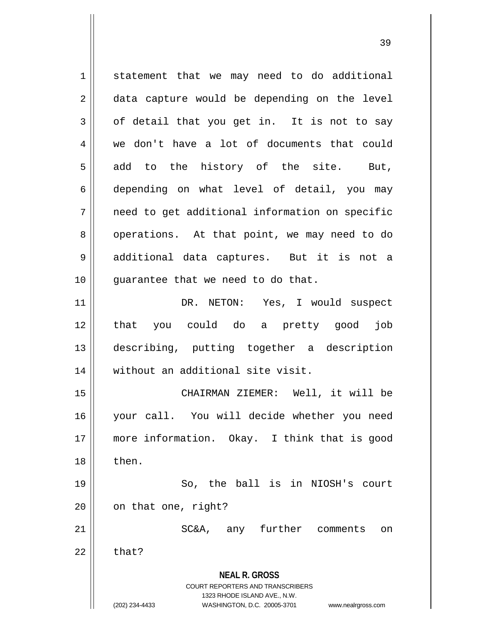**NEAL R. GROSS** COURT REPORTERS AND TRANSCRIBERS 1323 RHODE ISLAND AVE., N.W. (202) 234-4433 WASHINGTON, D.C. 20005-3701 www.nealrgross.com 1 statement that we may need to do additional 2 || data capture would be depending on the level  $3 \parallel$  of detail that you get in. It is not to say 4 we don't have a lot of documents that could  $5 \parallel$  add to the history of the site. But, 6 depending on what level of detail, you may  $7 \parallel$  need to get additional information on specific 8 || operations. At that point, we may need to do 9 || additional data captures. But it is not a 10 || quarantee that we need to do that. 11 || DR. NETON: Yes, I would suspect 12 that you could do a pretty good job 13 describing, putting together a description 14 || without an additional site visit. 15 CHAIRMAN ZIEMER: Well, it will be 16 your call. You will decide whether you need 17 more information. Okay. I think that is good  $18 \parallel$  then. 19 || So, the ball is in NIOSH's court  $20$  |  $\circ$  on that one, right? 21 SC&A, any further comments on  $22 \parallel$  that?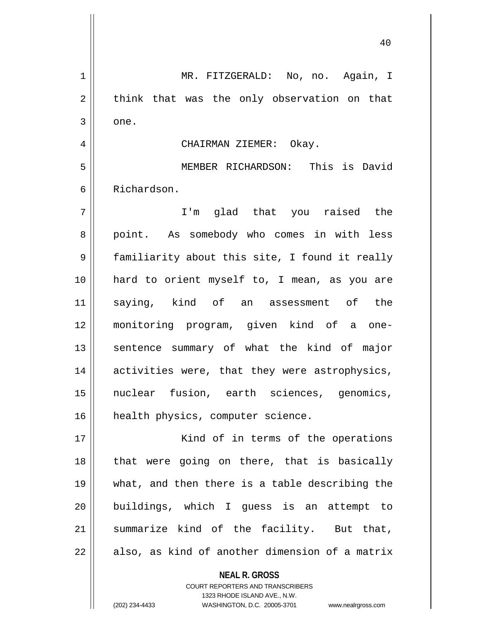1 MR. FITZGERALD: No, no. Again, I  $2 \parallel$  think that was the only observation on that  $3 \parallel$  one. 4 CHAIRMAN ZIEMER: Okay. 5 MEMBER RICHARDSON: This is David 6 Richardson. 7 I'm glad that you raised the 8 || point. As somebody who comes in with less 9 || familiarity about this site, I found it really 10 hard to orient myself to, I mean, as you are 11 saying, kind of an assessment of the 12 monitoring program, given kind of a one-13 || sentence summary of what the kind of major 14 || activities were, that they were astrophysics, 15 nuclear fusion, earth sciences, genomics, 16 | health physics, computer science. 17 || Kind of in terms of the operations  $18$  || that were going on there, that is basically 19 what, and then there is a table describing the 20 buildings, which I guess is an attempt to  $21$  summarize kind of the facility. But that,  $22$  || also, as kind of another dimension of a matrix

> **NEAL R. GROSS** COURT REPORTERS AND TRANSCRIBERS

> > 1323 RHODE ISLAND AVE., N.W.

(202) 234-4433 WASHINGTON, D.C. 20005-3701 www.nealrgross.com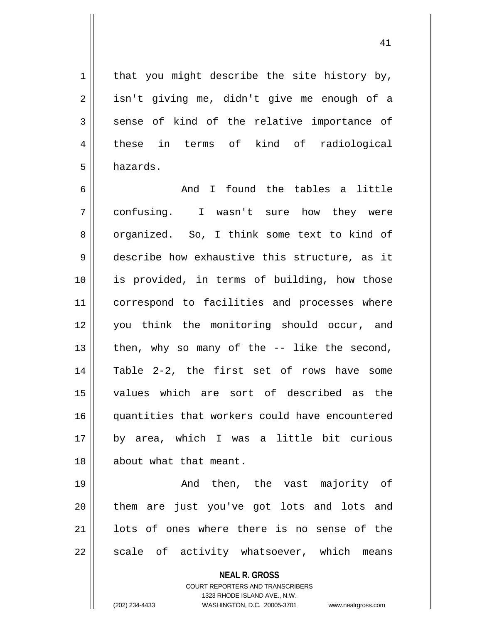$1$  that you might describe the site history by, 2 || isn't giving me, didn't give me enough of a  $3$  sense of kind of the relative importance of 4 || these in terms of kind of radiological 5 hazards.

 $6 \parallel$  and I found the tables a little 7 confusing. I wasn't sure how they were 8 organized. So, I think some text to kind of 9 describe how exhaustive this structure, as it 10 is provided, in terms of building, how those 11 || correspond to facilities and processes where 12 you think the monitoring should occur, and 13  $\parallel$  then, why so many of the  $-$ - like the second, 14 Table 2-2, the first set of rows have some 15 values which are sort of described as the 16 quantities that workers could have encountered 17 by area, which I was a little bit curious 18 about what that meant.

19 || The Chen, the vast majority of 20 || them are just you've got lots and lots and 21 || lots of ones where there is no sense of the  $22$  || scale of activity whatsoever, which means

**NEAL R. GROSS**

COURT REPORTERS AND TRANSCRIBERS 1323 RHODE ISLAND AVE., N.W. (202) 234-4433 WASHINGTON, D.C. 20005-3701 www.nealrgross.com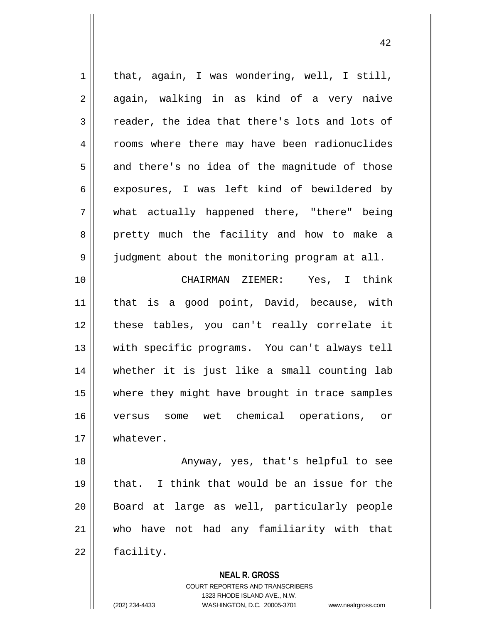$1 \parallel$  that, again, I was wondering, well, I still,  $2 \parallel$  again, walking in as kind of a very naive  $3 \parallel$  reader, the idea that there's lots and lots of 4 Trooms where there may have been radionuclides  $5 \parallel$  and there's no idea of the magnitude of those 6 exposures, I was left kind of bewildered by 7 what actually happened there, "there" being 8 pretty much the facility and how to make a 9 | judgment about the monitoring program at all. 10 CHAIRMAN ZIEMER: Yes, I think 11 || that is a good point, David, because, with 12 || these tables, you can't really correlate it 13 || with specific programs. You can't always tell 14 whether it is just like a small counting lab 15 where they might have brought in trace samples 16 versus some wet chemical operations, or

18 || Anyway, yes, that's helpful to see  $19$  || that. I think that would be an issue for the 20 Board at large as well, particularly people 21 who have not had any familiarity with that  $22 \parallel$  facility.

> **NEAL R. GROSS** COURT REPORTERS AND TRANSCRIBERS 1323 RHODE ISLAND AVE., N.W.

17 | whatever.

(202) 234-4433 WASHINGTON, D.C. 20005-3701 www.nealrgross.com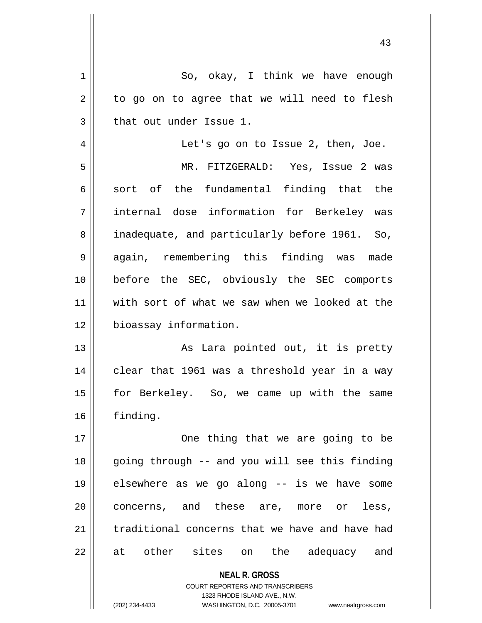| 1  | So, okay, I think we have enough                                    |
|----|---------------------------------------------------------------------|
| 2  | to go on to agree that we will need to flesh                        |
| 3  | that out under Issue 1.                                             |
| 4  | Let's go on to Issue 2, then, Joe.                                  |
| 5  | MR. FITZGERALD: Yes, Issue 2 was                                    |
| 6  | sort of the fundamental finding that the                            |
| 7  | internal dose information for Berkeley was                          |
| 8  | inadequate, and particularly before 1961. So,                       |
| 9  | again, remembering this finding was<br>made                         |
| 10 | before the SEC, obviously the SEC comports                          |
| 11 | with sort of what we saw when we looked at the                      |
| 12 | bioassay information.                                               |
| 13 | As Lara pointed out, it is pretty                                   |
| 14 | clear that 1961 was a threshold year in a way                       |
| 15 | for Berkeley. So, we came up with the same                          |
| 16 | finding.                                                            |
| 17 | One thing that we are going to be                                   |
| 18 | going through -- and you will see this finding                      |
| 19 | elsewhere as we go along -- is we have some                         |
| 20 | concerns, and these are, more or<br>less,                           |
| 21 | traditional concerns that we have and have had                      |
| 22 | other sites on the<br>adequacy and<br>at                            |
|    |                                                                     |
|    | <b>NEAL R. GROSS</b><br><b>COURT REPORTERS AND TRANSCRIBERS</b>     |
|    | 1323 RHODE ISLAND AVE., N.W.                                        |
|    | (202) 234-4433<br>WASHINGTON, D.C. 20005-3701<br>www.nealrgross.com |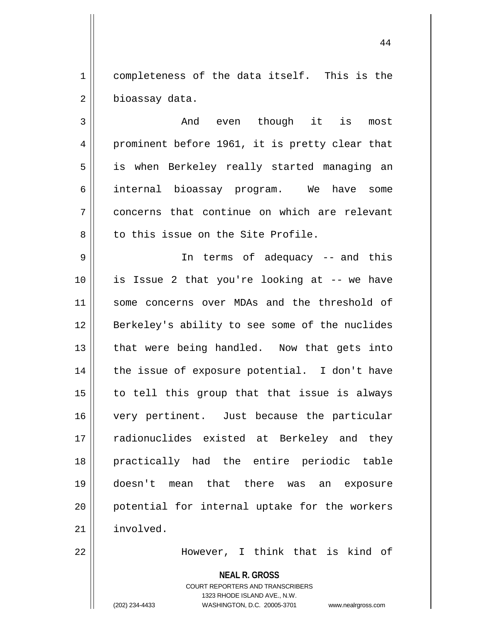1 | completeness of the data itself. This is the  $2 \parallel$  bioassay data.

3 And even though it is most 4 prominent before 1961, it is pretty clear that 5 || is when Berkeley really started managing an 6 internal bioassay program. We have some 7 concerns that continue on which are relevant  $8$  | to this issue on the Site Profile.

9 In terms of adequacy -- and this 10 is Issue 2 that you're looking at -- we have 11 || some concerns over MDAs and the threshold of 12 Berkeley's ability to see some of the nuclides 13 || that were being handled. Now that gets into  $14$  || the issue of exposure potential. I don't have  $15$  to tell this group that that issue is always 16 very pertinent. Just because the particular 17 || radionuclides existed at Berkeley and they 18 practically had the entire periodic table 19 doesn't mean that there was an exposure 20 potential for internal uptake for the workers 21 involved.

22 However, I think that is kind of

**NEAL R. GROSS** COURT REPORTERS AND TRANSCRIBERS 1323 RHODE ISLAND AVE., N.W. (202) 234-4433 WASHINGTON, D.C. 20005-3701 www.nealrgross.com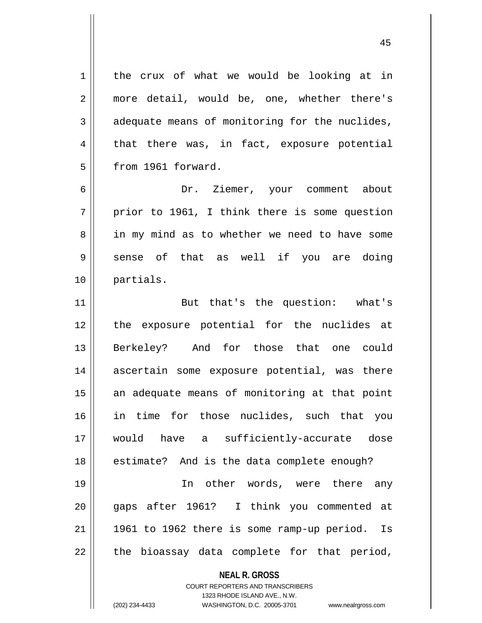1 | the crux of what we would be looking at in 2 || more detail, would be, one, whether there's  $3 \parallel$  adequate means of monitoring for the nuclides,  $4 \parallel$  that there was, in fact, exposure potential 5 | from 1961 forward. 6 Dr. Ziemer, your comment about

 $7$  | prior to 1961, I think there is some question 8 || in my mind as to whether we need to have some  $9 \parallel$  sense of that as well if you are doing 10 partials.

11 || But that's the question: what's 12 the exposure potential for the nuclides at 13 Berkeley? And for those that one could 14 ascertain some exposure potential, was there 15 || an adequate means of monitoring at that point 16 in time for those nuclides, such that you 17 would have a sufficiently-accurate dose  $18$  | estimate? And is the data complete enough?

19 In other words, were there any 20 gaps after 1961? I think you commented at  $21$  || 1961 to 1962 there is some ramp-up period. Is  $22$  || the bioassay data complete for that period,

## **NEAL R. GROSS**

COURT REPORTERS AND TRANSCRIBERS 1323 RHODE ISLAND AVE., N.W. (202) 234-4433 WASHINGTON, D.C. 20005-3701 www.nealrgross.com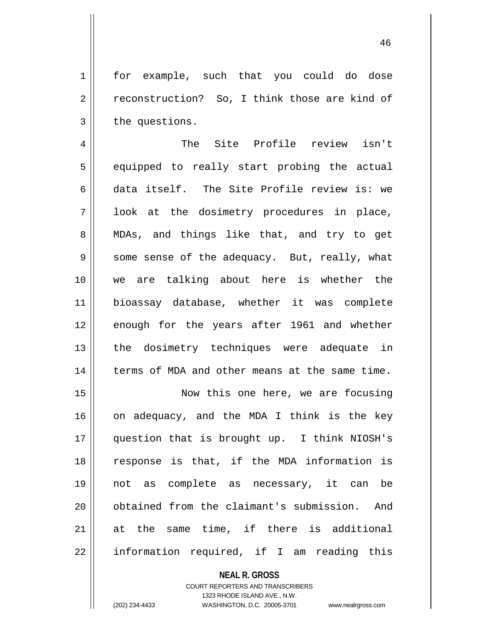1 | for example, such that you could do dose  $2 \parallel$  reconstruction? So, I think those are kind of  $3 \parallel$  the questions.

4 The Site Profile review isn't 5 || equipped to really start probing the actual 6 data itself. The Site Profile review is: we 7 || look at the dosimetry procedures in place, 8 || MDAs, and things like that, and try to get  $9 \parallel$  some sense of the adequacy. But, really, what 10 we are talking about here is whether the 11 bioassay database, whether it was complete 12 enough for the years after 1961 and whether 13 || the dosimetry techniques were adequate in 14 | terms of MDA and other means at the same time.

15 || Now this one here, we are focusing  $16$  on adequacy, and the MDA I think is the key 17 question that is brought up. I think NIOSH's 18 response is that, if the MDA information is 19 not as complete as necessary, it can be 20 | obtained from the claimant's submission. And 21 at the same time, if there is additional  $22 \parallel$  information required, if I am reading this

> **NEAL R. GROSS** COURT REPORTERS AND TRANSCRIBERS 1323 RHODE ISLAND AVE., N.W. (202) 234-4433 WASHINGTON, D.C. 20005-3701 www.nealrgross.com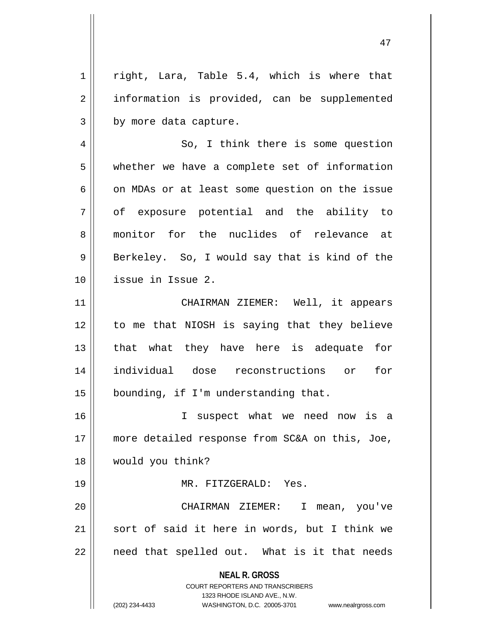$1 \parallel$  right, Lara, Table 5.4, which is where that 2 | information is provided, can be supplemented  $3 \parallel$  by more data capture.

4 || So, I think there is some question 5 whether we have a complete set of information  $6 \parallel$  on MDAs or at least some question on the issue 7 of exposure potential and the ability to 8 monitor for the nuclides of relevance at  $9 \parallel$  Berkeley. So, I would say that is kind of the 10 issue in Issue 2.

11 CHAIRMAN ZIEMER: Well, it appears 12 || to me that NIOSH is saying that they believe 13 || that what they have here is adequate for 14 individual dose reconstructions or for 15 | bounding, if I'm understanding that.

16 I suspect what we need now is a 17 || more detailed response from SC&A on this, Joe, 18 would you think?

19 MR. FITZGERALD: Yes.

20 CHAIRMAN ZIEMER: I mean, you've 21 || sort of said it here in words, but I think we  $22$  || need that spelled out. What is it that needs

> **NEAL R. GROSS** COURT REPORTERS AND TRANSCRIBERS

> > 1323 RHODE ISLAND AVE., N.W.

(202) 234-4433 WASHINGTON, D.C. 20005-3701 www.nealrgross.com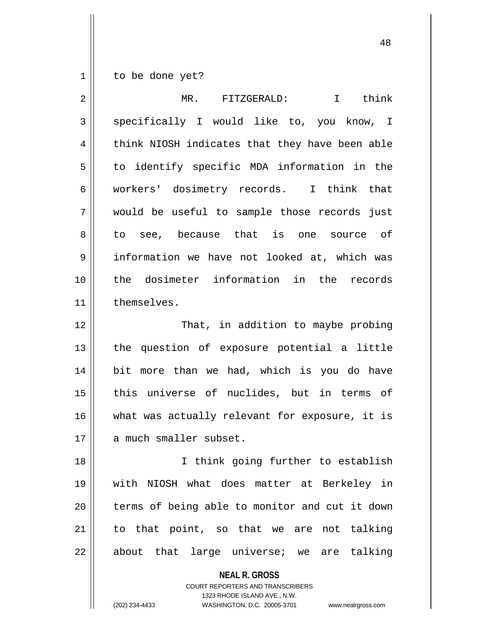$1 \parallel$  to be done yet?

| $\overline{2}$ | I think<br>MR. FITZGERALD:                     |
|----------------|------------------------------------------------|
| 3              | specifically I would like to, you know, I      |
| 4              | think NIOSH indicates that they have been able |
| 5              | to identify specific MDA information in the    |
| 6              | workers' dosimetry records. I think that       |
| 7              | would be useful to sample those records just   |
| 8              | to see, because that is one source of          |
| 9              | information we have not looked at, which was   |
| 10             | the dosimeter information in the records       |
| 11             | themselves.                                    |
| 12             | That, in addition to maybe probing             |
| 13             | the question of exposure potential a little    |
| 14             | bit more than we had, which is you do have     |
| 15             | this universe of nuclides, but in terms of     |
| 16             | what was actually relevant for exposure, it is |
| 17             | a much smaller subset.                         |
| 18             | I think going further to establish             |
| 19             | with NIOSH what does matter at Berkeley in     |
| 20             | terms of being able to monitor and cut it down |
| 21             | to that point, so that we are not talking      |
| 22             | about that large universe; we are talking      |

**NEAL R. GROSS**

COURT REPORTERS AND TRANSCRIBERS 1323 RHODE ISLAND AVE., N.W. (202) 234-4433 WASHINGTON, D.C. 20005-3701 www.nealrgross.com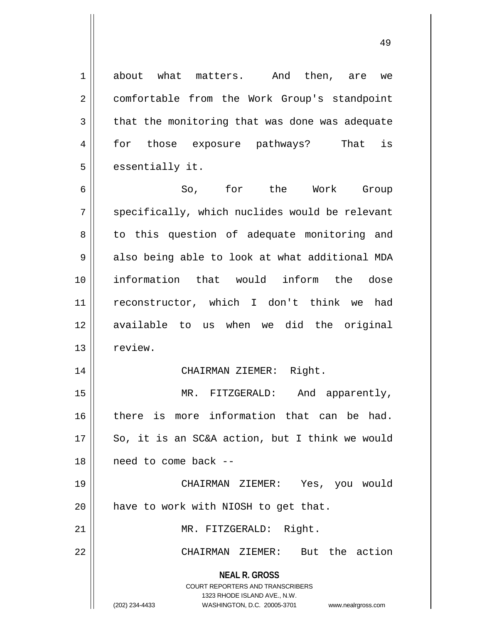1 about what matters. And then, are we 2 | comfortable from the Work Group's standpoint  $3 \parallel$  that the monitoring that was done was adequate 4 || for those exposure pathways? That is  $5$  || essentially it.

6 So, for the Work Group  $7 \parallel$  specifically, which nuclides would be relevant 8 || to this question of adequate monitoring and  $9 \parallel$  also being able to look at what additional MDA 10 information that would inform the dose 11 reconstructor, which I don't think we had 12 available to us when we did the original 13 | review.

## 14 CHAIRMAN ZIEMER: Right.

15 || MR. FITZGERALD: And apparently, 16 || there is more information that can be had.  $17 \parallel$  So, it is an SC&A action, but I think we would 18 need to come back --

19 CHAIRMAN ZIEMER: Yes, you would  $20$  || have to work with NIOSH to get that.

21 || MR. FITZGERALD: Right.

22 CHAIRMAN ZIEMER: But the action

**NEAL R. GROSS** COURT REPORTERS AND TRANSCRIBERS

1323 RHODE ISLAND AVE., N.W.

(202) 234-4433 WASHINGTON, D.C. 20005-3701 www.nealrgross.com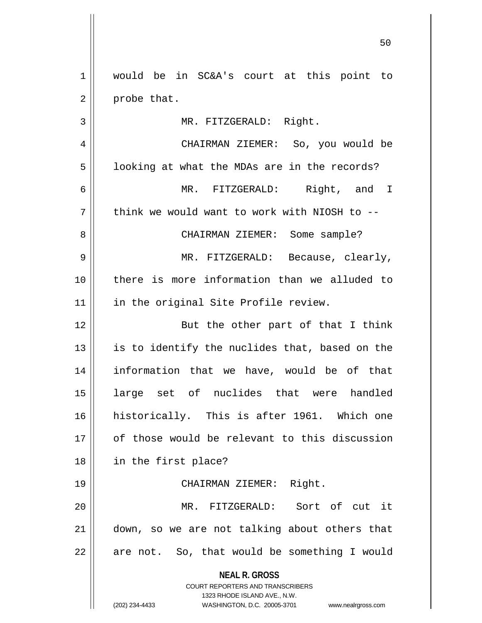**NEAL R. GROSS** COURT REPORTERS AND TRANSCRIBERS 1323 RHODE ISLAND AVE., N.W. (202) 234-4433 WASHINGTON, D.C. 20005-3701 www.nealrgross.com 1 would be in SC&A's court at this point to  $2 \parallel$  probe that. 3 || MR. FITZGERALD: Right. 4 CHAIRMAN ZIEMER: So, you would be  $5 \parallel$  looking at what the MDAs are in the records? 6 MR. FITZGERALD: Right, and I  $7$  | think we would want to work with NIOSH to --8 CHAIRMAN ZIEMER: Some sample? 9 MR. FITZGERALD: Because, clearly, 10 there is more information than we alluded to 11 || in the original Site Profile review. 12 || But the other part of that I think  $13$  is to identify the nuclides that, based on the 14 information that we have, would be of that 15 large set of nuclides that were handled 16 historically. This is after 1961. Which one 17 || of those would be relevant to this discussion 18 in the first place? 19 || CHAIRMAN ZIEMER: Right. 20 MR. FITZGERALD: Sort of cut it 21 down, so we are not talking about others that  $22$  || are not. So, that would be something I would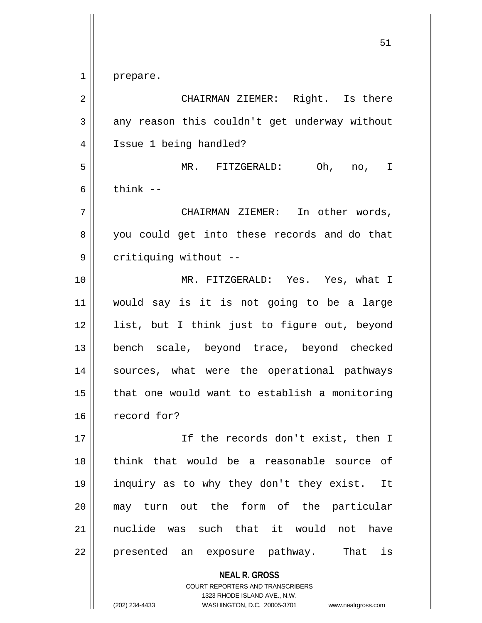1 || prepare.

**NEAL R. GROSS** 2 CHAIRMAN ZIEMER: Right. Is there  $3 \parallel$  any reason this couldn't get underway without 4 | Issue 1 being handled? 5 MR. FITZGERALD: Oh, no, I  $6 \parallel$  think  $-$ 7 CHAIRMAN ZIEMER: In other words, 8 you could get into these records and do that 9 | critiquing without --10 MR. FITZGERALD: Yes. Yes, what I 11 would say is it is not going to be a large 12 list, but I think just to figure out, beyond 13 bench scale, beyond trace, beyond checked 14 || sources, what were the operational pathways  $15$  || that one would want to establish a monitoring 16 record for? 17 || Tf the records don't exist, then I 18 think that would be a reasonable source of 19 inquiry as to why they don't they exist. It 20 may turn out the form of the particular 21 || nuclide was such that it would not have 22 || presented an exposure pathway. That is

> COURT REPORTERS AND TRANSCRIBERS 1323 RHODE ISLAND AVE., N.W.

(202) 234-4433 WASHINGTON, D.C. 20005-3701 www.nealrgross.com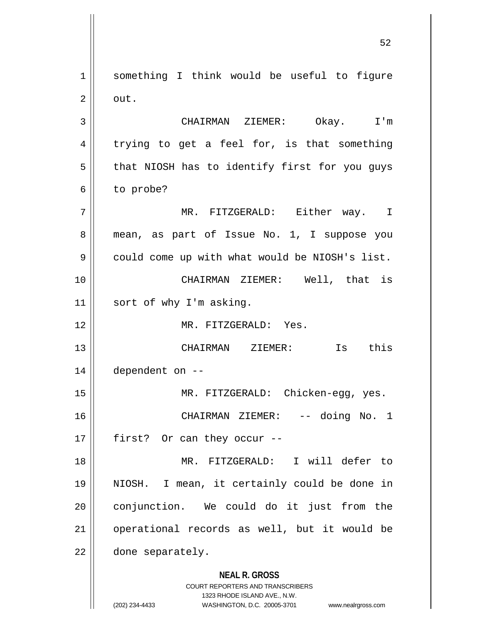1 | something I think would be useful to figure  $2 \parallel \circ \text{out.}$ 

3 CHAIRMAN ZIEMER: Okay. I'm  $4 \parallel$  trying to get a feel for, is that something  $5$  | that NIOSH has to identify first for you guys  $6 \parallel$  to probe?

7 MR. FITZGERALD: Either way. I 8 || mean, as part of Issue No. 1, I suppose you  $9 \parallel$  could come up with what would be NIOSH's list. 10 CHAIRMAN ZIEMER: Well, that is 11 || sort of why I'm asking.

12 MR. FITZGERALD: Yes.

13 CHAIRMAN ZIEMER: Is this 14 dependent on --

15 || MR. FITZGERALD: Chicken-egg, yes. 16 CHAIRMAN ZIEMER: -- doing No. 1 17 || first? Or can they occur --

18 MR. FITZGERALD: I will defer to 19 NIOSH. I mean, it certainly could be done in 20 conjunction. We could do it just from the 21 operational records as well, but it would be 22 done separately.

## **NEAL R. GROSS**

COURT REPORTERS AND TRANSCRIBERS 1323 RHODE ISLAND AVE., N.W. (202) 234-4433 WASHINGTON, D.C. 20005-3701 www.nealrgross.com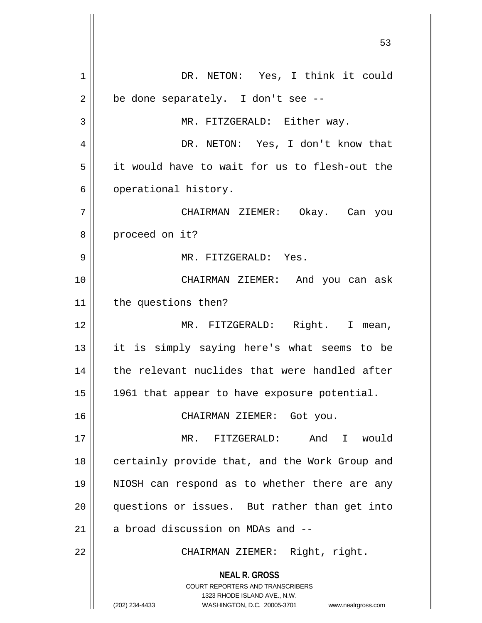**NEAL R. GROSS** COURT REPORTERS AND TRANSCRIBERS 1323 RHODE ISLAND AVE., N.W. (202) 234-4433 WASHINGTON, D.C. 20005-3701 www.nealrgross.com 1 || DR. NETON: Yes, I think it could  $2 \parallel$  be done separately. I don't see --3 || MR. FITZGERALD: Either way. 4 DR. NETON: Yes, I don't know that 5 it would have to wait for us to flesh-out the 6 | operational history. 7 CHAIRMAN ZIEMER: Okay. Can you 8 || proceed on it? 9 MR. FITZGERALD: Yes. 10 CHAIRMAN ZIEMER: And you can ask 11 | the questions then? 12 MR. FITZGERALD: Right. I mean, 13 it is simply saying here's what seems to be 14 || the relevant nuclides that were handled after 15 1961 that appear to have exposure potential. 16 CHAIRMAN ZIEMER: Got you. 17 MR. FITZGERALD: And I would 18 || certainly provide that, and the Work Group and 19 NIOSH can respond as to whether there are any 20 || questions or issues. But rather than get into 21  $\parallel$  a broad discussion on MDAs and  $-$ 22 || CHAIRMAN ZIEMER: Right, right.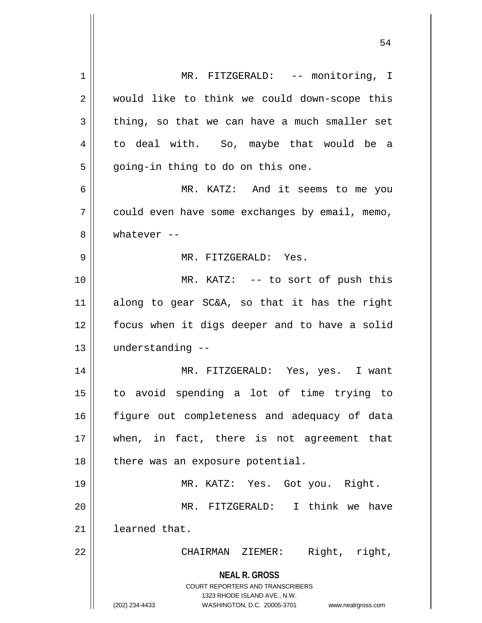| 1  | MR. FITZGERALD: -- monitoring, I                                    |
|----|---------------------------------------------------------------------|
| 2  | would like to think we could down-scope this                        |
| 3  | thing, so that we can have a much smaller set                       |
| 4  | to deal with. So, maybe that would be a                             |
| 5  | going-in thing to do on this one.                                   |
| 6  | MR. KATZ: And it seems to me you                                    |
| 7  | could even have some exchanges by email, memo,                      |
| 8  | whatever $--$                                                       |
| 9  | MR. FITZGERALD: Yes.                                                |
| 10 | MR. KATZ: -- to sort of push this                                   |
| 11 | along to gear SC&A, so that it has the right                        |
| 12 | focus when it digs deeper and to have a solid                       |
| 13 | understanding --                                                    |
| 14 | MR. FITZGERALD: Yes, yes. I want                                    |
| 15 | to avoid spending a lot of time trying to                           |
| 16 | figure out completeness and adequacy of data                        |
| 17 | when, in fact, there is not agreement that                          |
| 18 | there was an exposure potential.                                    |
| 19 | MR. KATZ: Yes. Got you. Right.                                      |
|    | MR. FITZGERALD: I think we have                                     |
| 20 |                                                                     |
| 21 | learned that.                                                       |
| 22 | Right, right,<br>CHAIRMAN ZIEMER:                                   |
|    | <b>NEAL R. GROSS</b><br><b>COURT REPORTERS AND TRANSCRIBERS</b>     |
|    | 1323 RHODE ISLAND AVE., N.W.                                        |
|    | (202) 234-4433<br>WASHINGTON, D.C. 20005-3701<br>www.nealrgross.com |

 $\overline{\mathsf{I}}$ 

 $\mathop{\text{||}}$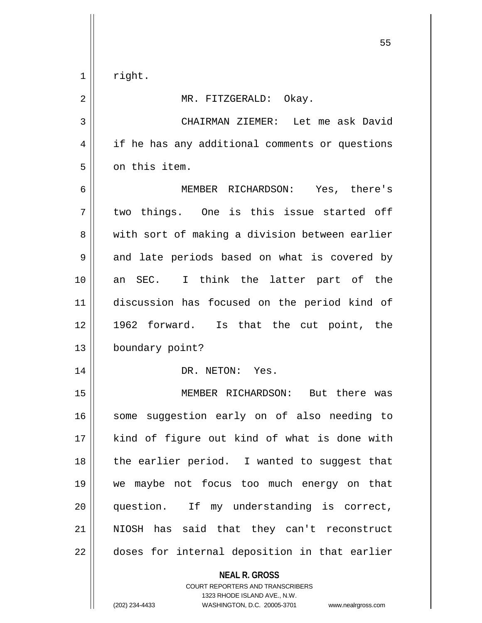$1 \parallel$  right.

2 || MR. FITZGERALD: Okay. 3 CHAIRMAN ZIEMER: Let me ask David 4 || if he has any additional comments or questions 5 | on this item. 6 MEMBER RICHARDSON: Yes, there's  $7$  two things. One is this issue started off 8 || with sort of making a division between earlier  $9 \parallel$  and late periods based on what is covered by 10 an SEC. I think the latter part of the 11 discussion has focused on the period kind of 12 1962 forward. Is that the cut point, the 13 | boundary point? 14 || DR. NETON: Yes. 15 MEMBER RICHARDSON: But there was 16 || some suggestion early on of also needing to 17 || kind of figure out kind of what is done with  $18$  || the earlier period. I wanted to suggest that 19 we maybe not focus too much energy on that 20 question. If my understanding is correct,

21 || NIOSH has said that they can't reconstruct 22 || doses for internal deposition in that earlier

> **NEAL R. GROSS** COURT REPORTERS AND TRANSCRIBERS 1323 RHODE ISLAND AVE., N.W. (202) 234-4433 WASHINGTON, D.C. 20005-3701 www.nealrgross.com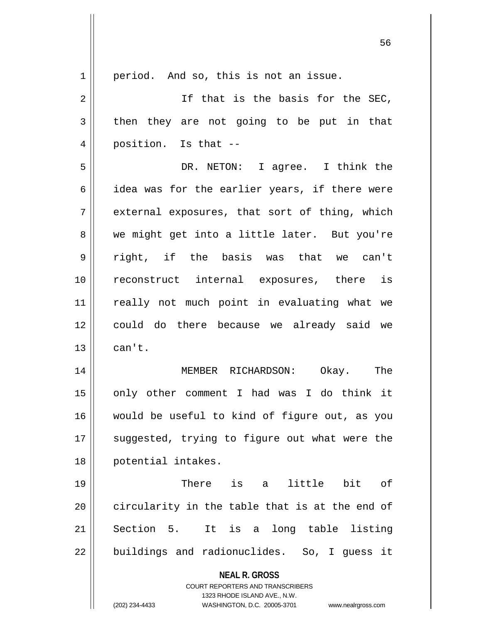| $1\,$          | period. And so, this is not an issue.                                                               |
|----------------|-----------------------------------------------------------------------------------------------------|
| 2              | If that is the basis for the SEC,                                                                   |
| $\mathbf{3}$   | then they are not going to be put in that                                                           |
| $\overline{4}$ | position. Is that --                                                                                |
| 5              | DR. NETON: I agree. I think the                                                                     |
| 6              | idea was for the earlier years, if there were                                                       |
| 7              | external exposures, that sort of thing, which                                                       |
| 8              | we might get into a little later. But you're                                                        |
| 9              | right, if the basis was that we can't                                                               |
| 10             | reconstruct internal exposures, there is                                                            |
| 11             | really not much point in evaluating what we                                                         |
| 12             | could do there because we already said we                                                           |
| 13             | can't.                                                                                              |
| 14             | MEMBER RICHARDSON: Okay. The                                                                        |
| 15             | only other comment I had was I do think it                                                          |
| 16             | would be useful to kind of figure out, as you                                                       |
| 17             | suggested, trying to figure out what were the                                                       |
| 18             | potential intakes.                                                                                  |
| 19             | There is a<br>little bit of                                                                         |
| 20             | circularity in the table that is at the end of                                                      |
| 21             | Section 5.<br>It is a long table listing                                                            |
| 22             | buildings and radionuclides. So, I guess it                                                         |
|                | <b>NEAL R. GROSS</b>                                                                                |
|                | <b>COURT REPORTERS AND TRANSCRIBERS</b>                                                             |
|                | 1323 RHODE ISLAND AVE., N.W.<br>(202) 234-4433<br>WASHINGTON, D.C. 20005-3701<br>www.nealrgross.com |
|                |                                                                                                     |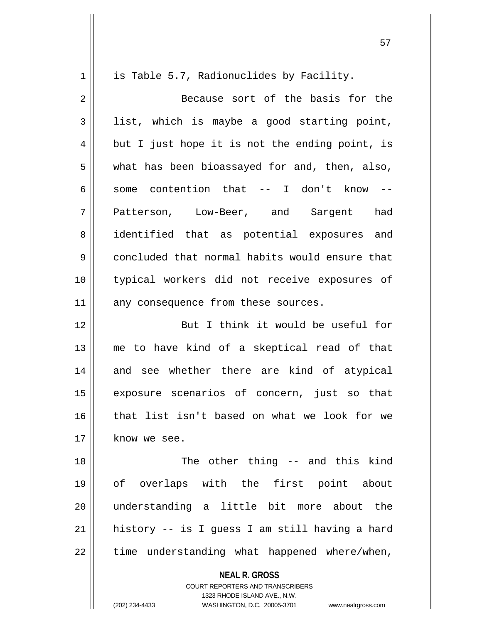1 | is Table 5.7, Radionuclides by Facility. 2 Because sort of the basis for the  $3 \parallel$  list, which is maybe a good starting point,  $4 \parallel$  but I just hope it is not the ending point, is 5 what has been bioassayed for and, then, also, 6  $\parallel$  some contention that  $\sim$  I don't know  $\sim$ 7 || Patterson, Low-Beer, and Sargent had 8 || identified that as potential exposures and 9 concluded that normal habits would ensure that 10 typical workers did not receive exposures of  $11$  any consequence from these sources. 12 || But I think it would be useful for 13 me to have kind of a skeptical read of that 14 and see whether there are kind of atypical 15 exposure scenarios of concern, just so that 16 || that list isn't based on what we look for we 17 know we see. 18 The other thing -- and this kind 19 of overlaps with the first point about 20 understanding a little bit more about the  $21$  history -- is I guess I am still having a hard  $22$  | time understanding what happened where/when,

> **NEAL R. GROSS** COURT REPORTERS AND TRANSCRIBERS 1323 RHODE ISLAND AVE., N.W.

(202) 234-4433 WASHINGTON, D.C. 20005-3701 www.nealrgross.com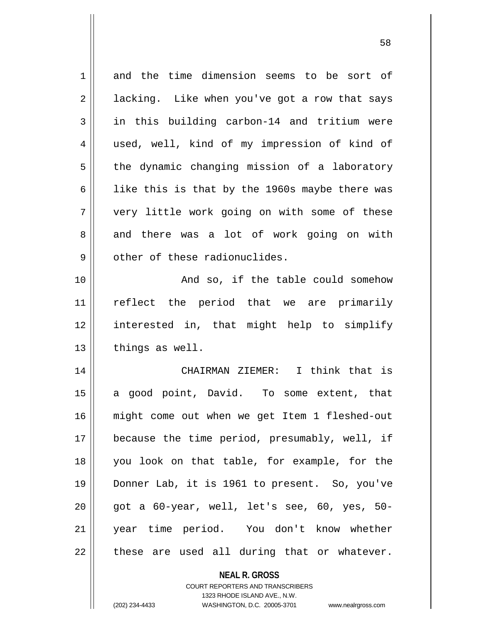| $\mathbf 1$ | and the time dimension seems to be sort of     |
|-------------|------------------------------------------------|
| 2           | lacking. Like when you've got a row that says  |
| 3           | in this building carbon-14 and tritium were    |
| 4           | used, well, kind of my impression of kind of   |
| 5           | the dynamic changing mission of a laboratory   |
| 6           | like this is that by the 1960s maybe there was |
| 7           | very little work going on with some of these   |
| 8           | and there was a lot of work going on with      |
| 9           | other of these radionuclides.                  |
| 10          | And so, if the table could somehow             |
| 11          | reflect the period that we are primarily       |
| 12          | interested in, that might help to simplify     |
| 13          | things as well.                                |
| 14          | CHAIRMAN ZIEMER: I think that is               |
| 15          | a good point, David. To some extent, that      |
| 16          | might come out when we get Item 1 fleshed-out  |
| 17          | because the time period, presumably, well, if  |
| 18          | you look on that table, for example, for the   |
| 19          | Donner Lab, it is 1961 to present. So, you've  |
| 20          | got a 60-year, well, let's see, 60, yes, 50-   |
| 21          | year time period. You don't know whether       |
| 22          | these are used all during that or whatever.    |
|             |                                                |

**NEAL R. GROSS** COURT REPORTERS AND TRANSCRIBERS 1323 RHODE ISLAND AVE., N.W.

 $\mathsf{II}$ 

(202) 234-4433 WASHINGTON, D.C. 20005-3701 www.nealrgross.com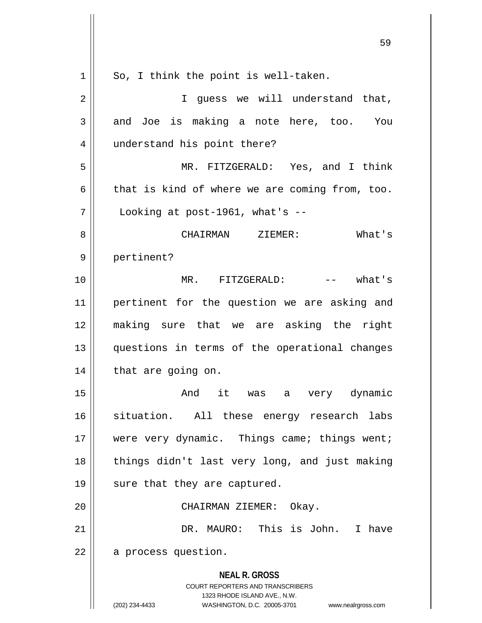| $\mathbf 1$ | So, I think the point is well-taken.                                                                                                                                   |
|-------------|------------------------------------------------------------------------------------------------------------------------------------------------------------------------|
| 2           | I quess we will understand that,                                                                                                                                       |
| 3           | and Joe is making a note here, too. You                                                                                                                                |
| 4           | understand his point there?                                                                                                                                            |
| 5           | MR. FITZGERALD: Yes, and I think                                                                                                                                       |
| 6           | that is kind of where we are coming from, too.                                                                                                                         |
| 7           | Looking at post-1961, what's $-$                                                                                                                                       |
| 8           | What's<br>CHAIRMAN ZIEMER:                                                                                                                                             |
| 9           | pertinent?                                                                                                                                                             |
| 10          | $--$ what's<br>MR. FITZGERALD:                                                                                                                                         |
| 11          | pertinent for the question we are asking and                                                                                                                           |
| 12          | making sure that we are asking the right                                                                                                                               |
| 13          | questions in terms of the operational changes                                                                                                                          |
| 14          | that are going on.                                                                                                                                                     |
| 15          | And it was<br>a very dynamic                                                                                                                                           |
| 16          | situation. All these energy research labs                                                                                                                              |
| 17          | were very dynamic. Things came; things went;                                                                                                                           |
| 18          | things didn't last very long, and just making                                                                                                                          |
| 19          | sure that they are captured.                                                                                                                                           |
| 20          | CHAIRMAN ZIEMER: Okay.                                                                                                                                                 |
| 21          | DR. MAURO: This is John. I have                                                                                                                                        |
| 22          | a process question.                                                                                                                                                    |
|             | <b>NEAL R. GROSS</b><br><b>COURT REPORTERS AND TRANSCRIBERS</b><br>1323 RHODE ISLAND AVE., N.W.<br>(202) 234-4433<br>WASHINGTON, D.C. 20005-3701<br>www.nealrgross.com |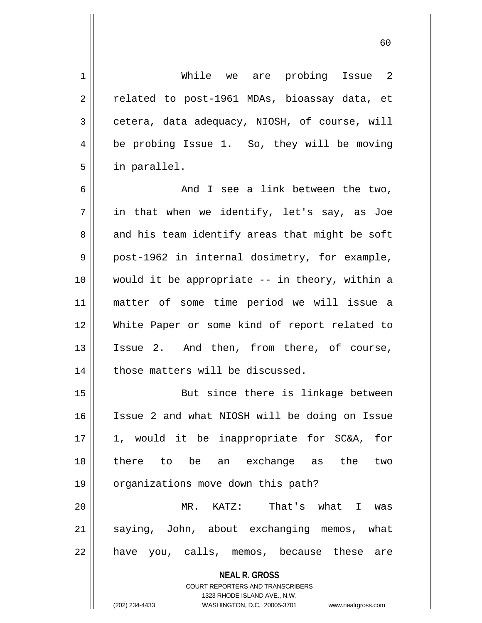1 While we are probing Issue 2  $2 \parallel$  related to post-1961 MDAs, bioassay data, et  $3 \parallel$  cetera, data adequacy, NIOSH, of course, will 4 | be probing Issue 1. So, they will be moving 5 in parallel.

6 And I see a link between the two,  $7 \parallel$  in that when we identify, let's say, as Joe  $8 \parallel$  and his team identify areas that might be soft 9 || post-1962 in internal dosimetry, for example, 10 would it be appropriate -- in theory, within a 11 matter of some time period we will issue a 12 White Paper or some kind of report related to 13 Issue 2. And then, from there, of course,  $14$  | those matters will be discussed.

15 || But since there is linkage between 16 Issue 2 and what NIOSH will be doing on Issue 17 1, would it be inappropriate for SC&A, for 18 there to be an exchange as the two 19 | organizations move down this path? 20 MR. KATZ: That's what I was 21 saying, John, about exchanging memos, what  $22$  || have you, calls, memos, because these are

> **NEAL R. GROSS** COURT REPORTERS AND TRANSCRIBERS

> > 1323 RHODE ISLAND AVE., N.W.

(202) 234-4433 WASHINGTON, D.C. 20005-3701 www.nealrgross.com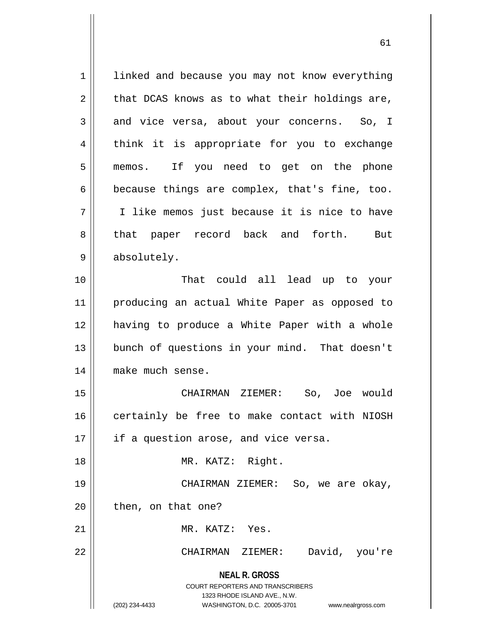**NEAL R. GROSS** COURT REPORTERS AND TRANSCRIBERS 1323 RHODE ISLAND AVE., N.W. (202) 234-4433 WASHINGTON, D.C. 20005-3701 www.nealrgross.com 1 | linked and because you may not know everything  $2 \parallel$  that DCAS knows as to what their holdings are, 3 and vice versa, about your concerns. So, I 4 || think it is appropriate for you to exchange 5 memos. If you need to get on the phone  $6 \parallel$  because things are complex, that's fine, too. 7 I like memos just because it is nice to have 8 || that paper record back and forth. But 9 absolutely. 10 That could all lead up to your 11 producing an actual White Paper as opposed to 12 having to produce a White Paper with a whole 13 || bunch of questions in your mind. That doesn't 14 || make much sense. 15 CHAIRMAN ZIEMER: So, Joe would 16 certainly be free to make contact with NIOSH  $17$  || if a question arose, and vice versa. 18 MR. KATZ: Right. 19 CHAIRMAN ZIEMER: So, we are okay,  $20$  || then, on that one? 21 MR. KATZ: Yes. 22 CHAIRMAN ZIEMER: David, you're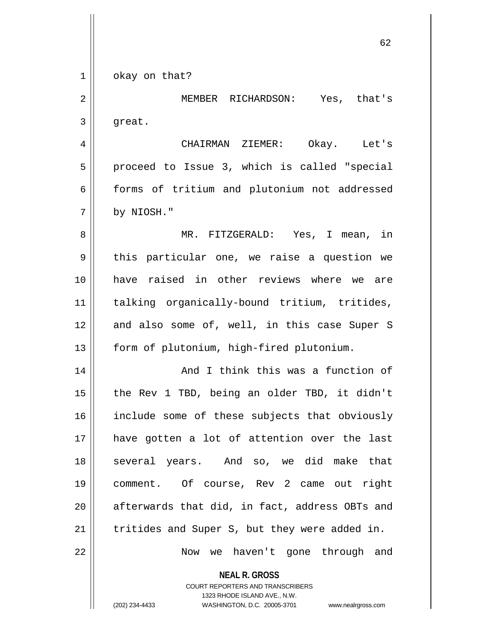1 | okay on that?

2 MEMBER RICHARDSON: Yes, that's  $3 \parallel$  great. 4 CHAIRMAN ZIEMER: Okay. Let's 5 || proceed to Issue 3, which is called "special 6 || forms of tritium and plutonium not addressed  $7 \parallel$  by NIOSH." 8 MR. FITZGERALD: Yes, I mean, in  $9 \parallel$  this particular one, we raise a question we 10 have raised in other reviews where we are 11 talking organically-bound tritium, tritides,  $12$  and also some of, well, in this case Super S 13 | form of plutonium, high-fired plutonium. 14 || And I think this was a function of 15 || the Rev 1 TBD, being an older TBD, it didn't 16 || include some of these subjects that obviously 17 have gotten a lot of attention over the last 18 || several years. And so, we did make that 19 comment. Of course, Rev 2 came out right  $20$  || afterwards that did, in fact, address OBTs and

 $21$  | tritides and Super S, but they were added in.

22 || Mow we haven't gone through and

**NEAL R. GROSS**

COURT REPORTERS AND TRANSCRIBERS 1323 RHODE ISLAND AVE., N.W. (202) 234-4433 WASHINGTON, D.C. 20005-3701 www.nealrgross.com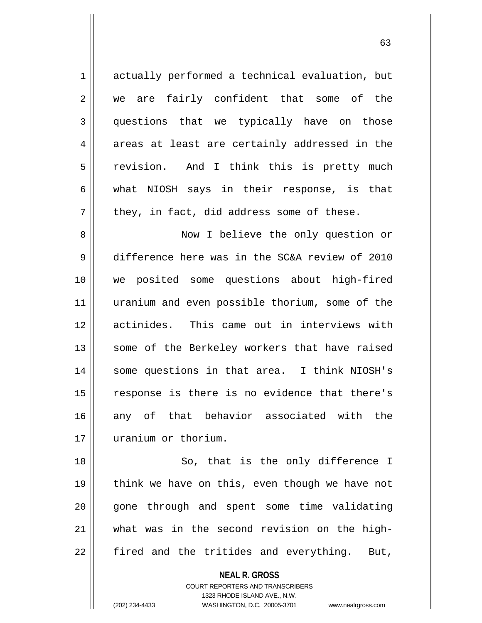1 actually performed a technical evaluation, but 2 we are fairly confident that some of the 3 questions that we typically have on those  $4 \parallel$  areas at least are certainly addressed in the 5 | revision. And I think this is pretty much  $6 \parallel$  what NIOSH says in their response, is that  $7 \parallel$  they, in fact, did address some of these. 8 || Now I believe the only question or 9 difference here was in the SC&A review of 2010 10 we posited some questions about high-fired 11 uranium and even possible thorium, some of the 12 actinides. This came out in interviews with 13 || some of the Berkeley workers that have raised 14 || some questions in that area. I think NIOSH's 15 || response is there is no evidence that there's 16 || any of that behavior associated with the 17 uranium or thorium. 18 || So, that is the only difference I 19  $\parallel$  think we have on this, even though we have not

20 || gone through and spent some time validating

 $22$  || fired and the tritides and everything. But,

**NEAL R. GROSS** COURT REPORTERS AND TRANSCRIBERS 1323 RHODE ISLAND AVE., N.W. (202) 234-4433 WASHINGTON, D.C. 20005-3701 www.nealrgross.com

21 what was in the second revision on the high-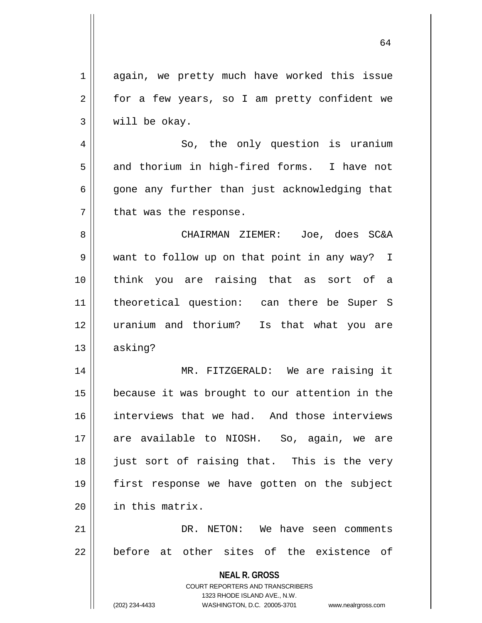| $\mathbf 1$ | again, we pretty much have worked this issue                        |
|-------------|---------------------------------------------------------------------|
| 2           | for a few years, so I am pretty confident we                        |
| 3           | will be okay.                                                       |
| 4           | So, the only question is uranium                                    |
| 5           | and thorium in high-fired forms. I have not                         |
| 6           | gone any further than just acknowledging that                       |
| 7           | that was the response.                                              |
| 8           | CHAIRMAN ZIEMER: Joe, does SC&A                                     |
| 9           | want to follow up on that point in any way? I                       |
| 10          | think you are raising that as sort of a                             |
| 11          | theoretical question: can there be Super S                          |
| 12          | uranium and thorium? Is that what you are                           |
| 13          | asking?                                                             |
| 14          | MR. FITZGERALD: We are raising it                                   |
| 15          | because it was brought to our attention in the                      |
| 16          | interviews that we had. And those interviews                        |
| 17          | are available to NIOSH. So, again, we are                           |
| 18          | just sort of raising that. This is the very                         |
| 19          | first response we have gotten on the subject                        |
| 20          | in this matrix.                                                     |
| 21          | DR. NETON: We have seen comments                                    |
| 22          | before at other sites of the existence of                           |
|             |                                                                     |
|             | <b>NEAL R. GROSS</b><br><b>COURT REPORTERS AND TRANSCRIBERS</b>     |
|             | 1323 RHODE ISLAND AVE., N.W.                                        |
|             | (202) 234-4433<br>WASHINGTON, D.C. 20005-3701<br>www.nealrgross.com |

 $\mathop{\text{||}}$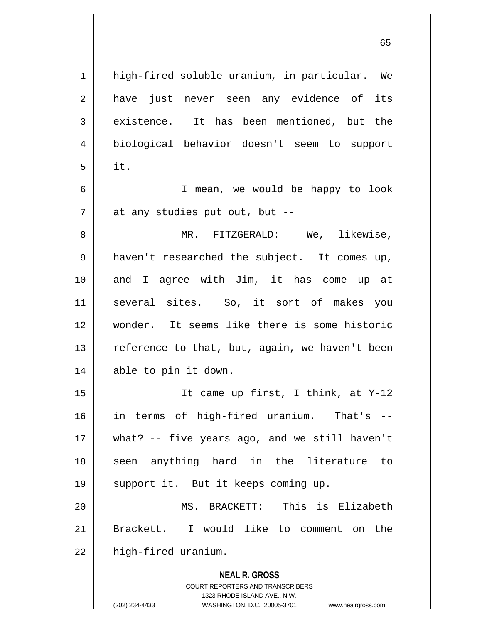**NEAL R. GROSS** COURT REPORTERS AND TRANSCRIBERS 1 || high-fired soluble uranium, in particular. We 2 || have just never seen any evidence of its 3 existence. It has been mentioned, but the 4 biological behavior doesn't seem to support  $5 \parallel$  it. 6 I mean, we would be happy to look  $7$  | at any studies put out, but  $-$ 8 MR. FITZGERALD: We, likewise, 9 || haven't researched the subject. It comes up, 10 and I agree with Jim, it has come up at 11 several sites. So, it sort of makes you 12 wonder. It seems like there is some historic 13  $\parallel$  reference to that, but, again, we haven't been 14 able to pin it down. 15 It came up first, I think, at Y-12 16 in terms of high-fired uranium. That's -- 17 what? -- five years ago, and we still haven't 18 || seen anything hard in the literature to 19 || support it. But it keeps coming up. 20 MS. BRACKETT: This is Elizabeth 21 Brackett. I would like to comment on the  $22$  | high-fired uranium.

1323 RHODE ISLAND AVE., N.W.

(202) 234-4433 WASHINGTON, D.C. 20005-3701 www.nealrgross.com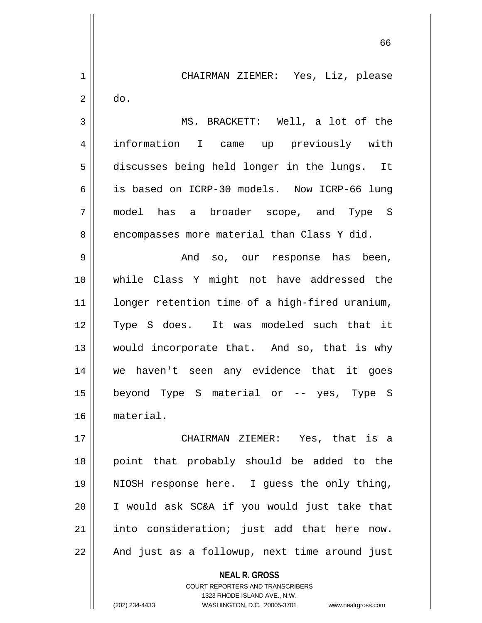1 CHAIRMAN ZIEMER: Yes, Liz, please  $2 \parallel$  do. 3 MS. BRACKETT: Well, a lot of the 4 information I came up previously with 5 discusses being held longer in the lungs. It 6 is based on ICRP-30 models. Now ICRP-66 lung 7 model has a broader scope, and Type S 8 encompasses more material than Class Y did. 9 And so, our response has been, 10 while Class Y might not have addressed the 11 || longer retention time of a high-fired uranium, 12 Type S does. It was modeled such that it 13 || would incorporate that. And so, that is why 14 we haven't seen any evidence that it goes 15 beyond Type S material or -- yes, Type S 16 material. 17 CHAIRMAN ZIEMER: Yes, that is a 18 || point that probably should be added to the 19 NIOSH response here. I guess the only thing, 20 I would ask SC&A if you would just take that

21 into consideration; just add that here now.  $22$  || And just as a followup, next time around just

> **NEAL R. GROSS** COURT REPORTERS AND TRANSCRIBERS 1323 RHODE ISLAND AVE., N.W. (202) 234-4433 WASHINGTON, D.C. 20005-3701 www.nealrgross.com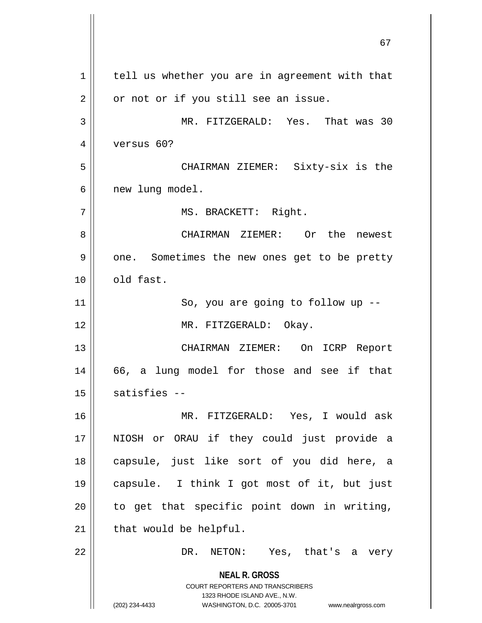**NEAL R. GROSS** COURT REPORTERS AND TRANSCRIBERS 1323 RHODE ISLAND AVE., N.W. (202) 234-4433 WASHINGTON, D.C. 20005-3701 www.nealrgross.com  $1$  tell us whether you are in agreement with that  $2 \parallel$  or not or if you still see an issue. 3 MR. FITZGERALD: Yes. That was 30 4 versus 60? 5 CHAIRMAN ZIEMER: Sixty-six is the 6 | new lung model. 7 | MS. BRACKETT: Right. 8 CHAIRMAN ZIEMER: Or the newest 9 | one. Sometimes the new ones get to be pretty  $10$   $\parallel$  old fast. 11 || So, you are going to follow up --12 || MR. FITZGERALD: Okay. 13 CHAIRMAN ZIEMER: On ICRP Report 14 || 66, a lung model for those and see if that  $15$  satisfies  $-$ 16 MR. FITZGERALD: Yes, I would ask 17 NIOSH or ORAU if they could just provide a 18 capsule, just like sort of you did here, a 19 capsule. I think I got most of it, but just  $20$  || to get that specific point down in writing,  $21$  | that would be helpful. 22 DR. NETON: Yes, that's a very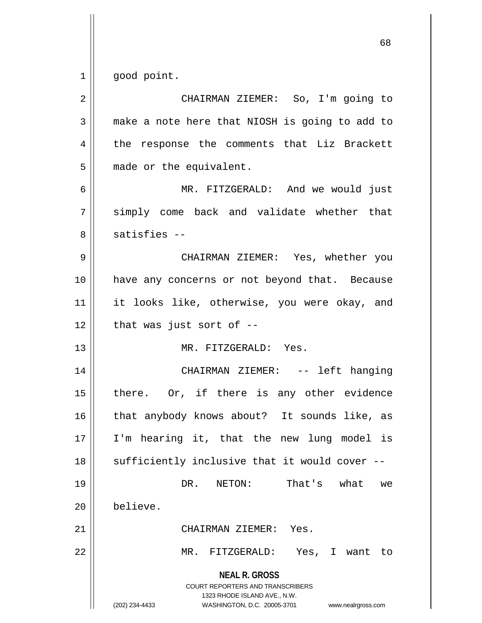$1 \parallel$  good point.

| $\overline{2}$ | CHAIRMAN ZIEMER: So, I'm going to                                                                                                                                      |
|----------------|------------------------------------------------------------------------------------------------------------------------------------------------------------------------|
| 3              | make a note here that NIOSH is going to add to                                                                                                                         |
| 4              | the response the comments that Liz Brackett                                                                                                                            |
| 5              | made or the equivalent.                                                                                                                                                |
| 6              | MR. FITZGERALD: And we would just                                                                                                                                      |
| 7              | simply come back and validate whether that                                                                                                                             |
| 8              | $satisfies --$                                                                                                                                                         |
| 9              | CHAIRMAN ZIEMER: Yes, whether you                                                                                                                                      |
| 10             | have any concerns or not beyond that. Because                                                                                                                          |
| 11             | it looks like, otherwise, you were okay, and                                                                                                                           |
| 12             | that was just sort of $-$ -                                                                                                                                            |
| 13             | MR. FITZGERALD: Yes.                                                                                                                                                   |
| 14             | CHAIRMAN ZIEMER: -- left hanging                                                                                                                                       |
| 15             | there. Or, if there is any other evidence                                                                                                                              |
| 16             | that anybody knows about? It sounds like, as                                                                                                                           |
| 17             | I'm hearing it, that the new lung model is                                                                                                                             |
| 18             | sufficiently inclusive that it would cover                                                                                                                             |
| 19             | That's<br>what<br>DR.<br>NETON:<br>we                                                                                                                                  |
| 20             | believe.                                                                                                                                                               |
| 21             | CHAIRMAN ZIEMER:<br>Yes.                                                                                                                                               |
| 22             | MR.<br>FITZGERALD:<br>Yes, I want to                                                                                                                                   |
|                | <b>NEAL R. GROSS</b><br><b>COURT REPORTERS AND TRANSCRIBERS</b><br>1323 RHODE ISLAND AVE., N.W.<br>(202) 234-4433<br>WASHINGTON, D.C. 20005-3701<br>www.nealrgross.com |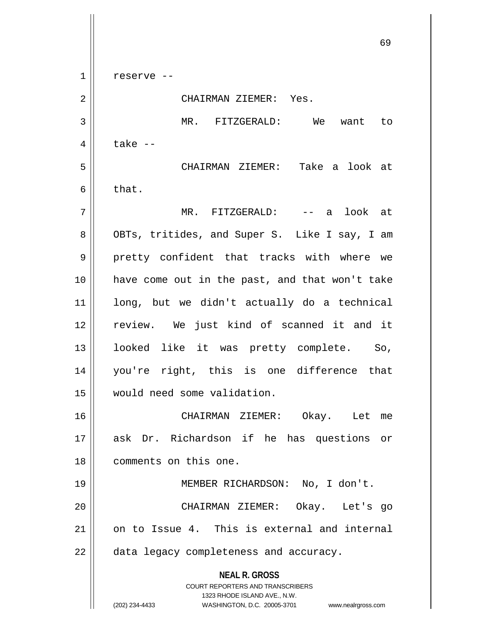**NEAL R. GROSS** COURT REPORTERS AND TRANSCRIBERS 1323 RHODE ISLAND AVE., N.W. (202) 234-4433 WASHINGTON, D.C. 20005-3701 www.nealrgross.com  $1 \parallel$  reserve --2 CHAIRMAN ZIEMER: Yes. 3 MR. FITZGERALD: We want to  $4 \parallel$  take  $-$ 5 CHAIRMAN ZIEMER: Take a look at  $6 \parallel$  that. 7 MR. FITZGERALD: -- a look at 8 || OBTs, tritides, and Super S. Like I say, I am 9 || pretty confident that tracks with where we 10 have come out in the past, and that won't take 11 long, but we didn't actually do a technical 12 || review. We just kind of scanned it and it 13 looked like it was pretty complete. So, 14 you're right, this is one difference that 15 would need some validation. 16 CHAIRMAN ZIEMER: Okay. Let me 17 ask Dr. Richardson if he has questions or 18 comments on this one. 19 MEMBER RICHARDSON: No, I don't. 20 CHAIRMAN ZIEMER: Okay. Let's go 21 on to Issue 4. This is external and internal 22 | data legacy completeness and accuracy.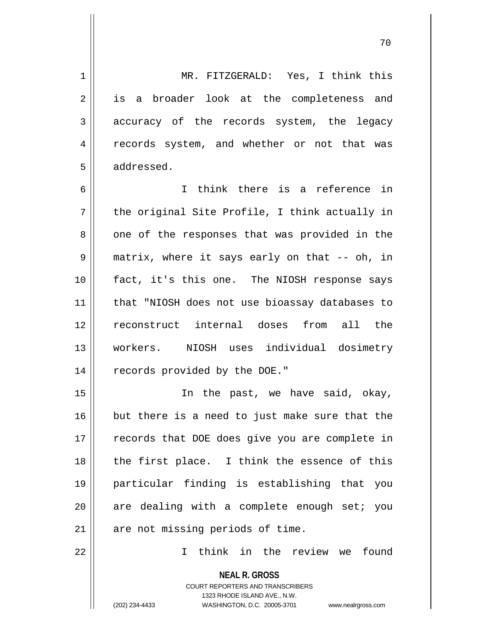1 MR. FITZGERALD: Yes, I think this 2 || is a broader look at the completeness and 3 accuracy of the records system, the legacy 4 || records system, and whether or not that was 5 addressed. 6 I think there is a reference in  $7 \parallel$  the original Site Profile, I think actually in  $8 \parallel$  one of the responses that was provided in the 9 matrix, where it says early on that -- oh, in 10 fact, it's this one. The NIOSH response says 11 that "NIOSH does not use bioassay databases to 12 reconstruct internal doses from all the 13 workers. NIOSH uses individual dosimetry 14 | records provided by the DOE." 15 || The past, we have said, okay, 16 but there is a need to just make sure that the 17 || records that DOE does give you are complete in  $18$  || the first place. I think the essence of this 19 particular finding is establishing that you  $20$  are dealing with a complete enough set; you  $21$  | are not missing periods of time. 22 I think in the review we found

> COURT REPORTERS AND TRANSCRIBERS 1323 RHODE ISLAND AVE., N.W. (202) 234-4433 WASHINGTON, D.C. 20005-3701 www.nealrgross.com

**NEAL R. GROSS**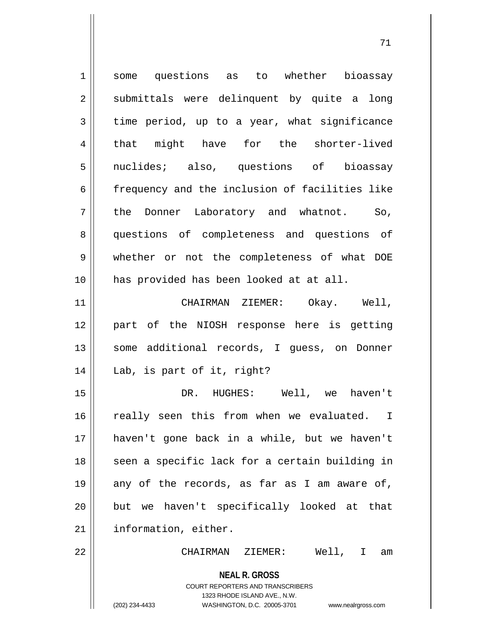| $\mathbf 1$    | some questions as to whether bioassay                                                                                                                                  |
|----------------|------------------------------------------------------------------------------------------------------------------------------------------------------------------------|
| $\sqrt{2}$     | submittals were delinquent by quite a long                                                                                                                             |
| 3              | time period, up to a year, what significance                                                                                                                           |
| $\overline{4}$ | that might have for the shorter-lived                                                                                                                                  |
| 5              | nuclides; also, questions of bioassay                                                                                                                                  |
| 6              | frequency and the inclusion of facilities like                                                                                                                         |
| 7              | the Donner Laboratory and whatnot. So,                                                                                                                                 |
| 8              | questions of completeness and questions of                                                                                                                             |
| $\mathsf 9$    | whether or not the completeness of what DOE                                                                                                                            |
| 10             | has provided has been looked at at all.                                                                                                                                |
| 11             | CHAIRMAN ZIEMER:<br>Okay. Well,                                                                                                                                        |
| 12             | part of the NIOSH response here is getting                                                                                                                             |
| 13             | some additional records, I guess, on Donner                                                                                                                            |
| 14             | Lab, is part of it, right?                                                                                                                                             |
| 15             | HUGHES: Well, we<br>haven't<br>DR.                                                                                                                                     |
| 16             | really seen this from when we evaluated. I                                                                                                                             |
| 17             | haven't gone back in a while, but we haven't                                                                                                                           |
| 18             | seen a specific lack for a certain building in                                                                                                                         |
| 19             | any of the records, as far as I am aware of,                                                                                                                           |
| 20             | but we haven't specifically looked at that                                                                                                                             |
| 21             | information, either.                                                                                                                                                   |
| 22             | Well, I am<br>CHAIRMAN ZIEMER:                                                                                                                                         |
|                | <b>NEAL R. GROSS</b><br><b>COURT REPORTERS AND TRANSCRIBERS</b><br>1323 RHODE ISLAND AVE., N.W.<br>(202) 234-4433<br>WASHINGTON, D.C. 20005-3701<br>www.nealrgross.com |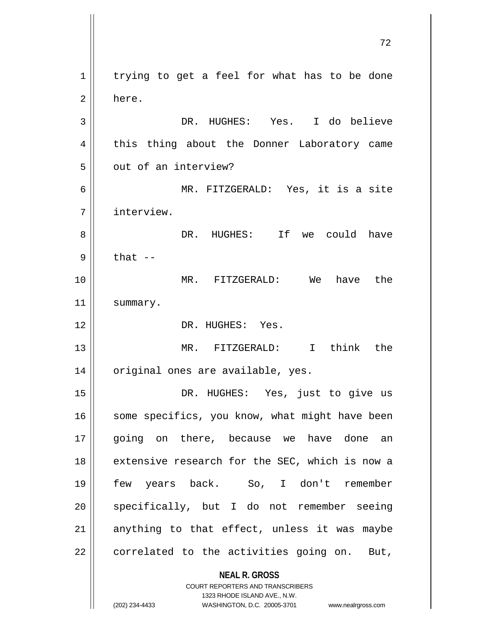**NEAL R. GROSS** COURT REPORTERS AND TRANSCRIBERS  $1 \parallel$  trying to get a feel for what has to be done 2 here. 3 DR. HUGHES: Yes. I do believe 4 || this thing about the Donner Laboratory came 5 | out of an interview? 6 MR. FITZGERALD: Yes, it is a site 7 interview. 8 DR. HUGHES: If we could have  $9 \parallel$  that  $-$ 10 MR. FITZGERALD: We have the 11 | summary. 12 DR. HUGHES: Yes. 13 MR. FITZGERALD: I think the 14 || original ones are available, yes. 15 DR. HUGHES: Yes, just to give us  $16$  some specifics, you know, what might have been 17 || going on there, because we have done an 18 || extensive research for the SEC, which is now a 19 few years back. So, I don't remember  $20$  specifically, but I do not remember seeing 21  $\parallel$  anything to that effect, unless it was maybe  $22$  | correlated to the activities going on. But,

1323 RHODE ISLAND AVE., N.W.

(202) 234-4433 WASHINGTON, D.C. 20005-3701 www.nealrgross.com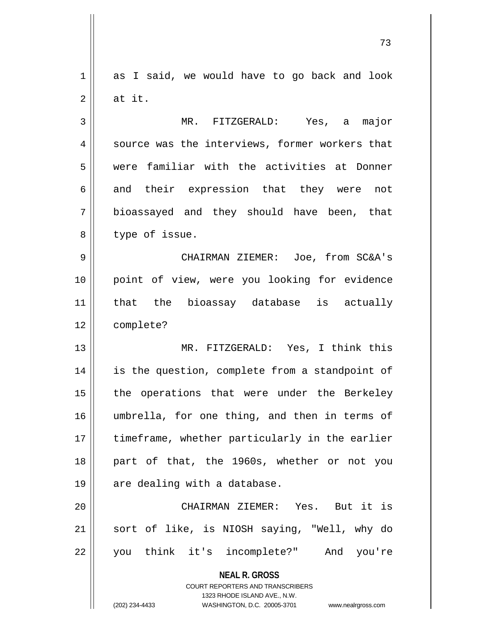1 as I said, we would have to go back and look  $2 \parallel$  at it.

3 MR. FITZGERALD: Yes, a major 4 || source was the interviews, former workers that 5 were familiar with the activities at Donner 6 and their expression that they were not  $7 \parallel$  bioassayed and they should have been, that  $8$  | type of issue.

9 CHAIRMAN ZIEMER: Joe, from SC&A's 10 point of view, were you looking for evidence 11 that the bioassay database is actually 12 complete?

13 MR. FITZGERALD: Yes, I think this 14 || is the question, complete from a standpoint of 15 || the operations that were under the Berkeley 16 umbrella, for one thing, and then in terms of 17 || timeframe, whether particularly in the earlier 18 part of that, the 1960s, whether or not you  $19 \parallel$  are dealing with a database.

20 CHAIRMAN ZIEMER: Yes. But it is 21 sort of like, is NIOSH saying, "Well, why do 22 you think it's incomplete?" And you're

> **NEAL R. GROSS** COURT REPORTERS AND TRANSCRIBERS 1323 RHODE ISLAND AVE., N.W.

(202) 234-4433 WASHINGTON, D.C. 20005-3701 www.nealrgross.com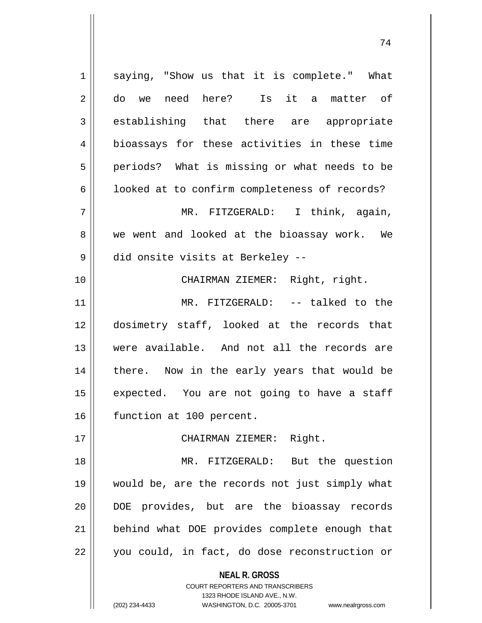| $\mathbf 1$ | saying, "Show us that it is complete." What              |
|-------------|----------------------------------------------------------|
| 2           | do we need here? Is it a matter of                       |
| 3           | establishing that there are appropriate                  |
| 4           | bioassays for these activities in these time             |
| 5           | periods? What is missing or what needs to be             |
| 6           | looked at to confirm completeness of records?            |
| 7           | MR. FITZGERALD: I think, again,                          |
| 8           | we went and looked at the bioassay work. We              |
| 9           | did onsite visits at Berkeley --                         |
| 10          | CHAIRMAN ZIEMER: Right, right.                           |
| 11          | MR. FITZGERALD: -- talked to the                         |
| 12          | dosimetry staff, looked at the records that              |
| 13          | were available. And not all the records are              |
| 14          | there. Now in the early years that would be              |
| 15          | expected. You are not going to have a staff              |
| 16          | function at 100 percent.                                 |
| 17          | CHAIRMAN ZIEMER: Right.                                  |
| 18          | MR. FITZGERALD: But the question                         |
| 19          | would be, are the records not just simply what           |
| 20          | DOE provides, but are the bioassay records               |
| 21          | behind what DOE provides complete enough that            |
| 22          | you could, in fact, do dose reconstruction or            |
|             | <b>NEAL R. GROSS</b><br>COURT REPORTERS AND TRANSCRIBERS |

1323 RHODE ISLAND AVE., N.W.

 $\begin{array}{c} \hline \end{array}$ 

(202) 234-4433 WASHINGTON, D.C. 20005-3701 www.nealrgross.com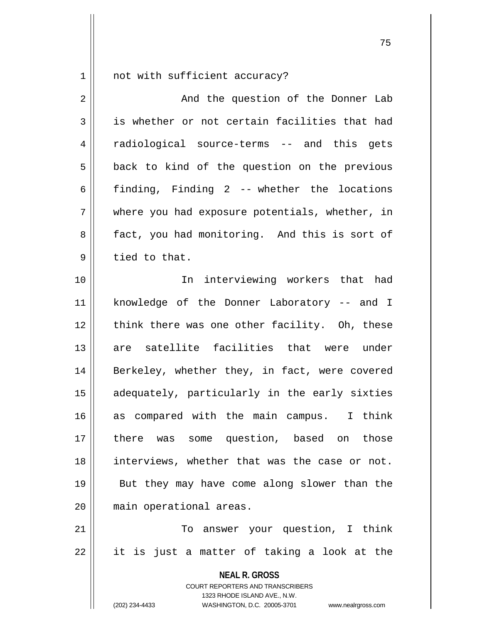1 | not with sufficient accuracy?

| $\overline{2}$ | And the question of the Donner Lab                                                                                                                                     |
|----------------|------------------------------------------------------------------------------------------------------------------------------------------------------------------------|
| 3              | is whether or not certain facilities that had                                                                                                                          |
| 4              | radiological source-terms -- and this gets                                                                                                                             |
| 5              | back to kind of the question on the previous                                                                                                                           |
| 6              | finding, Finding 2 -- whether the locations                                                                                                                            |
| 7              | where you had exposure potentials, whether, in                                                                                                                         |
| 8              | fact, you had monitoring. And this is sort of                                                                                                                          |
| $\mathsf 9$    | tied to that.                                                                                                                                                          |
| 10             | In interviewing workers that had                                                                                                                                       |
| 11             | knowledge of the Donner Laboratory -- and I                                                                                                                            |
| 12             | think there was one other facility. Oh, these                                                                                                                          |
| 13             | are satellite facilities that were under                                                                                                                               |
| 14             | Berkeley, whether they, in fact, were covered                                                                                                                          |
| 15             | adequately, particularly in the early sixties                                                                                                                          |
| 16             | as compared with the main campus. I think                                                                                                                              |
| 17             | there was some question, based on those                                                                                                                                |
| 18             | interviews, whether that was the case or not.                                                                                                                          |
| 19             | But they may have come along slower than the                                                                                                                           |
| 20             | main operational areas.                                                                                                                                                |
| 21             | To answer your question, I think                                                                                                                                       |
| 22             | it is just a matter of taking a look at the                                                                                                                            |
|                | <b>NEAL R. GROSS</b><br><b>COURT REPORTERS AND TRANSCRIBERS</b><br>1323 RHODE ISLAND AVE., N.W.<br>WASHINGTON, D.C. 20005-3701<br>(202) 234-4433<br>www.nealrgross.com |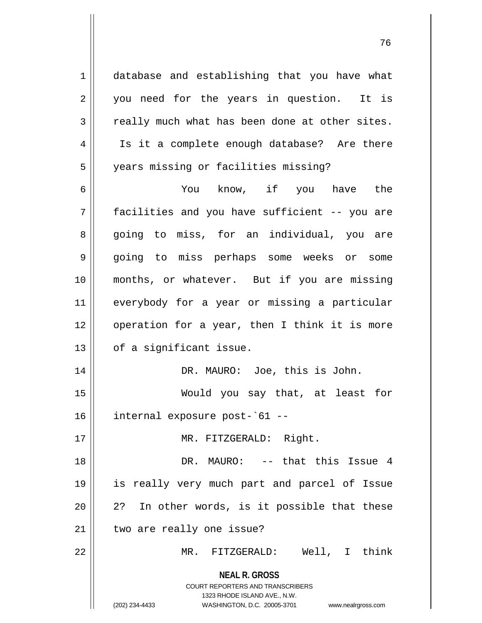1 database and establishing that you have what 2 || you need for the years in question. It is  $3 \parallel$  really much what has been done at other sites. 4 || Is it a complete enough database? Are there 5 | years missing or facilities missing? 6 You know, if you have the 7 facilities and you have sufficient -- you are 8 || going to miss, for an individual, you are

9 || going to miss perhaps some weeks or some 10 months, or whatever. But if you are missing 11 everybody for a year or missing a particular 12 || operation for a year, then I think it is more  $13$  | of a significant issue.

14 || DR. MAURO: Joe, this is John.

15 Would you say that, at least for 16 internal exposure post-`61 --

17 || MR. FITZGERALD: Right.

18 DR. MAURO: -- that this Issue 4 19 is really very much part and parcel of Issue  $20 \parallel 2$ ? In other words, is it possible that these  $21$  | two are really one issue?

22 MR. FITZGERALD: Well, I think

**NEAL R. GROSS** COURT REPORTERS AND TRANSCRIBERS

1323 RHODE ISLAND AVE., N.W.

(202) 234-4433 WASHINGTON, D.C. 20005-3701 www.nealrgross.com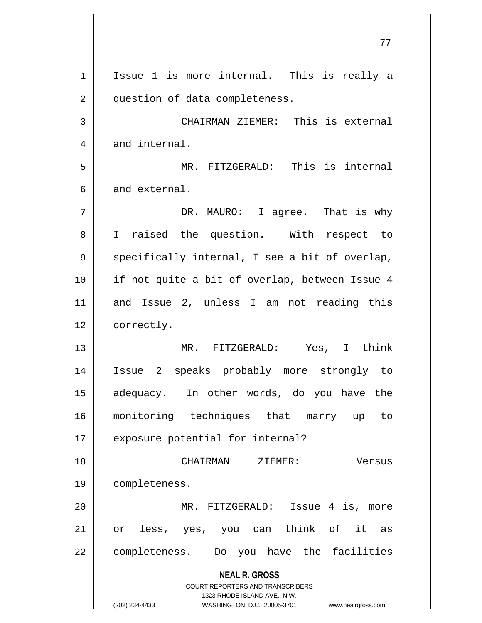**NEAL R. GROSS** COURT REPORTERS AND TRANSCRIBERS 1323 RHODE ISLAND AVE., N.W. (202) 234-4433 WASHINGTON, D.C. 20005-3701 www.nealrgross.com 1 || Issue 1 is more internal. This is really a 2 | question of data completeness. 3 CHAIRMAN ZIEMER: This is external  $4 \parallel$  and internal. 5 MR. FITZGERALD: This is internal 6 and external. 7 DR. MAURO: I agree. That is why 8 || I raised the question. With respect to  $9 \parallel$  specifically internal, I see a bit of overlap, 10 || if not quite a bit of overlap, between Issue 4 11 and Issue 2, unless I am not reading this 12 | correctly. 13 MR. FITZGERALD: Yes, I think 14 Issue 2 speaks probably more strongly to 15 adequacy. In other words, do you have the 16 monitoring techniques that marry up to 17 || exposure potential for internal? 18 CHAIRMAN ZIEMER: Versus 19 completeness. 20 MR. FITZGERALD: Issue 4 is, more 21 || or less, yes, you can think of it as 22 || completeness. Do you have the facilities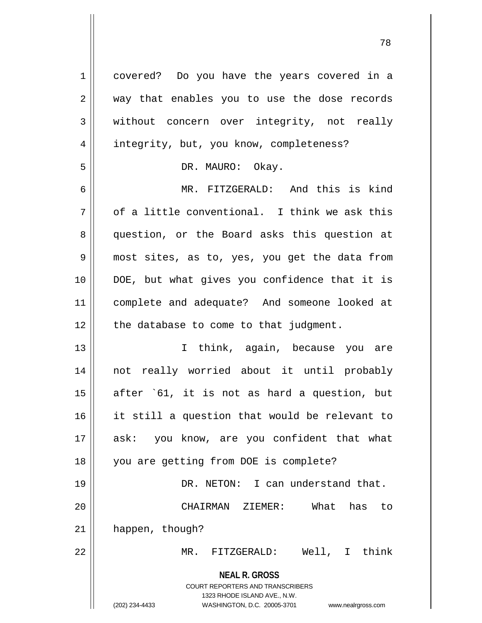| $\mathbf 1$ | covered? Do you have the years covered in a                                                                                                                            |
|-------------|------------------------------------------------------------------------------------------------------------------------------------------------------------------------|
| 2           | way that enables you to use the dose records                                                                                                                           |
| 3           | without concern over integrity, not really                                                                                                                             |
| 4           | integrity, but, you know, completeness?                                                                                                                                |
| 5           | DR. MAURO: Okay.                                                                                                                                                       |
| 6           | MR. FITZGERALD: And this is kind                                                                                                                                       |
| 7           | of a little conventional. I think we ask this                                                                                                                          |
| 8           | question, or the Board asks this question at                                                                                                                           |
| 9           | most sites, as to, yes, you get the data from                                                                                                                          |
| 10          | DOE, but what gives you confidence that it is                                                                                                                          |
| 11          | complete and adequate? And someone looked at                                                                                                                           |
| 12          | the database to come to that judgment.                                                                                                                                 |
| 13          | I think, again, because you are                                                                                                                                        |
| 14          | not really worried about it until probably                                                                                                                             |
| 15          | after `61, it is not as hard a question, but                                                                                                                           |
| 16          | it still a question that would be relevant to                                                                                                                          |
| 17          | you know, are you confident that what<br>ask:                                                                                                                          |
| 18          | you are getting from DOE is complete?                                                                                                                                  |
| 19          | DR. NETON: I can understand that.                                                                                                                                      |
| 20          | What<br>CHAIRMAN ZIEMER:<br>has<br>to                                                                                                                                  |
| 21          | happen, though?                                                                                                                                                        |
| 22          | Well, I think<br>MR.<br>FITZGERALD:                                                                                                                                    |
|             | <b>NEAL R. GROSS</b><br><b>COURT REPORTERS AND TRANSCRIBERS</b><br>1323 RHODE ISLAND AVE., N.W.<br>(202) 234-4433<br>WASHINGTON, D.C. 20005-3701<br>www.nealrgross.com |

 $\mathbf{1}$ 

 $\mathbf{I}$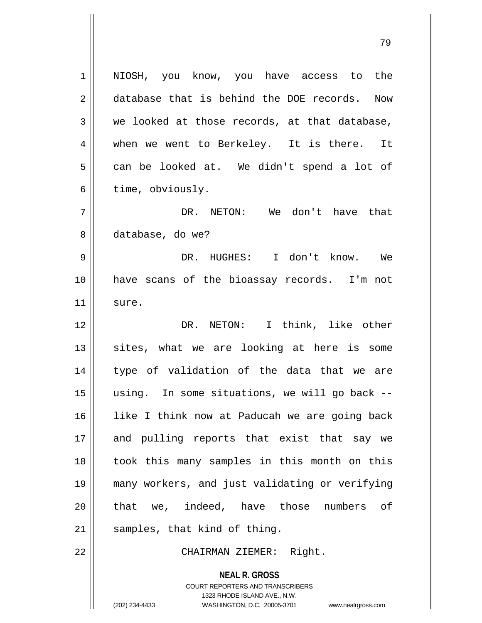**NEAL R. GROSS** COURT REPORTERS AND TRANSCRIBERS 1 || NIOSH, you know, you have access to the 2 database that is behind the DOE records. Now  $3 \parallel$  we looked at those records, at that database, 4 when we went to Berkeley. It is there. It  $5 \parallel$  can be looked at. We didn't spend a lot of  $6 \parallel$  time, obviously. 7 DR. NETON: We don't have that 8 database, do we? 9 DR. HUGHES: I don't know. We 10 have scans of the bioassay records. I'm not  $11$  sure. 12 DR. NETON: I think, like other  $13$  sites, what we are looking at here is some 14 || type of validation of the data that we are 15 using. In some situations, we will go back -- 16 like I think now at Paducah we are going back 17 and pulling reports that exist that say we 18 || took this many samples in this month on this 19 many workers, and just validating or verifying 20 || that we, indeed, have those numbers of  $21$  samples, that kind of thing. 22 || CHAIRMAN ZIEMER: Right.

1323 RHODE ISLAND AVE., N.W.

(202) 234-4433 WASHINGTON, D.C. 20005-3701 www.nealrgross.com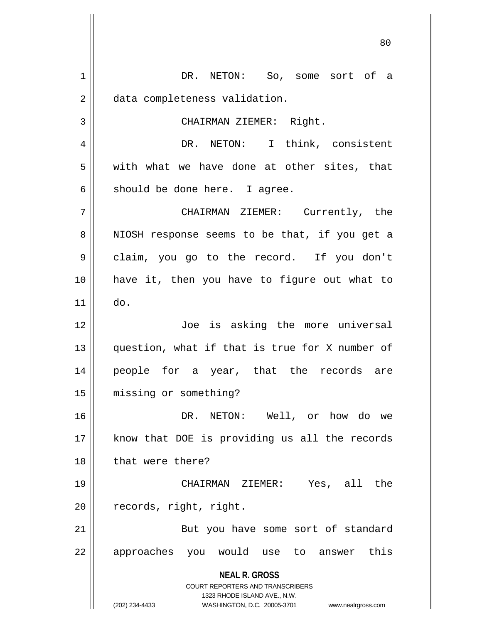**NEAL R. GROSS** COURT REPORTERS AND TRANSCRIBERS 1323 RHODE ISLAND AVE., N.W. (202) 234-4433 WASHINGTON, D.C. 20005-3701 www.nealrgross.com 1 DR. NETON: So, some sort of a 2 | data completeness validation. 3 || CHAIRMAN ZIEMER: Right. 4 DR. NETON: I think, consistent  $5 \parallel$  with what we have done at other sites, that  $6 \parallel$  should be done here. I agree. 7 CHAIRMAN ZIEMER: Currently, the 8 || NIOSH response seems to be that, if you get a 9 || claim, you go to the record. If you don't 10 have it, then you have to figure out what to  $11 \parallel$  do. 12 || Joe is asking the more universal 13 question, what if that is true for X number of 14 people for a year, that the records are 15 missing or something? 16 DR. NETON: Well, or how do we 17 || know that DOE is providing us all the records 18 || that were there? 19 CHAIRMAN ZIEMER: Yes, all the 20 | records, right, right. 21 || But you have some sort of standard 22 || approaches you would use to answer this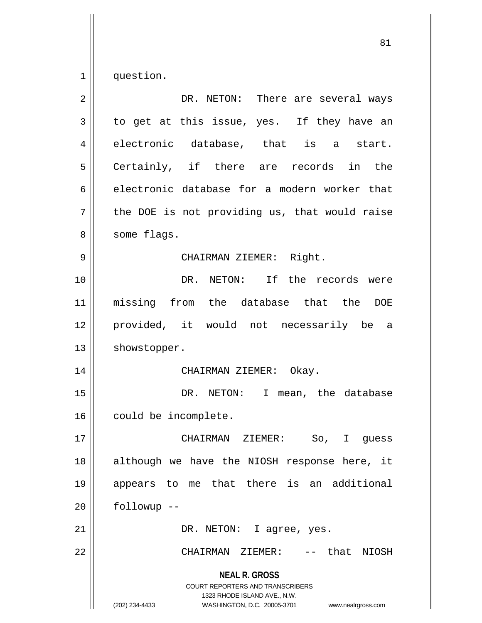$1 \parallel$  question.

| $\overline{2}$ | DR. NETON: There are several ways                                                                                                                               |
|----------------|-----------------------------------------------------------------------------------------------------------------------------------------------------------------|
| 3              | to get at this issue, yes. If they have an                                                                                                                      |
| $\overline{4}$ | electronic database, that is<br>start.<br>a                                                                                                                     |
| 5              | Certainly, if there are records in the                                                                                                                          |
| 6              | electronic database for a modern worker that                                                                                                                    |
| 7              | the DOE is not providing us, that would raise                                                                                                                   |
| 8              | some flags.                                                                                                                                                     |
| 9              | CHAIRMAN ZIEMER: Right.                                                                                                                                         |
| 10             | DR. NETON: If the records were                                                                                                                                  |
| 11             | missing from the database that the<br><b>DOE</b>                                                                                                                |
| 12             | provided, it would not necessarily be a                                                                                                                         |
| 13             | showstopper.                                                                                                                                                    |
| 14             | CHAIRMAN ZIEMER: Okay.                                                                                                                                          |
| 15             | I mean, the database<br>DR. NETON:                                                                                                                              |
| 16             | could be incomplete.                                                                                                                                            |
| 17             | CHAIRMAN<br>ZIEMER:<br>So,<br>$\mathbf{I}$<br>guess                                                                                                             |
| 18             | although we have the NIOSH response here, it                                                                                                                    |
| 19             | appears to me that there is an additional                                                                                                                       |
| 20             | followup --                                                                                                                                                     |
| 21             | DR. NETON: I agree, yes.                                                                                                                                        |
| 22             | CHAIRMAN ZIEMER:<br>-- that NIOSH                                                                                                                               |
|                | <b>NEAL R. GROSS</b><br>COURT REPORTERS AND TRANSCRIBERS<br>1323 RHODE ISLAND AVE., N.W.<br>(202) 234-4433<br>WASHINGTON, D.C. 20005-3701<br>www.nealrgross.com |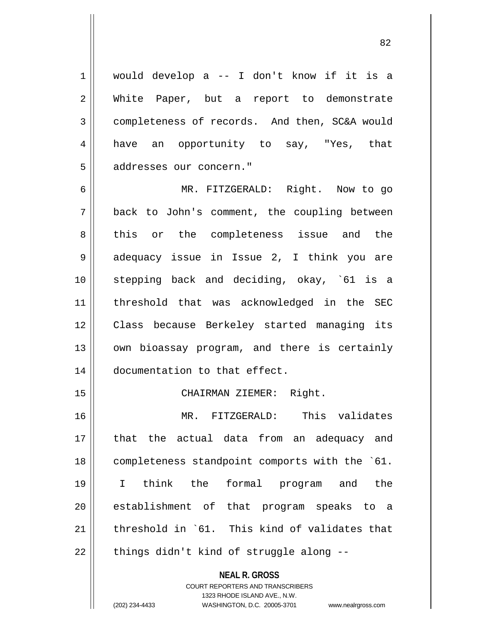1 would develop a -- I don't know if it is a 2 White Paper, but a report to demonstrate 3 completeness of records. And then, SC&A would 4 have an opportunity to say, "Yes, that 5 | addresses our concern."

6 MR. FITZGERALD: Right. Now to go 7 back to John's comment, the coupling between 8 this or the completeness issue and the 9 || adequacy issue in Issue 2, I think you are 10 stepping back and deciding, okay, `61 is a 11 threshold that was acknowledged in the SEC 12 Class because Berkeley started managing its 13 || own bioassay program, and there is certainly 14 documentation to that effect.

15 || CHAIRMAN ZIEMER: Right.

16 MR. FITZGERALD: This validates 17 that the actual data from an adequacy and 18 | completeness standpoint comports with the `61. 19 I think the formal program and the 20 || establishment of that program speaks to a 21  $\parallel$  threshold in `61. This kind of validates that  $22$  | things didn't kind of struggle along --

> **NEAL R. GROSS** COURT REPORTERS AND TRANSCRIBERS 1323 RHODE ISLAND AVE., N.W. (202) 234-4433 WASHINGTON, D.C. 20005-3701 www.nealrgross.com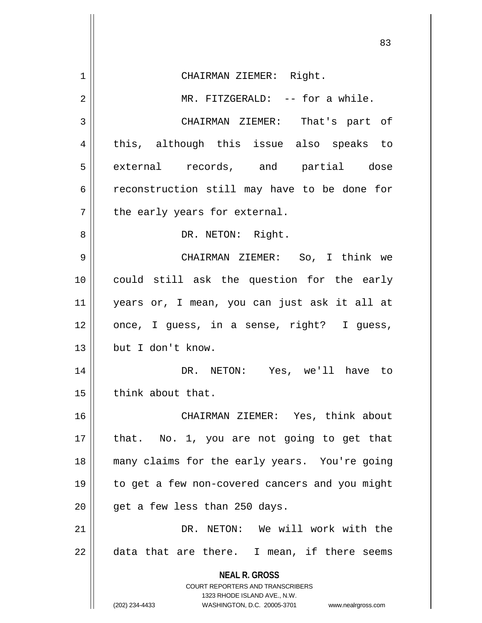|    | 83                                                                                               |
|----|--------------------------------------------------------------------------------------------------|
| 1  | CHAIRMAN ZIEMER: Right.                                                                          |
|    |                                                                                                  |
| 2  | MR. FITZGERALD: -- for a while.                                                                  |
| 3  | CHAIRMAN ZIEMER: That's part of                                                                  |
| 4  | this, although this issue also speaks to                                                         |
| 5  | external records, and partial dose                                                               |
| 6  | reconstruction still may have to be done for                                                     |
| 7  | the early years for external.                                                                    |
| 8  | DR. NETON: Right.                                                                                |
| 9  | CHAIRMAN ZIEMER: So, I think we                                                                  |
| 10 | could still ask the question for the early                                                       |
| 11 | years or, I mean, you can just ask it all at                                                     |
| 12 | once, I guess, in a sense, right? I guess,                                                       |
| 13 | but I don't know.                                                                                |
| 14 | DR. NETON: Yes, we'll have to                                                                    |
| 15 | think about that.                                                                                |
| 16 | CHAIRMAN ZIEMER: Yes, think about                                                                |
| 17 | that. No. 1, you are not going to get that                                                       |
| 18 | many claims for the early years. You're going                                                    |
| 19 | to get a few non-covered cancers and you might                                                   |
| 20 | get a few less than 250 days.                                                                    |
| 21 | DR. NETON: We will work with the                                                                 |
| 22 | data that are there. I mean, if there seems                                                      |
|    | <b>NEAL R. GROSS</b>                                                                             |
|    | <b>COURT REPORTERS AND TRANSCRIBERS</b>                                                          |
|    | 1323 RHODE ISLAND AVE., N.W.<br>(202) 234-4433<br>WASHINGTON, D.C. 20005-3701 www.nealrgross.com |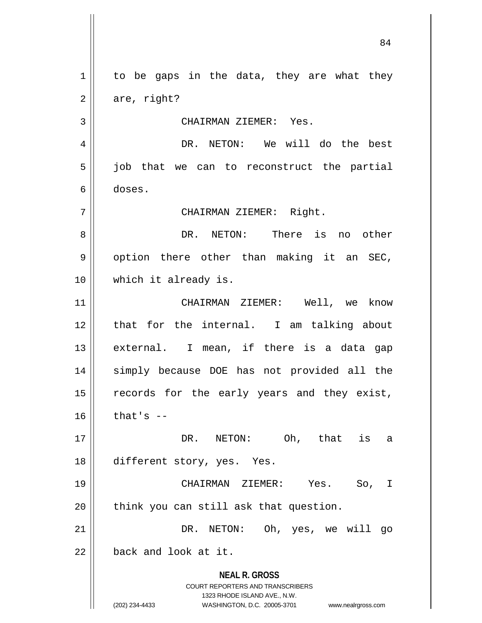**NEAL R. GROSS** COURT REPORTERS AND TRANSCRIBERS 1323 RHODE ISLAND AVE., N.W. (202) 234-4433 WASHINGTON, D.C. 20005-3701 www.nealrgross.com  $1 \parallel$  to be gaps in the data, they are what they  $2 \parallel$  are, right? 3 CHAIRMAN ZIEMER: Yes. 4 DR. NETON: We will do the best  $5 \parallel$  job that we can to reconstruct the partial 6 doses. 7 || CHAIRMAN ZIEMER: Right. 8 DR. NETON: There is no other  $9 \parallel$  option there other than making it an SEC, 10 || which it already is. 11 CHAIRMAN ZIEMER: Well, we know 12 || that for the internal. I am talking about 13 || external. I mean, if there is a data gap 14 simply because DOE has not provided all the 15 || records for the early years and they exist,  $16$  that's  $-$ 17 || DR. NETON: Oh, that is a 18 different story, yes. Yes. 19 CHAIRMAN ZIEMER: Yes. So, I  $20$  || think you can still ask that question. 21 || DR. NETON: Oh, yes, we will go  $22$  | back and look at it.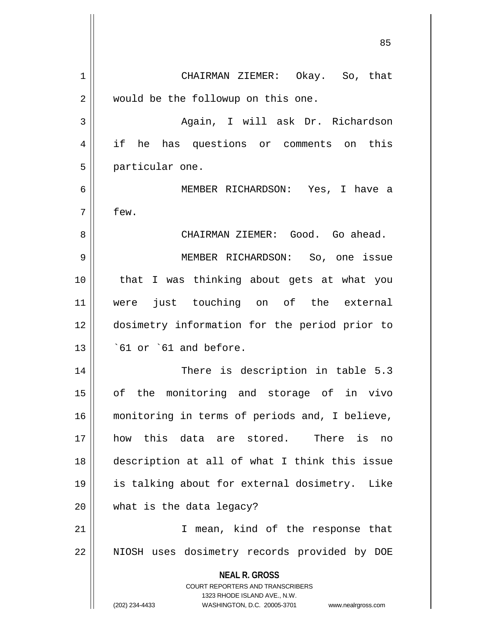**NEAL R. GROSS** COURT REPORTERS AND TRANSCRIBERS 1323 RHODE ISLAND AVE., N.W. (202) 234-4433 WASHINGTON, D.C. 20005-3701 www.nealrgross.com 1 CHAIRMAN ZIEMER: Okay. So, that 2 | would be the followup on this one. 3 Again, I will ask Dr. Richardson 4 if he has questions or comments on this 5 | particular one. 6 MEMBER RICHARDSON: Yes, I have a  $7 \parallel$  few. 8 CHAIRMAN ZIEMER: Good. Go ahead. 9 MEMBER RICHARDSON: So, one issue 10 that I was thinking about gets at what you 11 were just touching on of the external 12 dosimetry information for the period prior to  $13$   $\parallel$   $\cdot$  61 or  $\cdot$  61 and before. 14 || There is description in table 5.3 15 of the monitoring and storage of in vivo 16 monitoring in terms of periods and, I believe, 17 how this data are stored. There is no 18 description at all of what I think this issue 19 is talking about for external dosimetry. Like  $20$  || what is the data legacy? 21 || T mean, kind of the response that 22 || NIOSH uses dosimetry records provided by DOE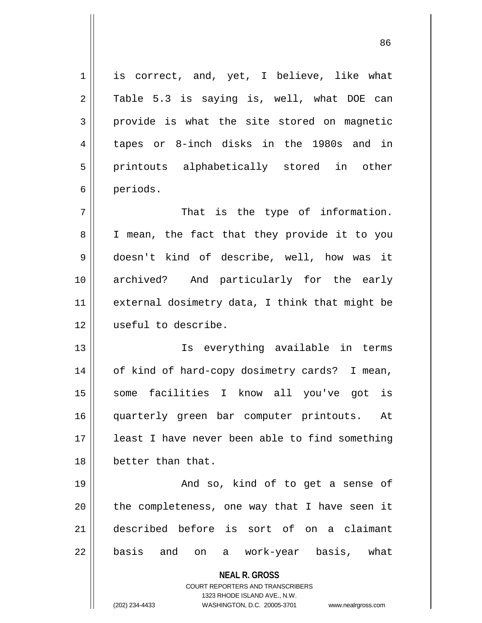**NEAL R. GROSS** COURT REPORTERS AND TRANSCRIBERS 1323 RHODE ISLAND AVE., N.W. 1 || is correct, and, yet, I believe, like what 2 Table 5.3 is saying is, well, what DOE can  $3 \parallel$  provide is what the site stored on magnetic 4 tapes or 8-inch disks in the 1980s and in 5 || printouts alphabetically stored in other 6 periods.  $7$   $\parallel$  That is the type of information. 8 || I mean, the fact that they provide it to you 9 doesn't kind of describe, well, how was it 10 archived? And particularly for the early 11 || external dosimetry data, I think that might be 12 useful to describe. 13 || Ts everything available in terms 14 | of kind of hard-copy dosimetry cards? I mean, 15 || some facilities I know all you've got is 16 quarterly green bar computer printouts. At 17 least I have never been able to find something 18 better than that. 19 And so, kind of to get a sense of  $20$  || the completeness, one way that I have seen it 21 described before is sort of on a claimant 22 || basis and on a work-year basis, what

(202) 234-4433 WASHINGTON, D.C. 20005-3701 www.nealrgross.com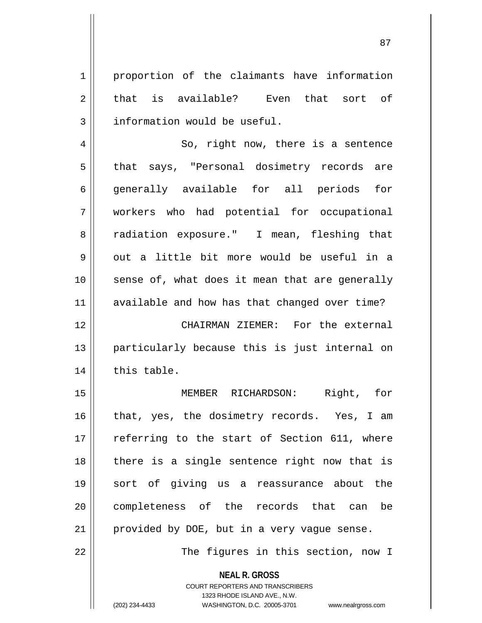1 proportion of the claimants have information 2 that is available? Even that sort of 3 || information would be useful.

4 || So, right now, there is a sentence 5 || that says, "Personal dosimetry records are 6 || generally available for all periods for 7 workers who had potential for occupational 8 || radiation exposure." I mean, fleshing that  $9 \parallel$  out a little bit more would be useful in a  $10$  | sense of, what does it mean that are generally 11 || available and how has that changed over time?

12 CHAIRMAN ZIEMER: For the external 13 particularly because this is just internal on  $14$  | this table.

15 MEMBER RICHARDSON: Right, for 16 || that, yes, the dosimetry records. Yes, I am 17 || referring to the start of Section 611, where 18 || there is a single sentence right now that is 19 sort of giving us a reassurance about the 20 || completeness of the records that can be  $21$  | provided by DOE, but in a very vague sense.

22 || The figures in this section, now I

**NEAL R. GROSS**

COURT REPORTERS AND TRANSCRIBERS 1323 RHODE ISLAND AVE., N.W. (202) 234-4433 WASHINGTON, D.C. 20005-3701 www.nealrgross.com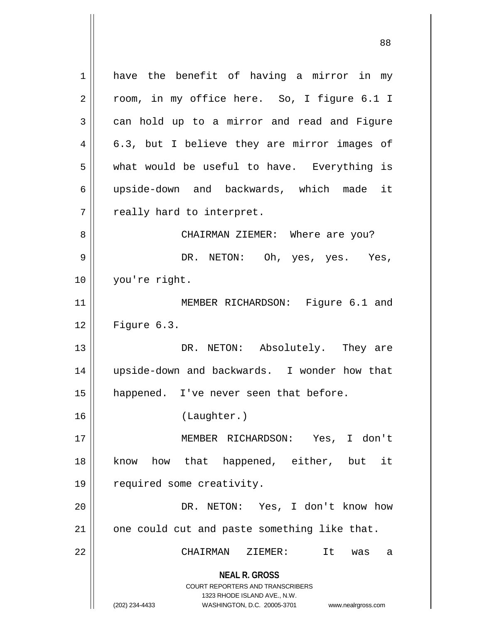**NEAL R. GROSS** COURT REPORTERS AND TRANSCRIBERS 1323 RHODE ISLAND AVE., N.W. (202) 234-4433 WASHINGTON, D.C. 20005-3701 www.nealrgross.com 1 || have the benefit of having a mirror in my 2 || room, in my office here. So, I figure 6.1 I  $3 \parallel$  can hold up to a mirror and read and Figure  $4 \parallel 6.3$ , but I believe they are mirror images of  $5$  || what would be useful to have. Everything is 6 upside-down and backwards, which made it  $7$  || really hard to interpret. 8 CHAIRMAN ZIEMER: Where are you? 9 DR. NETON: Oh, yes, yes. Yes, 10 you're right. 11 || MEMBER RICHARDSON: Figure 6.1 and 12 Figure 6.3. 13 DR. NETON: Absolutely. They are 14 upside-down and backwards. I wonder how that 15 || happened. I've never seen that before. 16 (Laughter.) 17 MEMBER RICHARDSON: Yes, I don't 18 know how that happened, either, but it 19 | required some creativity. 20 DR. NETON: Yes, I don't know how  $21$  | one could cut and paste something like that. 22 CHAIRMAN ZIEMER: It was a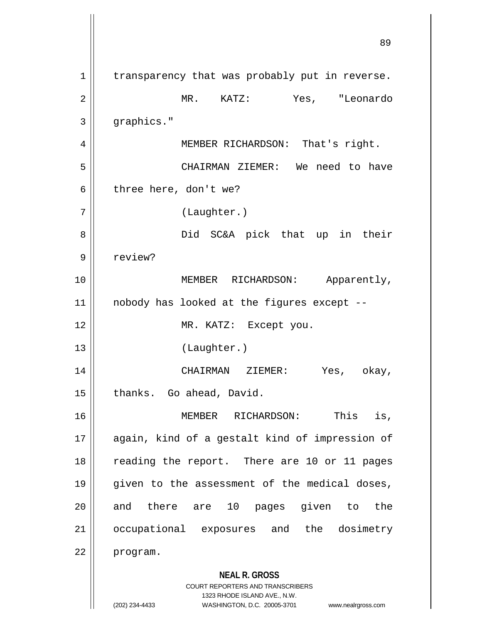**NEAL R. GROSS** COURT REPORTERS AND TRANSCRIBERS 1323 RHODE ISLAND AVE., N.W. (202) 234-4433 WASHINGTON, D.C. 20005-3701 www.nealrgross.com  $1 \parallel$  transparency that was probably put in reverse. 2 MR. KATZ: Yes, "Leonardo  $3 \parallel$  graphics." 4 | MEMBER RICHARDSON: That's right. 5 CHAIRMAN ZIEMER: We need to have  $6 \parallel$  three here, don't we? 7 (Laughter.) 8 Did SC&A pick that up in their 9 || review? 10 || **MEMBER RICHARDSON:** Apparently, 11 nobody has looked at the figures except -- 12 || MR. KATZ: Except you. 13 (Laughter.) 14 CHAIRMAN ZIEMER: Yes, okay, 15 | thanks. Go ahead, David. 16 MEMBER RICHARDSON: This is, 17 || again, kind of a gestalt kind of impression of 18 || reading the report. There are 10 or 11 pages 19 || given to the assessment of the medical doses, 20 and there are 10 pages given to the 21 || occupational exposures and the dosimetry 22 program.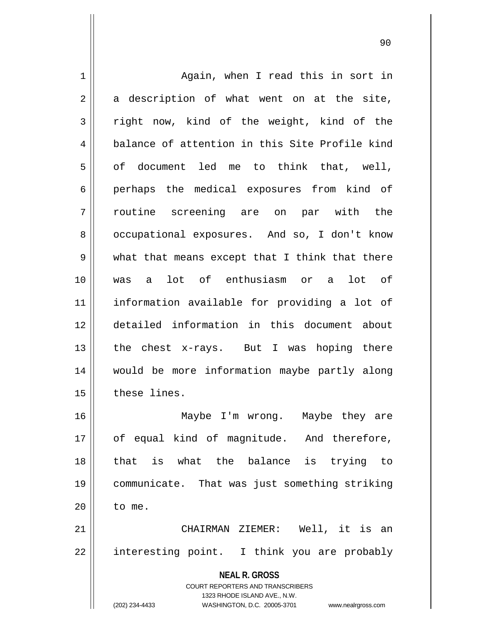**NEAL R. GROSS** COURT REPORTERS AND TRANSCRIBERS 1323 RHODE ISLAND AVE., N.W. 1 | Again, when I read this in sort in  $2 \parallel$  a description of what went on at the site,  $3 \parallel$  right now, kind of the weight, kind of the 4 balance of attention in this Site Profile kind  $5 \parallel$  of document led me to think that, well, 6 perhaps the medical exposures from kind of 7 routine screening are on par with the 8 | occupational exposures. And so, I don't know 9 what that means except that I think that there 10 was a lot of enthusiasm or a lot of 11 information available for providing a lot of 12 detailed information in this document about 13  $\parallel$  the chest x-rays. But I was hoping there 14 would be more information maybe partly along 15 these lines. 16 Maybe I'm wrong. Maybe they are 17 || of equal kind of magnitude. And therefore, 18 that is what the balance is trying to 19 communicate. That was just something striking  $20$  || to me. 21 CHAIRMAN ZIEMER: Well, it is an 22 || interesting point. I think you are probably

(202) 234-4433 WASHINGTON, D.C. 20005-3701 www.nealrgross.com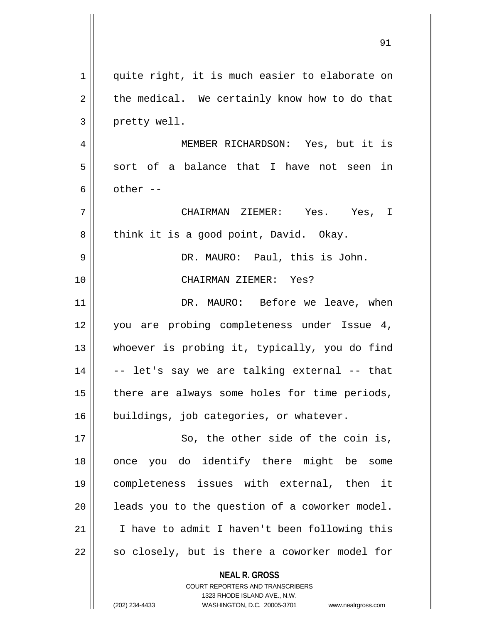| $\mathbf 1$ | quite right, it is much easier to elaborate on           |
|-------------|----------------------------------------------------------|
| 2           | the medical. We certainly know how to do that            |
| 3           | pretty well.                                             |
| 4           | MEMBER RICHARDSON: Yes, but it is                        |
| 5           | sort of a balance that I have not seen in                |
| 6           | other --                                                 |
| 7           | CHAIRMAN ZIEMER: Yes. Yes, I                             |
| 8           | think it is a good point, David. Okay.                   |
| 9           | DR. MAURO: Paul, this is John.                           |
| 10          | CHAIRMAN ZIEMER: Yes?                                    |
| 11          | DR. MAURO: Before we leave, when                         |
| 12          | you are probing completeness under Issue 4,              |
| 13          | whoever is probing it, typically, you do find            |
| 14          | -- let's say we are talking external -- that             |
| 15          | there are always some holes for time periods,            |
| 16          | buildings, job categories, or whatever.                  |
| 17          | So, the other side of the coin is,                       |
| 18          | you do identify there might be some<br>once              |
| 19          | completeness issues with external, then it               |
| 20          | leads you to the question of a coworker model.           |
| 21          | I have to admit I haven't been following this            |
| 22          | so closely, but is there a coworker model for            |
|             | <b>NEAL R. GROSS</b><br>COURT REPORTERS AND TRANSCRIBERS |

1323 RHODE ISLAND AVE., N.W.

 $\prod$ 

(202) 234-4433 WASHINGTON, D.C. 20005-3701 www.nealrgross.com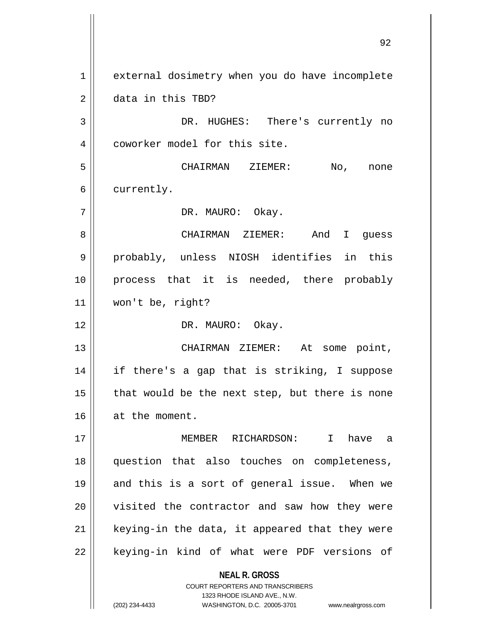**NEAL R. GROSS** COURT REPORTERS AND TRANSCRIBERS 1 | external dosimetry when you do have incomplete 2 **data** in this TBD? 3 DR. HUGHES: There's currently no 4 | coworker model for this site. 5 CHAIRMAN ZIEMER: No, none 6 | currently. 7 || DR. MAURO: Okay. 8 CHAIRMAN ZIEMER: And I guess 9 || probably, unless NIOSH identifies in this 10 || process that it is needed, there probably 11 won't be, right? 12 || DR. MAURO: Okay. 13 CHAIRMAN ZIEMER: At some point, 14 if there's a gap that is striking, I suppose  $15$  | that would be the next step, but there is none 16 at the moment. 17 MEMBER RICHARDSON: I have a 18 question that also touches on completeness, 19 || and this is a sort of general issue. When we 20 || visited the contractor and saw how they were  $21$  | keying-in the data, it appeared that they were 22 || keying-in kind of what were PDF versions of

1323 RHODE ISLAND AVE., N.W.

(202) 234-4433 WASHINGTON, D.C. 20005-3701 www.nealrgross.com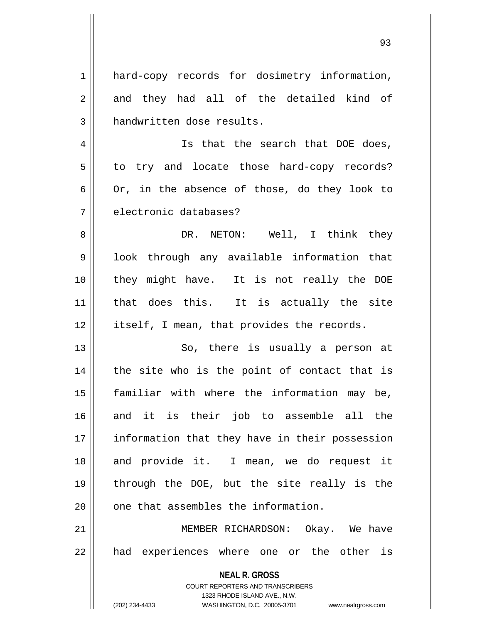| 1  | hard-copy records for dosimetry information,                        |
|----|---------------------------------------------------------------------|
| 2  | and they had all of the detailed kind of                            |
| 3  | handwritten dose results.                                           |
| 4  | Is that the search that DOE does,                                   |
| 5  | to try and locate those hard-copy records?                          |
| 6  | Or, in the absence of those, do they look to                        |
| 7  | electronic databases?                                               |
| 8  | DR. NETON: Well, I think they                                       |
| 9  | look through any available information that                         |
| 10 | they might have. It is not really the DOE                           |
| 11 | that does this. It is actually the site                             |
| 12 | itself, I mean, that provides the records.                          |
| 13 | So, there is usually a person at                                    |
| 14 | the site who is the point of contact that is                        |
| 15 | familiar with where the information may be,                         |
| 16 | and it is their job to assemble all the                             |
| 17 | information that they have in their possession                      |
| 18 | and provide it. I mean, we do request it                            |
| 19 | through the DOE, but the site really is the                         |
| 20 | one that assembles the information.                                 |
| 21 | MEMBER RICHARDSON: Okay. We have                                    |
| 22 | had experiences where one or the other is                           |
|    | <b>NEAL R. GROSS</b>                                                |
|    | COURT REPORTERS AND TRANSCRIBERS                                    |
|    | 1323 RHODE ISLAND AVE., N.W.                                        |
|    | (202) 234-4433<br>WASHINGTON, D.C. 20005-3701<br>www.nealrgross.com |

 $\mathsf{I}$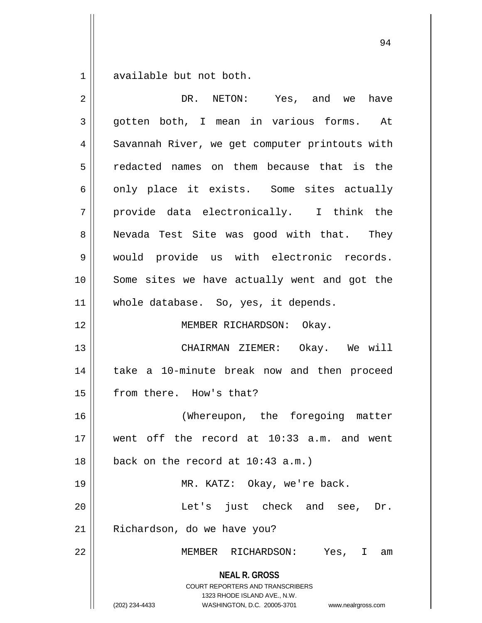$1 \parallel$  available but not both.

| $\overline{2}$ | DR. NETON: Yes, and we have                                                                                                                                            |
|----------------|------------------------------------------------------------------------------------------------------------------------------------------------------------------------|
| 3              | gotten both, I mean in various forms.<br>At                                                                                                                            |
| $\overline{4}$ | Savannah River, we get computer printouts with                                                                                                                         |
| 5              | redacted names on them because that is the                                                                                                                             |
| 6              | only place it exists. Some sites actually                                                                                                                              |
| 7              | provide data electronically. I think the                                                                                                                               |
| 8              | Nevada Test Site was good with that. They                                                                                                                              |
| 9              | would provide us with electronic records.                                                                                                                              |
| 10             | Some sites we have actually went and got the                                                                                                                           |
| 11             | whole database. So, yes, it depends.                                                                                                                                   |
| 12             | MEMBER RICHARDSON: Okay.                                                                                                                                               |
| 13             | CHAIRMAN ZIEMER: Okay. We will                                                                                                                                         |
| 14             | take a 10-minute break now and then proceed                                                                                                                            |
| 15             | from there. How's that?                                                                                                                                                |
| 16             | (Whereupon, the foregoing matter                                                                                                                                       |
| 17             | went off the record at 10:33 a.m. and went                                                                                                                             |
| 18             | back on the record at $10:43$ a.m.)                                                                                                                                    |
| 19             | MR. KATZ: Okay, we're back.                                                                                                                                            |
| 20             | Let's just check and see,<br>Dr.                                                                                                                                       |
| 21             | Richardson, do we have you?                                                                                                                                            |
| 22             | MEMBER RICHARDSON:<br>Yes, I am                                                                                                                                        |
|                | <b>NEAL R. GROSS</b><br><b>COURT REPORTERS AND TRANSCRIBERS</b><br>1323 RHODE ISLAND AVE., N.W.<br>(202) 234-4433<br>WASHINGTON, D.C. 20005-3701<br>www.nealrgross.com |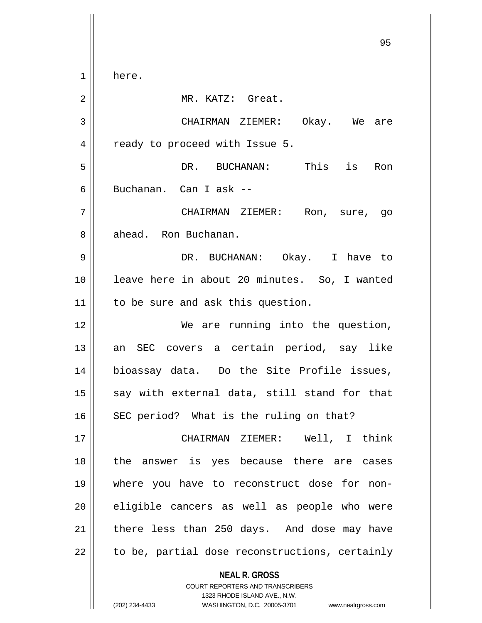**NEAL R. GROSS** COURT REPORTERS AND TRANSCRIBERS 95 1 here. 2 || MR. KATZ: Great. 3 CHAIRMAN ZIEMER: Okay. We are 4 | ready to proceed with Issue 5. 5 DR. BUCHANAN: This is Ron 6 Buchanan. Can I ask -- 7 CHAIRMAN ZIEMER: Ron, sure, go 8 || ahead. Ron Buchanan. 9 DR. BUCHANAN: Okay. I have to 10 leave here in about 20 minutes. So, I wanted 11 | to be sure and ask this question. 12 || We are running into the question, 13 || an SEC covers a certain period, say like 14 bioassay data. Do the Site Profile issues,  $15$  say with external data, still stand for that  $16$  SEC period? What is the ruling on that? 17 CHAIRMAN ZIEMER: Well, I think 18 || the answer is yes because there are cases 19 where you have to reconstruct dose for non- $20$  || eligible cancers as well as people who were  $21$  | there less than 250 days. And dose may have  $22$  | to be, partial dose reconstructions, certainly

1323 RHODE ISLAND AVE., N.W.

(202) 234-4433 WASHINGTON, D.C. 20005-3701 www.nealrgross.com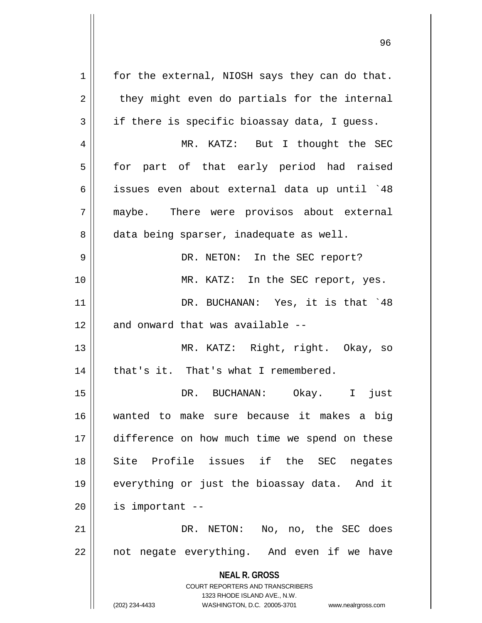**NEAL R. GROSS** COURT REPORTERS AND TRANSCRIBERS 1323 RHODE ISLAND AVE., N.W. (202) 234-4433 WASHINGTON, D.C. 20005-3701 www.nealrgross.com  $1 \parallel$  for the external, NIOSH says they can do that.  $2 \parallel$  they might even do partials for the internal  $3 \parallel$  if there is specific bioassay data, I quess. 4 MR. KATZ: But I thought the SEC 5 || for part of that early period had raised 6 issues even about external data up until `48 7 maybe. There were provisos about external 8 data being sparser, inadequate as well. 9 DR. NETON: In the SEC report? 10 MR. KATZ: In the SEC report, yes. 11 DR. BUCHANAN: Yes, it is that `48  $12$   $\parallel$  and onward that was available --13 MR. KATZ: Right, right. Okay, so  $14$  | that's it. That's what I remembered. 15 DR. BUCHANAN: Okay. I just 16 wanted to make sure because it makes a big 17 || difference on how much time we spend on these 18 || Site Profile issues if the SEC negates 19 everything or just the bioassay data. And it  $20$  || is important  $-$ 21 DR. NETON: No, no, the SEC does  $22$  || not negate everything. And even if we have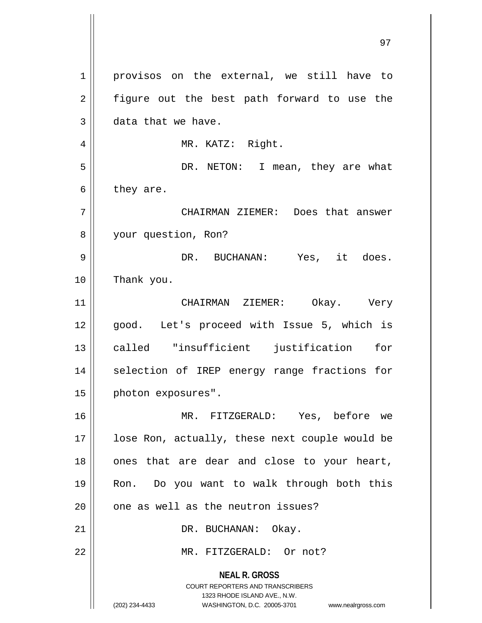**NEAL R. GROSS** COURT REPORTERS AND TRANSCRIBERS 1323 RHODE ISLAND AVE., N.W. (202) 234-4433 WASHINGTON, D.C. 20005-3701 www.nealrgross.com 1 || provisos on the external, we still have to 2 || figure out the best path forward to use the  $3 \parallel$  data that we have. 4 || MR. KATZ: Right. 5 DR. NETON: I mean, they are what  $6 \parallel$  they are. 7 CHAIRMAN ZIEMER: Does that answer 8 your question, Ron? 9 DR. BUCHANAN: Yes, it does. 10 Thank you. 11 CHAIRMAN ZIEMER: Okay. Very 12 || good. Let's proceed with Issue 5, which is 13 called "insufficient justification for 14 || selection of IREP energy range fractions for 15 | photon exposures". 16 MR. FITZGERALD: Yes, before we 17 || lose Ron, actually, these next couple would be  $18$  || ones that are dear and close to your heart, 19 Ron. Do you want to walk through both this  $20$  |  $\degree$  one as well as the neutron issues? 21 || DR. BUCHANAN: Okay. 22 MR. FITZGERALD: Or not?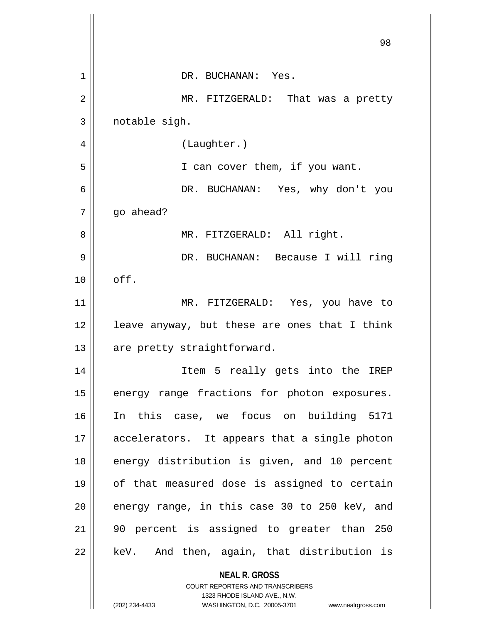|    | 98                                                                  |
|----|---------------------------------------------------------------------|
| 1  | DR. BUCHANAN: Yes.                                                  |
| 2  | MR. FITZGERALD: That was a pretty                                   |
| 3  | notable sigh.                                                       |
| 4  | (Laughter.)                                                         |
| 5  | I can cover them, if you want.                                      |
| 6  | DR. BUCHANAN: Yes, why don't you                                    |
| 7  | go ahead?                                                           |
| 8  | MR. FITZGERALD: All right.                                          |
| 9  | DR. BUCHANAN: Because I will ring                                   |
| 10 | off.                                                                |
| 11 | MR. FITZGERALD: Yes, you have to                                    |
| 12 | leave anyway, but these are ones that I think                       |
| 13 | are pretty straightforward.                                         |
| 14 | Item 5 really gets into the IREP                                    |
| 15 | energy range fractions for photon exposures.                        |
| 16 | In this case, we focus on building 5171                             |
| 17 | accelerators. It appears that a single photon                       |
| 18 | energy distribution is given, and 10 percent                        |
| 19 | of that measured dose is assigned to certain                        |
| 20 | energy range, in this case 30 to 250 keV, and                       |
| 21 | 90 percent is assigned to greater than 250                          |
| 22 | keV. And then, again, that distribution is                          |
|    | <b>NEAL R. GROSS</b><br><b>COURT REPORTERS AND TRANSCRIBERS</b>     |
|    | 1323 RHODE ISLAND AVE., N.W.                                        |
|    | (202) 234-4433<br>WASHINGTON, D.C. 20005-3701<br>www.nealrgross.com |

Ħ  $\mathbf{\mathcal{L}}$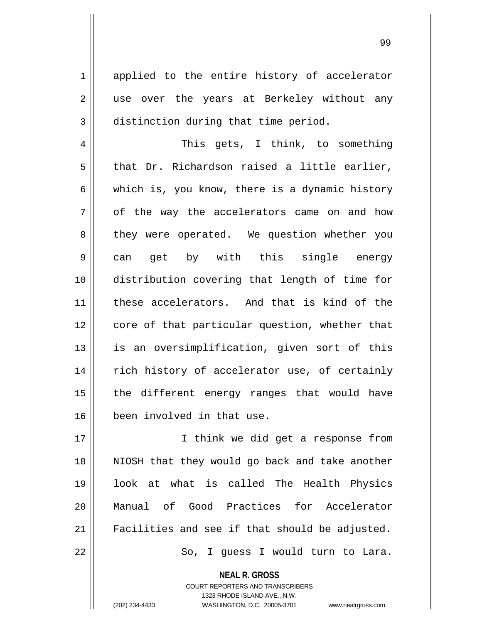1 applied to the entire history of accelerator 2 || use over the years at Berkeley without any 3 distinction during that time period.

4 This gets, I think, to something  $5 \parallel$  that Dr. Richardson raised a little earlier, 6 which is, you know, there is a dynamic history  $7 \parallel$  of the way the accelerators came on and how 8 || they were operated. We question whether you 9|| can get by with this single energy 10 distribution covering that length of time for 11 these accelerators. And that is kind of the 12 core of that particular question, whether that 13 || is an oversimplification, given sort of this 14 || rich history of accelerator use, of certainly  $15$  || the different energy ranges that would have 16 been involved in that use.

17 || I think we did get a response from 18 || NIOSH that they would go back and take another 19 look at what is called The Health Physics 20 Manual of Good Practices for Accelerator 21 | Facilities and see if that should be adjusted. 22 So, I guess I would turn to Lara.

**NEAL R. GROSS**

COURT REPORTERS AND TRANSCRIBERS 1323 RHODE ISLAND AVE., N.W. (202) 234-4433 WASHINGTON, D.C. 20005-3701 www.nealrgross.com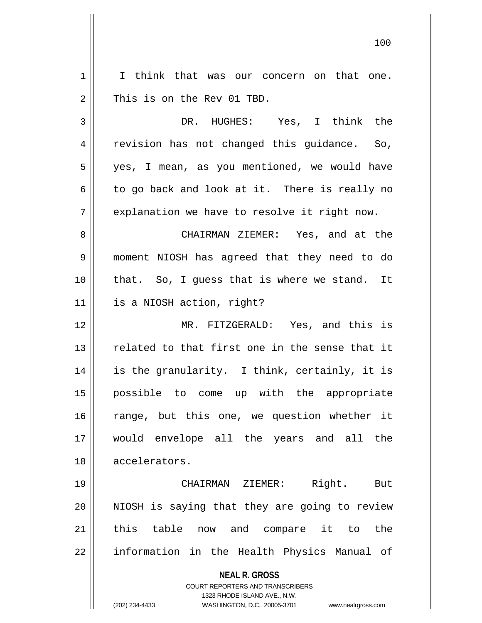| 1  | I think that was our concern on that one.                               |
|----|-------------------------------------------------------------------------|
| 2  | This is on the Rev 01 TBD.                                              |
| 3  | DR. HUGHES: Yes, I think the                                            |
| 4  | revision has not changed this guidance. So,                             |
| 5  | yes, I mean, as you mentioned, we would have                            |
| 6  | to go back and look at it. There is really no                           |
| 7  | explanation we have to resolve it right now.                            |
| 8  | CHAIRMAN ZIEMER: Yes, and at the                                        |
| 9  | moment NIOSH has agreed that they need to do                            |
| 10 | that. So, I guess that is where we stand. It                            |
| 11 | is a NIOSH action, right?                                               |
| 12 | MR. FITZGERALD: Yes, and this is                                        |
| 13 | related to that first one in the sense that it                          |
| 14 | is the granularity. I think, certainly, it is                           |
| 15 | possible to come up with the appropriate                                |
| 16 | range, but this one, we question whether it                             |
| 17 | would envelope all the years and all the                                |
| 18 | accelerators.                                                           |
| 19 | Right.<br>But<br>CHAIRMAN ZIEMER:                                       |
| 20 | NIOSH is saying that they are going to review                           |
| 21 | this table now and compare it to<br>the                                 |
|    |                                                                         |
| 22 | information in the Health Physics Manual of                             |
|    | <b>NEAL R. GROSS</b>                                                    |
|    | <b>COURT REPORTERS AND TRANSCRIBERS</b><br>1323 RHODE ISLAND AVE., N.W. |
|    | (202) 234-4433<br>WASHINGTON, D.C. 20005-3701 www.nealrgross.com        |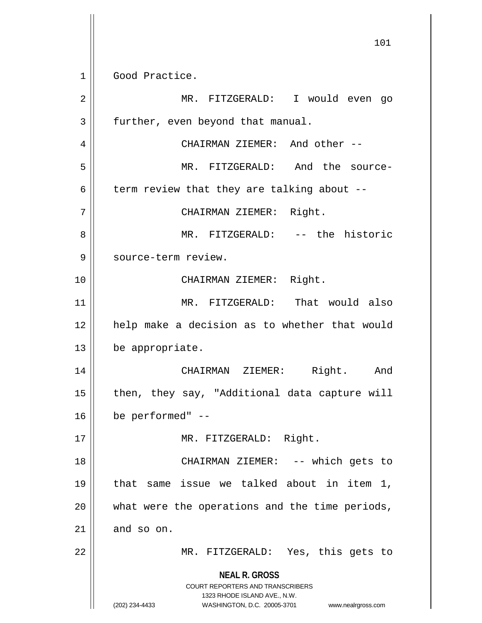**NEAL R. GROSS** COURT REPORTERS AND TRANSCRIBERS 1323 RHODE ISLAND AVE., N.W. (202) 234-4433 WASHINGTON, D.C. 20005-3701 www.nealrgross.com 101 1 Good Practice. 2 MR. FITZGERALD: I would even go 3 | further, even beyond that manual. 4 CHAIRMAN ZIEMER: And other -- 5 MR. FITZGERALD: And the source-6  $\parallel$  term review that they are talking about --7 CHAIRMAN ZIEMER: Right. 8 MR. FITZGERALD: -- the historic 9 | source-term review. 10 CHAIRMAN ZIEMER: Right. 11 MR. FITZGERALD: That would also 12 || help make a decision as to whether that would 13 be appropriate. 14 CHAIRMAN ZIEMER: Right. And 15  $\parallel$  then, they say, "Additional data capture will  $16$  | be performed" --17 || MR. FITZGERALD: Right. 18 || CHAIRMAN ZIEMER: -- which gets to 19 that same issue we talked about in item 1,  $20$  || what were the operations and the time periods,  $21$  and so on. 22 MR. FITZGERALD: Yes, this gets to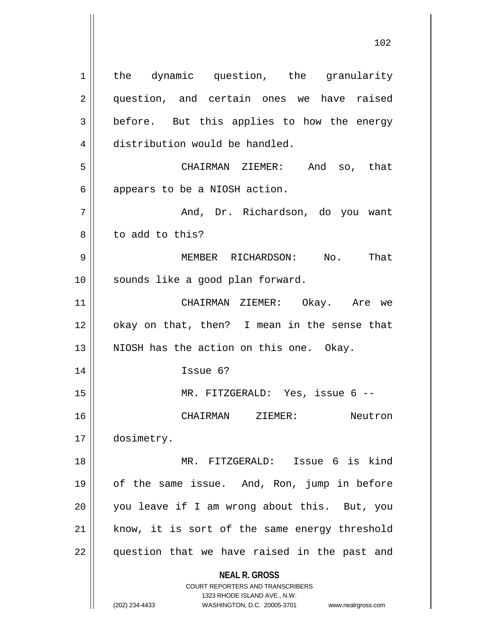**NEAL R. GROSS** COURT REPORTERS AND TRANSCRIBERS 1323 RHODE ISLAND AVE., N.W. (202) 234-4433 WASHINGTON, D.C. 20005-3701 www.nealrgross.com 1 || the dynamic question, the granularity 2 || question, and certain ones we have raised  $3 \parallel$  before. But this applies to how the energy 4 distribution would be handled. 5 CHAIRMAN ZIEMER: And so, that  $6 \parallel$  appears to be a NIOSH action. 7 And, Dr. Richardson, do you want 8 l to add to this? 9 MEMBER RICHARDSON: No. That 10 || sounds like a good plan forward. 11 CHAIRMAN ZIEMER: Okay. Are we 12 || okay on that, then? I mean in the sense that  $13$  || NIOSH has the action on this one. Okay. 14 Issue 6? 15 || MR. FITZGERALD: Yes, issue 6 --16 CHAIRMAN ZIEMER: Neutron 17 | dosimetry. 18 MR. FITZGERALD: Issue 6 is kind 19 of the same issue. And, Ron, jump in before 20 || you leave if I am wrong about this. But, you  $21$  know, it is sort of the same energy threshold 22 || question that we have raised in the past and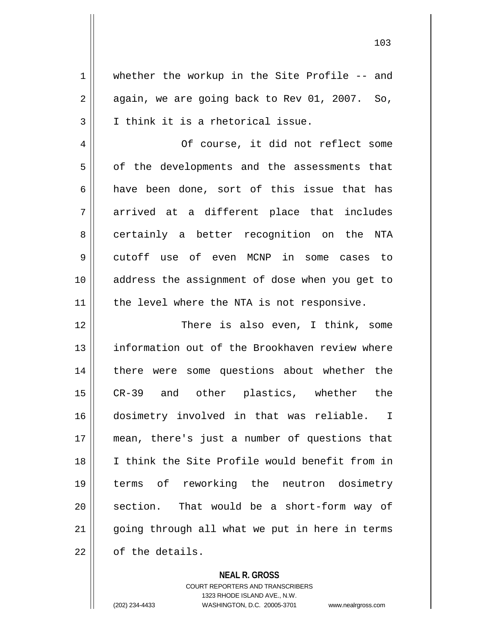1 whether the workup in the Site Profile -- and  $2 \parallel$  again, we are going back to Rev 01, 2007. So,  $3 \parallel$  I think it is a rhetorical issue. 4 || Of course, it did not reflect some  $5 \parallel$  of the developments and the assessments that 6 have been done, sort of this issue that has

 $7 \parallel$  arrived at a different place that includes 8 certainly a better recognition on the NTA 9 cutoff use of even MCNP in some cases to 10 address the assignment of dose when you get to 11 || the level where the NTA is not responsive.

12 There is also even, I think, some 13 || information out of the Brookhaven review where 14 || there were some questions about whether the 15 CR-39 and other plastics, whether the 16 dosimetry involved in that was reliable. I 17 mean, there's just a number of questions that 18 I think the Site Profile would benefit from in 19 terms of reworking the neutron dosimetry  $20$  || section. That would be a short-form way of  $21$  || going through all what we put in here in terms  $22 \parallel$  of the details.

**NEAL R. GROSS**

COURT REPORTERS AND TRANSCRIBERS 1323 RHODE ISLAND AVE., N.W. (202) 234-4433 WASHINGTON, D.C. 20005-3701 www.nealrgross.com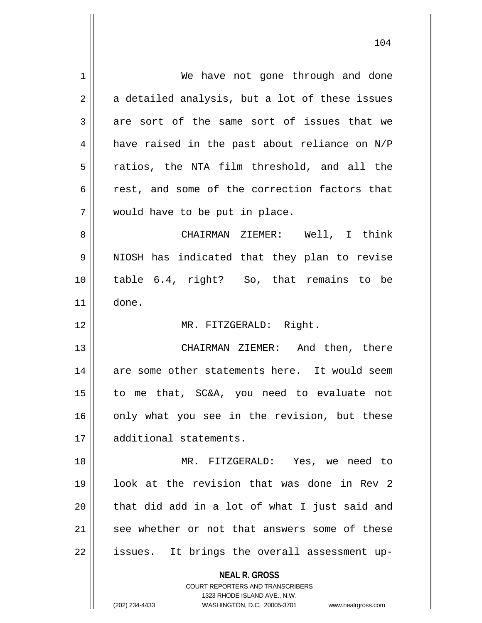| 1           | We have not gone through and done                        |
|-------------|----------------------------------------------------------|
| 2           | a detailed analysis, but a lot of these issues           |
| 3           | are sort of the same sort of issues that we              |
| 4           | have raised in the past about reliance on N/P            |
| 5           | ratios, the NTA film threshold, and all the              |
| 6           | rest, and some of the correction factors that            |
| 7           | would have to be put in place.                           |
| 8           | CHAIRMAN ZIEMER: Well, I think                           |
| $\mathsf 9$ | NIOSH has indicated that they plan to revise             |
| 10          | table 6.4, right? So, that remains to be                 |
| 11          | done.                                                    |
| 12          | MR. FITZGERALD: Right.                                   |
| 13          | CHAIRMAN ZIEMER: And then, there                         |
| 14          | are some other statements here. It would seem            |
| 15          | to me that, SC&A, you need to evaluate not               |
| 16          | only what you see in the revision, but these             |
| 17          | additional statements.                                   |
| 18          | MR. FITZGERALD: Yes, we need to                          |
| 19          | look at the revision that was done in Rev 2              |
| 20          | that did add in a lot of what I just said and            |
| 21          | see whether or not that answers some of these            |
| 22          | It brings the overall assessment up-<br>issues.          |
|             | <b>NEAL R. GROSS</b><br>COURT REPORTERS AND TRANSCRIBERS |

1323 RHODE ISLAND AVE., N.W.

104

 $\mathsf{II}$ 

(202) 234-4433 WASHINGTON, D.C. 20005-3701 www.nealrgross.com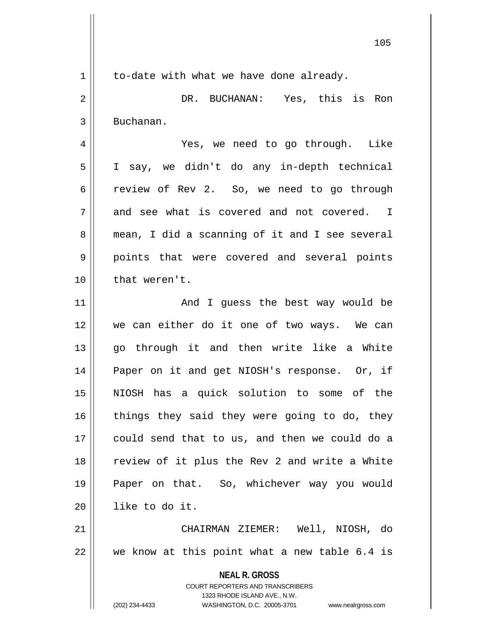105

 $1 \parallel$  to-date with what we have done already.

2 DR. BUCHANAN: Yes, this is Ron 3 | Buchanan.

4 Yes, we need to go through. Like 5 I say, we didn't do any in-depth technical 6 contract Fig. 2. So, we need to go through  $7 \parallel$  and see what is covered and not covered. I 8 || mean, I did a scanning of it and I see several 9 || points that were covered and several points 10 || that weren't.

11 And I guess the best way would be 12 we can either do it one of two ways. We can 13 go through it and then write like a White 14 || Paper on it and get NIOSH's response. Or, if 15 NIOSH has a quick solution to some of the  $16$  things they said they were going to do, they 17 could send that to us, and then we could do a 18 || review of it plus the Rev 2 and write a White 19 Paper on that. So, whichever way you would 20 like to do it.

21 CHAIRMAN ZIEMER: Well, NIOSH, do 22 we know at this point what a new table 6.4 is

> **NEAL R. GROSS** COURT REPORTERS AND TRANSCRIBERS 1323 RHODE ISLAND AVE., N.W. (202) 234-4433 WASHINGTON, D.C. 20005-3701 www.nealrgross.com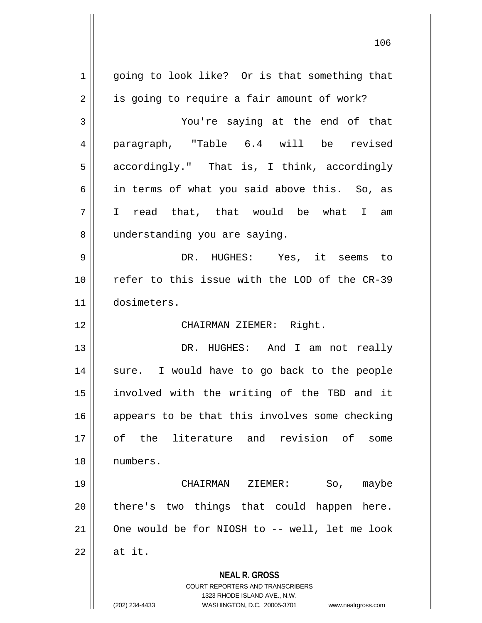**NEAL R. GROSS** COURT REPORTERS AND TRANSCRIBERS 1323 RHODE ISLAND AVE., N.W. (202) 234-4433 WASHINGTON, D.C. 20005-3701 www.nealrgross.com 1 || going to look like? Or is that something that  $2 \parallel$  is going to require a fair amount of work? 3 You're saying at the end of that 4 paragraph, "Table 6.4 will be revised 5 | accordingly." That is, I think, accordingly 6 || in terms of what you said above this. So, as 7 I read that, that would be what I am 8 || understanding you are saying. 9 DR. HUGHES: Yes, it seems to 10 || refer to this issue with the LOD of the CR-39 11 dosimeters. 12 || CHAIRMAN ZIEMER: Right. 13 DR. HUGHES: And I am not really 14 || sure. I would have to go back to the people 15 involved with the writing of the TBD and it 16 || appears to be that this involves some checking 17 of the literature and revision of some 18 numbers. 19 CHAIRMAN ZIEMER: So, maybe  $20$  || there's two things that could happen here. 21 || One would be for NIOSH to -- well, let me look  $22 \parallel$  at it.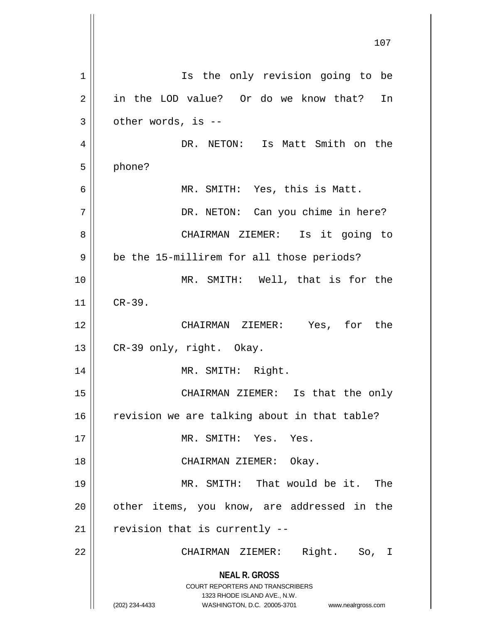**NEAL R. GROSS** COURT REPORTERS AND TRANSCRIBERS 1323 RHODE ISLAND AVE., N.W. (202) 234-4433 WASHINGTON, D.C. 20005-3701 www.nealrgross.com 107 1 || Is the only revision going to be 2 || in the LOD value? Or do we know that? In  $3 \parallel$  other words, is --4 DR. NETON: Is Matt Smith on the 5 phone? 6 MR. SMITH: Yes, this is Matt. 7 DR. NETON: Can you chime in here? 8 CHAIRMAN ZIEMER: Is it going to 9 | be the 15-millirem for all those periods? 10 MR. SMITH: Well, that is for the  $11$  | CR-39. 12 CHAIRMAN ZIEMER: Yes, for the 13  $\parallel$  CR-39 only, right. Okay. 14 || MR. SMITH: Right. 15 CHAIRMAN ZIEMER: Is that the only  $16$  revision we are talking about in that table? 17 || MR. SMITH: Yes. Yes. 18 CHAIRMAN ZIEMER: Okay. 19 MR. SMITH: That would be it. The  $20$  || other items, you know, are addressed in the  $21$  | revision that is currently  $-$ 22 CHAIRMAN ZIEMER: Right. So, I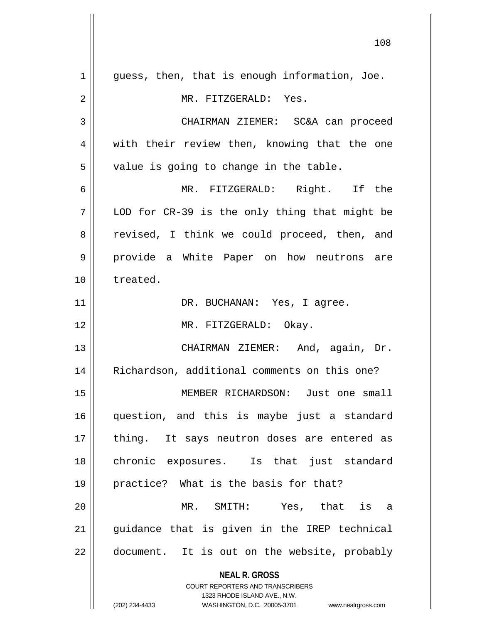**NEAL R. GROSS** COURT REPORTERS AND TRANSCRIBERS  $1$  | guess, then, that is enough information, Joe. 2 MR. FITZGERALD: Yes. 3 CHAIRMAN ZIEMER: SC&A can proceed  $4 \parallel$  with their review then, knowing that the one  $5 \parallel$  value is going to change in the table. 6 MR. FITZGERALD: Right. If the  $7 \parallel$  LOD for CR-39 is the only thing that might be 8 || revised, I think we could proceed, then, and 9 provide a White Paper on how neutrons are 10 treated. 11 | DR. BUCHANAN: Yes, I agree. 12 || MR. FITZGERALD: Okay. 13 CHAIRMAN ZIEMER: And, again, Dr. 14 || Richardson, additional comments on this one? 15 MEMBER RICHARDSON: Just one small 16 question, and this is maybe just a standard 17 || thing. It says neutron doses are entered as 18 chronic exposures. Is that just standard 19 practice? What is the basis for that? 20 MR. SMITH: Yes, that is a 21 guidance that is given in the IREP technical  $22$  || document. It is out on the website, probably

1323 RHODE ISLAND AVE., N.W.

(202) 234-4433 WASHINGTON, D.C. 20005-3701 www.nealrgross.com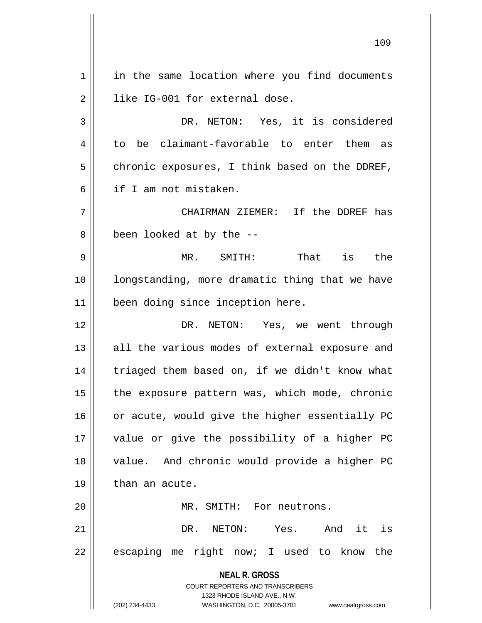**NEAL R. GROSS** COURT REPORTERS AND TRANSCRIBERS 1323 RHODE ISLAND AVE., N.W. (202) 234-4433 WASHINGTON, D.C. 20005-3701 www.nealrgross.com 1 | in the same location where you find documents 2 | like IG-001 for external dose. 3 || DR. NETON: Yes, it is considered  $4 \parallel$  to be claimant-favorable to enter them as  $5 \parallel$  chronic exposures, I think based on the DDREF, 6 if I am not mistaken. 7 CHAIRMAN ZIEMER: If the DDREF has  $8 \parallel$  been looked at by the  $-$ 9 MR. SMITH: That is the 10 longstanding, more dramatic thing that we have 11 || been doing since inception here. 12 DR. NETON: Yes, we went through 13 || all the various modes of external exposure and 14 | triaged them based on, if we didn't know what  $15$  | the exposure pattern was, which mode, chronic 16 | or acute, would give the higher essentially PC 17 value or give the possibility of a higher PC 18 || value. And chronic would provide a higher PC  $19 \parallel$  than an acute. 20 MR. SMITH: For neutrons. 21 DR. NETON: Yes. And it is 22 || escaping me right now; I used to know the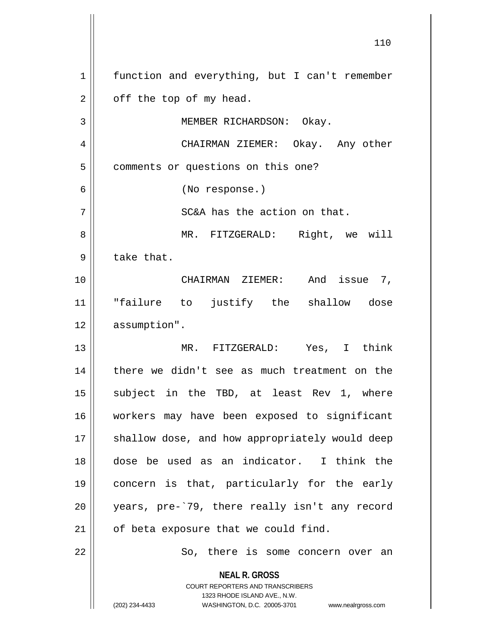**NEAL R. GROSS** COURT REPORTERS AND TRANSCRIBERS 1323 RHODE ISLAND AVE., N.W. (202) 234-4433 WASHINGTON, D.C. 20005-3701 www.nealrgross.com 1 | function and everything, but I can't remember  $2 \parallel$  off the top of my head. 3 || MEMBER RICHARDSON: Okay. 4 CHAIRMAN ZIEMER: Okay. Any other 5 | comments or questions on this one? 6 (No response.)  $7 \parallel$  SC&A has the action on that. 8 MR. FITZGERALD: Right, we will  $9 \parallel$  take that. 10 CHAIRMAN ZIEMER: And issue 7, 11 || "failure to justify the shallow dose 12 | assumption". 13 MR. FITZGERALD: Yes, I think 14 || there we didn't see as much treatment on the 15 || subject in the TBD, at least Rev 1, where 16 workers may have been exposed to significant 17 || shallow dose, and how appropriately would deep 18 dose be used as an indicator. I think the 19 concern is that, particularly for the early 20 years, pre-`79, there really isn't any record 21 || of beta exposure that we could find. 22 || So, there is some concern over an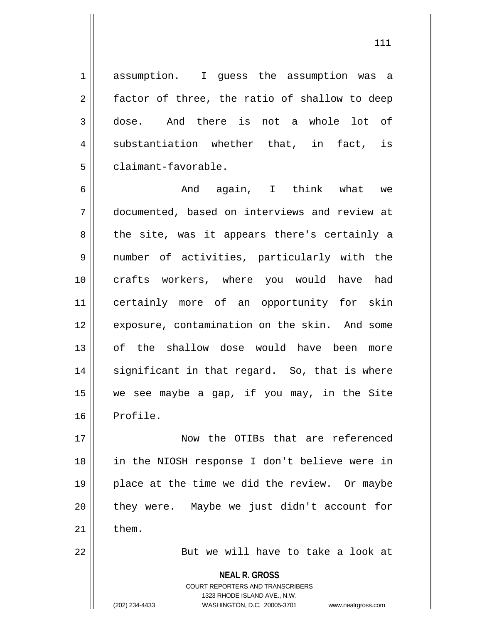1 assumption. I quess the assumption was a 2 || factor of three, the ratio of shallow to deep 3 dose. And there is not a whole lot of  $4 \parallel$  substantiation whether that, in fact, is 5 | claimant-favorable.

6 And again, I think what we 7 documented, based on interviews and review at  $8 \parallel$  the site, was it appears there's certainly a 9 number of activities, particularly with the 10 crafts workers, where you would have had 11 certainly more of an opportunity for skin 12 || exposure, contamination on the skin. And some 13 of the shallow dose would have been more  $14$  || significant in that regard. So, that is where 15 we see maybe a gap, if you may, in the Site 16 Profile.

17 Now the OTIBs that are referenced 18 in the NIOSH response I don't believe were in 19 || place at the time we did the review. Or maybe 20 || they were. Maybe we just didn't account for  $21$   $\parallel$  them.

22 || But we will have to take a look at

**NEAL R. GROSS**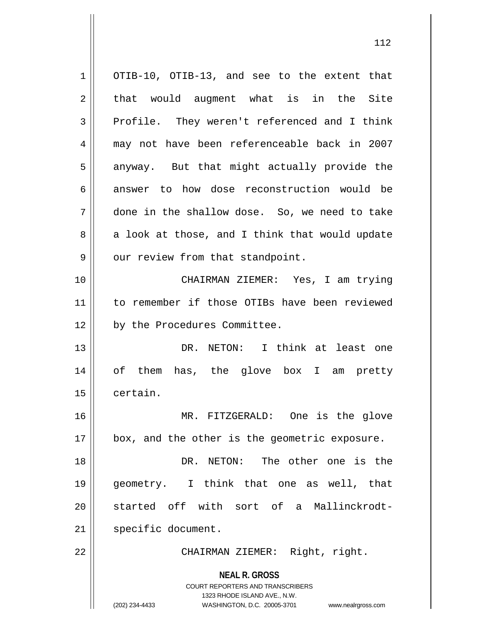**NEAL R. GROSS** COURT REPORTERS AND TRANSCRIBERS 1323 RHODE ISLAND AVE., N.W. (202) 234-4433 WASHINGTON, D.C. 20005-3701 www.nealrgross.com 1 || OTIB-10, OTIB-13, and see to the extent that  $2 \parallel$  that would augment what is in the Site  $3 \parallel$  Profile. They weren't referenced and I think 4 may not have been referenceable back in 2007  $5 \parallel$  anyway. But that might actually provide the 6 answer to how dose reconstruction would be 7 done in the shallow dose. So, we need to take  $8 \parallel$  a look at those, and I think that would update  $9 \parallel$  our review from that standpoint. 10 CHAIRMAN ZIEMER: Yes, I am trying 11 || to remember if those OTIBs have been reviewed 12 | by the Procedures Committee. 13 DR. NETON: I think at least one 14 || of them has, the glove box I am pretty 15 certain. 16 MR. FITZGERALD: One is the glove 17 || box, and the other is the geometric exposure. 18 DR. NETON: The other one is the 19 geometry. I think that one as well, that 20 || started off with sort of a Mallinckrodt-21 | specific document. 22 || CHAIRMAN ZIEMER: Right, right.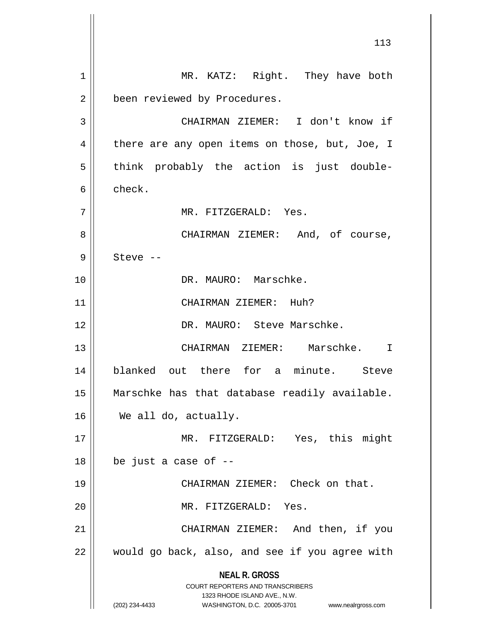**NEAL R. GROSS** COURT REPORTERS AND TRANSCRIBERS 1323 RHODE ISLAND AVE., N.W. (202) 234-4433 WASHINGTON, D.C. 20005-3701 www.nealrgross.com 1 || MR. KATZ: Right. They have both 2 | been reviewed by Procedures. 3 CHAIRMAN ZIEMER: I don't know if  $4 \parallel$  there are any open items on those, but, Joe, I  $5 \parallel$  think probably the action is just double-6 check. 7 MR. FITZGERALD: Yes. 8 CHAIRMAN ZIEMER: And, of course,  $9 \parallel$  Steve --10 DR. MAURO: Marschke. 11 || CHAIRMAN ZIEMER: Huh? 12 DR. MAURO: Steve Marschke. 13 CHAIRMAN ZIEMER: Marschke. I 14 blanked out there for a minute. Steve 15 Marschke has that database readily available. 16 We all do, actually. 17 MR. FITZGERALD: Yes, this might  $18$  | be just a case of  $-$ 19 CHAIRMAN ZIEMER: Check on that. 20 || MR. FITZGERALD: Yes. 21 || CHAIRMAN ZIEMER: And then, if you  $22$  | would go back, also, and see if you agree with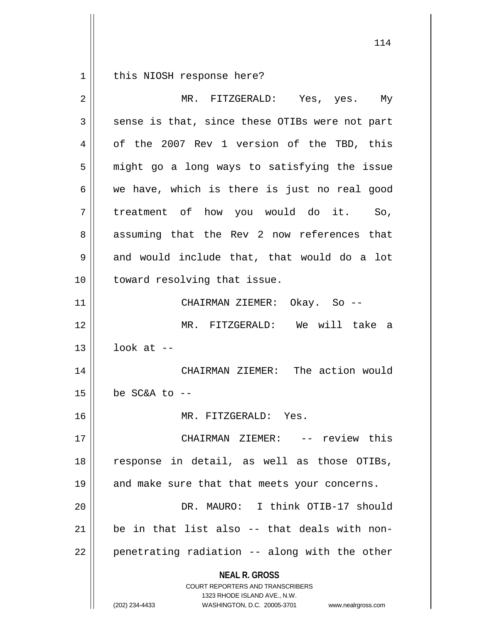1 | this NIOSH response here?

| 2  | MR. FITZGERALD: Yes, yes. My                                                                                                                                           |
|----|------------------------------------------------------------------------------------------------------------------------------------------------------------------------|
| 3  | sense is that, since these OTIBs were not part                                                                                                                         |
| 4  | of the 2007 Rev 1 version of the TBD, this                                                                                                                             |
| 5  | might go a long ways to satisfying the issue                                                                                                                           |
| 6  | we have, which is there is just no real good                                                                                                                           |
| 7  | treatment of how you would do it. So,                                                                                                                                  |
| 8  | assuming that the Rev 2 now references that                                                                                                                            |
| 9  | and would include that, that would do a lot                                                                                                                            |
| 10 | toward resolving that issue.                                                                                                                                           |
| 11 | CHAIRMAN ZIEMER: Okay. So --                                                                                                                                           |
| 12 | MR. FITZGERALD: We will take a                                                                                                                                         |
| 13 | look at $-$                                                                                                                                                            |
| 14 | CHAIRMAN ZIEMER: The action would                                                                                                                                      |
| 15 | be SC&A to --                                                                                                                                                          |
| 16 | MR. FITZGERALD: Yes.                                                                                                                                                   |
| 17 | CHAIRMAN ZIEMER: -- review this                                                                                                                                        |
| 18 | response in detail, as well as those OTIBs,                                                                                                                            |
| 19 | and make sure that that meets your concerns.                                                                                                                           |
| 20 | DR. MAURO: I think OTIB-17 should                                                                                                                                      |
| 21 | be in that list also -- that deals with non-                                                                                                                           |
| 22 | penetrating radiation -- along with the other                                                                                                                          |
|    | <b>NEAL R. GROSS</b><br><b>COURT REPORTERS AND TRANSCRIBERS</b><br>1323 RHODE ISLAND AVE., N.W.<br>WASHINGTON, D.C. 20005-3701<br>(202) 234-4433<br>www.nealrgross.com |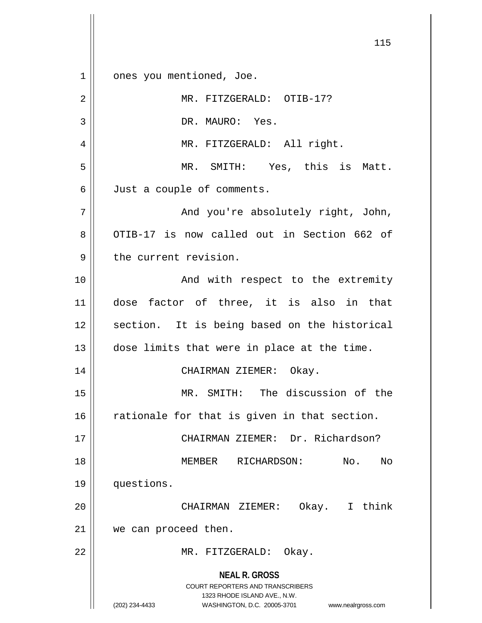**NEAL R. GROSS** COURT REPORTERS AND TRANSCRIBERS 1323 RHODE ISLAND AVE., N.W. (202) 234-4433 WASHINGTON, D.C. 20005-3701 www.nealrgross.com 1 || ones you mentioned, Joe. 2 || MR. FITZGERALD: OTIB-17? 3 || DR. MAURO: Yes. 4 || MR. FITZGERALD: All right. 5 MR. SMITH: Yes, this is Matt. 6 Just a couple of comments. 7 And you're absolutely right, John, 8 OTIB-17 is now called out in Section 662 of 9 || the current revision. 10 || The Contract And with respect to the extremity 11 dose factor of three, it is also in that 12 || section. It is being based on the historical  $13$   $\vert$  dose limits that were in place at the time. 14 CHAIRMAN ZIEMER: Okay. 15 MR. SMITH: The discussion of the  $16$  rationale for that is given in that section. 17 || CHAIRMAN ZIEMER: Dr. Richardson? 18 MEMBER RICHARDSON: No. No 19 questions. 20 CHAIRMAN ZIEMER: Okay. I think 21 || we can proceed then. 22 || MR. FITZGERALD: Okay.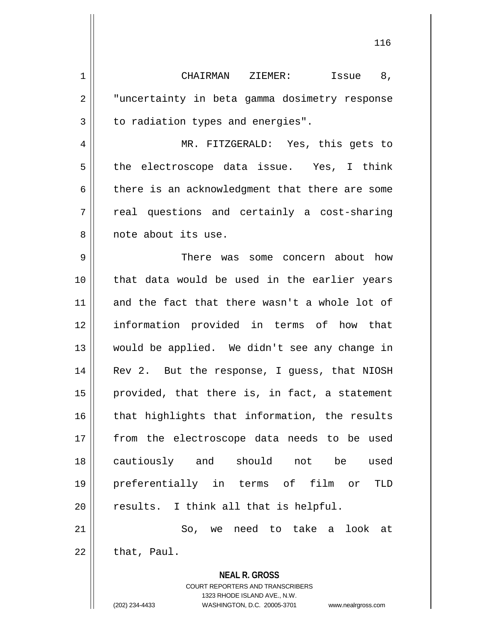1 || CHAIRMAN ZIEMER: Issue 8, 2 || "uncertainty in beta gamma dosimetry response  $3 \parallel$  to radiation types and energies". 4 MR. FITZGERALD: Yes, this gets to 5 || the electroscope data issue. Yes, I think  $6 \parallel$  there is an acknowledgment that there are some  $7 \parallel$  real questions and certainly a cost-sharing 8 || note about its use. 9 There was some concern about how 10 that data would be used in the earlier years 11 and the fact that there wasn't a whole lot of 12 information provided in terms of how that 13 would be applied. We didn't see any change in 14 || Rev 2. But the response, I guess, that NIOSH 15 || provided, that there is, in fact, a statement  $16$  || that highlights that information, the results 17 || from the electroscope data needs to be used 18 cautiously and should not be used 19 preferentially in terms of film or TLD  $20$  || results. I think all that is helpful. 21 || So, we need to take a look at  $22$  | that, Paul.

> **NEAL R. GROSS** COURT REPORTERS AND TRANSCRIBERS

1323 RHODE ISLAND AVE., N.W. (202) 234-4433 WASHINGTON, D.C. 20005-3701 www.nealrgross.com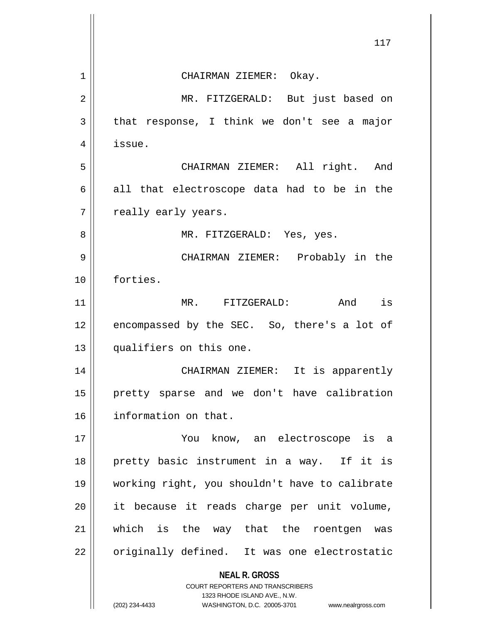|    | 117                                                                 |
|----|---------------------------------------------------------------------|
| 1  | CHAIRMAN ZIEMER: Okay.                                              |
| 2  | MR. FITZGERALD: But just based on                                   |
| 3  | that response, I think we don't see a major                         |
| 4  | issue.                                                              |
| 5  | CHAIRMAN ZIEMER: All right. And                                     |
| 6  | all that electroscope data had to be in the                         |
| 7  | really early years.                                                 |
| 8  | MR. FITZGERALD: Yes, yes.                                           |
| 9  | CHAIRMAN ZIEMER: Probably in the                                    |
| 10 | forties.                                                            |
| 11 | MR. FITZGERALD: And is                                              |
| 12 | encompassed by the SEC. So, there's a lot of                        |
| 13 | qualifiers on this one.                                             |
| 14 | CHAIRMAN ZIEMER:<br>It is apparently                                |
| 15 | pretty sparse and we don't have calibration                         |
| 16 | information on that.                                                |
| 17 | You<br>know, an electroscope is a                                   |
| 18 | pretty basic instrument in a way. If it is                          |
| 19 | working right, you shouldn't have to calibrate                      |
| 20 | it because it reads charge per unit volume,                         |
| 21 | which is the way that the roentgen<br>was                           |
| 22 | originally defined. It was one electrostatic                        |
|    | <b>NEAL R. GROSS</b><br><b>COURT REPORTERS AND TRANSCRIBERS</b>     |
|    | 1323 RHODE ISLAND AVE., N.W.                                        |
|    | (202) 234-4433<br>WASHINGTON, D.C. 20005-3701<br>www.nealrgross.com |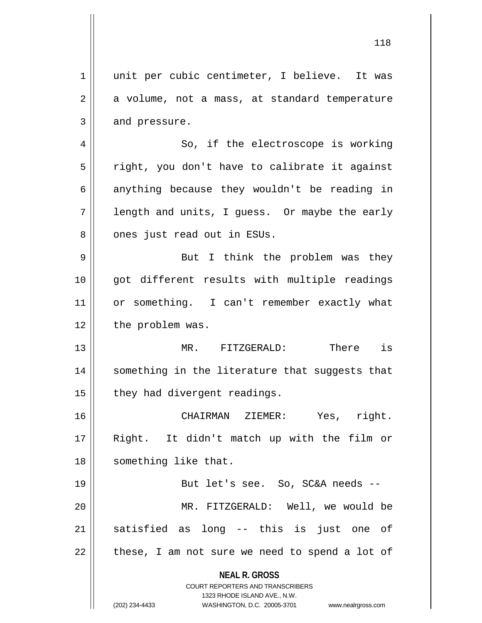**NEAL R. GROSS** COURT REPORTERS AND TRANSCRIBERS 1323 RHODE ISLAND AVE., N.W. (202) 234-4433 WASHINGTON, D.C. 20005-3701 www.nealrgross.com 1 || unit per cubic centimeter, I believe. It was  $2 \parallel$  a volume, not a mass, at standard temperature  $3 \parallel$  and pressure. 4 || So, if the electroscope is working  $5 \parallel$  right, you don't have to calibrate it against  $6 \parallel$  anything because they wouldn't be reading in  $7 \parallel$  length and units, I quess. Or maybe the early  $8 \parallel$  ones just read out in ESUs. 9 But I think the problem was they 10 || got different results with multiple readings 11 || or something. I can't remember exactly what 12 | the problem was. 13 MR. FITZGERALD: There is 14 || something in the literature that suggests that  $15$  | they had divergent readings. 16 CHAIRMAN ZIEMER: Yes, right. 17 Right. It didn't match up with the film or 18 || something like that. 19 || But let's see. So, SC&A needs --20 MR. FITZGERALD: Well, we would be 21 || satisfied as long -- this is just one of  $22$  || these, I am not sure we need to spend a lot of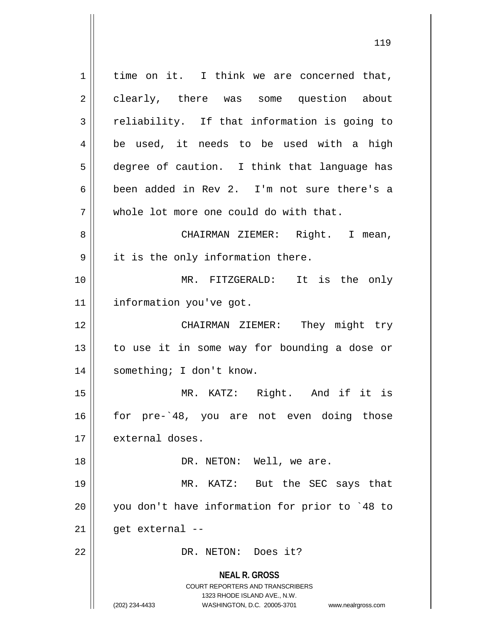**NEAL R. GROSS** COURT REPORTERS AND TRANSCRIBERS 1323 RHODE ISLAND AVE., N.W. (202) 234-4433 WASHINGTON, D.C. 20005-3701 www.nealrgross.com  $1 \parallel$  time on it. I think we are concerned that, 2 clearly, there was some question about  $3 \parallel$  reliability. If that information is going to 4 || be used, it needs to be used with a high 5 degree of caution. I think that language has 6 been added in Rev 2. I'm not sure there's a 7 || whole lot more one could do with that. 8 || CHAIRMAN ZIEMER: Right. I mean, 9 || it is the only information there. 10 || MR. FITZGERALD: It is the only 11 | information you've got. 12 CHAIRMAN ZIEMER: They might try 13 || to use it in some way for bounding a dose or 14 | something; I don't know. 15 MR. KATZ: Right. And if it is 16 for pre-`48, you are not even doing those 17 | external doses. 18 || DR. NETON: Well, we are. 19 MR. KATZ: But the SEC says that 20 you don't have information for prior to `48 to  $21$  || qet external --22 DR. NETON: Does it?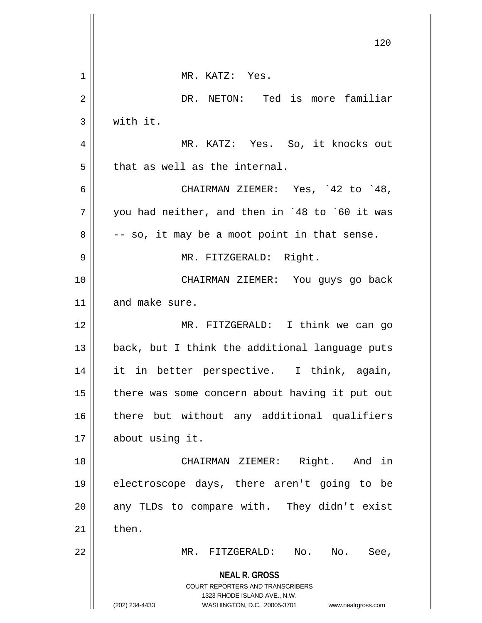|    | 120                                                                                      |
|----|------------------------------------------------------------------------------------------|
|    |                                                                                          |
| 1  | MR. KATZ: Yes.                                                                           |
| 2  | DR. NETON: Ted is more familiar                                                          |
| 3  | with it.                                                                                 |
| 4  | MR. KATZ: Yes. So, it knocks out                                                         |
| 5  | that as well as the internal.                                                            |
| 6  | CHAIRMAN ZIEMER: Yes, `42 to `48,                                                        |
| 7  | you had neither, and then in `48 to `60 it was                                           |
| 8  | -- so, it may be a moot point in that sense.                                             |
| 9  | MR. FITZGERALD: Right.                                                                   |
| 10 | CHAIRMAN ZIEMER: You guys go back                                                        |
| 11 | and make sure.                                                                           |
| 12 | MR. FITZGERALD: I think we can go                                                        |
| 13 | back, but I think the additional language puts                                           |
| 14 | it in better perspective. I think, again,                                                |
| 15 | there was some concern about having it put out                                           |
| 16 | there but without any additional qualifiers                                              |
| 17 | about using it.                                                                          |
| 18 | Right. And in<br>CHAIRMAN ZIEMER:                                                        |
| 19 | electroscope days, there aren't going to be                                              |
| 20 | any TLDs to compare with. They didn't exist                                              |
| 21 | then.                                                                                    |
| 22 | MR. FITZGERALD:<br>No.<br>$\mathbb N$ o.<br>See,                                         |
|    | <b>NEAL R. GROSS</b><br>COURT REPORTERS AND TRANSCRIBERS<br>1323 RHODE ISLAND AVE., N.W. |
|    | (202) 234-4433<br>WASHINGTON, D.C. 20005-3701<br>www.nealrgross.com                      |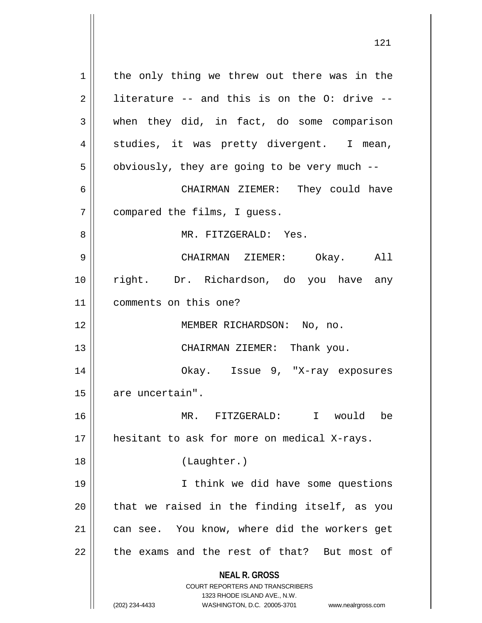**NEAL R. GROSS** COURT REPORTERS AND TRANSCRIBERS 1323 RHODE ISLAND AVE., N.W. (202) 234-4433 WASHINGTON, D.C. 20005-3701 www.nealrgross.com  $1 \parallel$  the only thing we threw out there was in the  $2 \parallel$  literature -- and this is on the O: drive -- $3 \parallel$  when they did, in fact, do some comparison 4 || studies, it was pretty divergent. I mean,  $5 \parallel$  obviously, they are going to be very much --6 CHAIRMAN ZIEMER: They could have 7 | compared the films, I guess. 8 MR. FITZGERALD: Yes. 9 CHAIRMAN ZIEMER: Okay. All 10 || right. Dr. Richardson, do you have any 11 comments on this one? 12 || MEMBER RICHARDSON: No, no. 13 || CHAIRMAN ZIEMER: Thank you. 14 Okay. Issue 9, "X-ray exposures 15 | are uncertain". 16 MR. FITZGERALD: I would be 17 || hesitant to ask for more on medical X-rays. 18 (Laughter.) 19 I think we did have some questions  $20$  || that we raised in the finding itself, as you 21 | can see. You know, where did the workers get  $22$  || the exams and the rest of that? But most of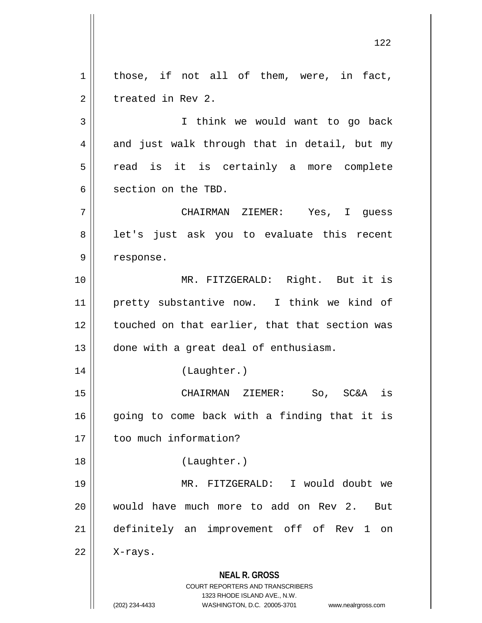**NEAL R. GROSS** COURT REPORTERS AND TRANSCRIBERS 1323 RHODE ISLAND AVE., N.W. (202) 234-4433 WASHINGTON, D.C. 20005-3701 www.nealrgross.com  $1 \parallel$  those, if not all of them, were, in fact, 2 | treated in Rev 2. 3 || Think we would want to go back  $4 \parallel$  and just walk through that in detail, but my  $5 \parallel$  read is it is certainly a more complete 6 Section on the TBD. 7 CHAIRMAN ZIEMER: Yes, I guess 8 || let's just ask you to evaluate this recent 9 | response. 10 MR. FITZGERALD: Right. But it is 11 pretty substantive now. I think we kind of 12 | touched on that earlier, that that section was 13 || done with a great deal of enthusiasm. 14 (Laughter.) 15 CHAIRMAN ZIEMER: So, SC&A is  $16$  going to come back with a finding that it is 17 || too much information? 18 (Laughter.) 19 MR. FITZGERALD: I would doubt we 20 Would have much more to add on Rev 2. But 21 definitely an improvement off of Rev 1 on  $22$  | X-rays.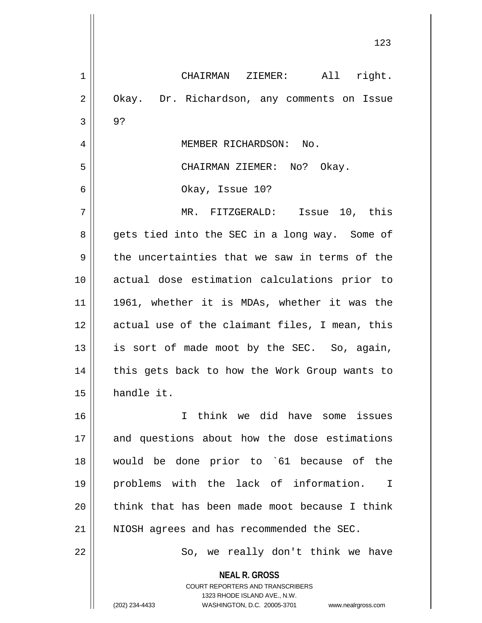**NEAL R. GROSS** COURT REPORTERS AND TRANSCRIBERS 1 CHAIRMAN ZIEMER: All right. 2 | Okay. Dr. Richardson, any comments on Issue  $3 \parallel 9$ ? 4 | MEMBER RICHARDSON: No. 5 CHAIRMAN ZIEMER: No? Okay. 6 Okay, Issue 10? 7 MR. FITZGERALD: Issue 10, this 8 gets tied into the SEC in a long way. Some of  $9 \parallel$  the uncertainties that we saw in terms of the 10 actual dose estimation calculations prior to 11 || 1961, whether it is MDAs, whether it was the 12 actual use of the claimant files, I mean, this  $13$  is sort of made moot by the SEC. So, again, 14 || this gets back to how the Work Group wants to 15 handle it. 16 I think we did have some issues 17 and questions about how the dose estimations 18 would be done prior to `61 because of the 19 problems with the lack of information. I 20  $\parallel$  think that has been made moot because I think 21 || NIOSH agrees and has recommended the SEC. 22 || So, we really don't think we have

1323 RHODE ISLAND AVE., N.W.

(202) 234-4433 WASHINGTON, D.C. 20005-3701 www.nealrgross.com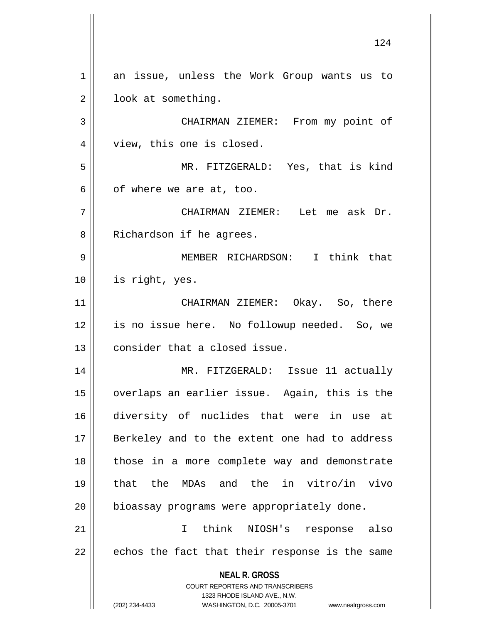**NEAL R. GROSS** COURT REPORTERS AND TRANSCRIBERS 1323 RHODE ISLAND AVE., N.W. (202) 234-4433 WASHINGTON, D.C. 20005-3701 www.nealrgross.com 1 an issue, unless the Work Group wants us to 2 | look at something. 3 | CHAIRMAN ZIEMER: From my point of 4 || view, this one is closed. 5 MR. FITZGERALD: Yes, that is kind  $6 \parallel$  of where we are at, too. 7 CHAIRMAN ZIEMER: Let me ask Dr. 8 || Richardson if he agrees. 9 MEMBER RICHARDSON: I think that 10 is right, yes. 11 CHAIRMAN ZIEMER: Okay. So, there 12 is no issue here. No followup needed. So, we  $13$   $\parallel$  consider that a closed issue. 14 MR. FITZGERALD: Issue 11 actually 15 overlaps an earlier issue. Again, this is the 16 diversity of nuclides that were in use at 17 || Berkeley and to the extent one had to address 18 those in a more complete way and demonstrate 19 that the MDAs and the in vitro/in vivo 20 | bioassay programs were appropriately done. 21 I think NIOSH's response also  $22$  || echos the fact that their response is the same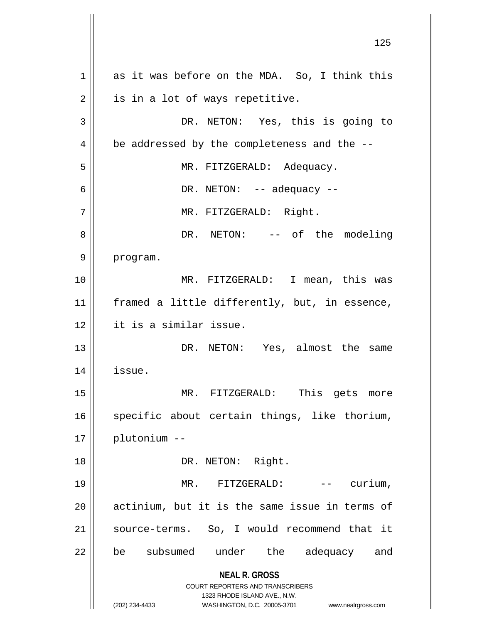**NEAL R. GROSS** COURT REPORTERS AND TRANSCRIBERS 1323 RHODE ISLAND AVE., N.W. (202) 234-4433 WASHINGTON, D.C. 20005-3701 www.nealrgross.com  $1 \parallel$  as it was before on the MDA. So, I think this  $2 \parallel$  is in a lot of ways repetitive. 3 || DR. NETON: Yes, this is going to  $4 \parallel$  be addressed by the completeness and the --5 MR. FITZGERALD: Adequacy.  $6 \parallel$  DR. NETON:  $-$  adequacy  $-$ 7 | MR. FITZGERALD: Right. 8 DR. NETON: -- of the modeling 9 || program. 10 || MR. FITZGERALD: I mean, this was 11 || framed a little differently, but, in essence, 12 it is a similar issue. 13 DR. NETON: Yes, almost the same 14 issue. 15 || MR. FITZGERALD: This gets more 16 || specific about certain things, like thorium, 17 plutonium -- 18 || DR. NETON: Right. 19 MR. FITZGERALD: -- curium, 20 || actinium, but it is the same issue in terms of 21 || source-terms. So, I would recommend that it 22 || be subsumed under the adequacy and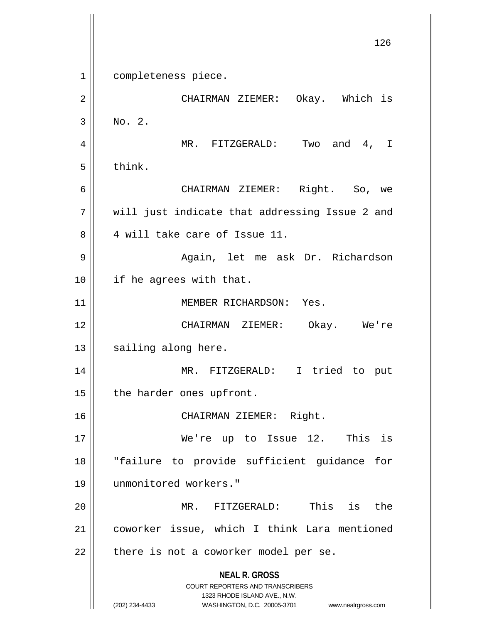**NEAL R. GROSS** COURT REPORTERS AND TRANSCRIBERS 1323 RHODE ISLAND AVE., N.W. (202) 234-4433 WASHINGTON, D.C. 20005-3701 www.nealrgross.com 126 1 completeness piece. 2 CHAIRMAN ZIEMER: Okay. Which is  $3 \parallel$  No. 2. 4 MR. FITZGERALD: Two and 4, I  $5 \parallel$  think. 6 CHAIRMAN ZIEMER: Right. So, we 7 || will just indicate that addressing Issue 2 and 8 || 4 will take care of Issue 11. 9 Again, let me ask Dr. Richardson 10 || if he agrees with that. 11 || MEMBER RICHARDSON: Yes. 12 CHAIRMAN ZIEMER: Okay. We're  $13$   $\parallel$  sailing along here. 14 MR. FITZGERALD: I tried to put  $15$  | the harder ones upfront. 16 CHAIRMAN ZIEMER: Right. 17 We're up to Issue 12. This is 18 "failure to provide sufficient guidance for 19 unmonitored workers." 20 MR. FITZGERALD: This is the 21 coworker issue, which I think Lara mentioned  $22$  | there is not a coworker model per se.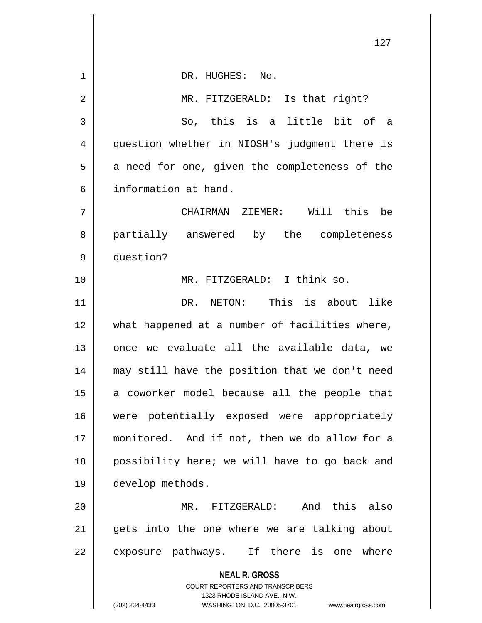|    | 127                                                                                                 |
|----|-----------------------------------------------------------------------------------------------------|
| 1  | DR. HUGHES: No.                                                                                     |
| 2  | MR. FITZGERALD: Is that right?                                                                      |
| 3  | So, this is a little bit of a                                                                       |
| 4  | question whether in NIOSH's judgment there is                                                       |
|    |                                                                                                     |
| 5  | a need for one, given the completeness of the                                                       |
| 6  | information at hand.                                                                                |
| 7  | CHAIRMAN ZIEMER: Will this<br>be                                                                    |
| 8  | partially answered by the completeness                                                              |
| 9  | question?                                                                                           |
| 10 | MR. FITZGERALD: I think so.                                                                         |
| 11 | DR. NETON: This is about like                                                                       |
| 12 | what happened at a number of facilities where,                                                      |
| 13 | once we evaluate all the available data, we                                                         |
| 14 | may still have the position that we don't need                                                      |
| 15 | a coworker model because all the people that                                                        |
| 16 | were potentially exposed were appropriately                                                         |
| 17 | monitored. And if not, then we do allow for a                                                       |
| 18 | possibility here; we will have to go back and                                                       |
| 19 | develop methods.                                                                                    |
| 20 | And this also<br>MR. FITZGERALD:                                                                    |
| 21 | gets into the one where we are talking about                                                        |
| 22 | exposure pathways. If there is one where                                                            |
|    | <b>NEAL R. GROSS</b>                                                                                |
|    | <b>COURT REPORTERS AND TRANSCRIBERS</b>                                                             |
|    | 1323 RHODE ISLAND AVE., N.W.<br>(202) 234-4433<br>WASHINGTON, D.C. 20005-3701<br>www.nealrgross.com |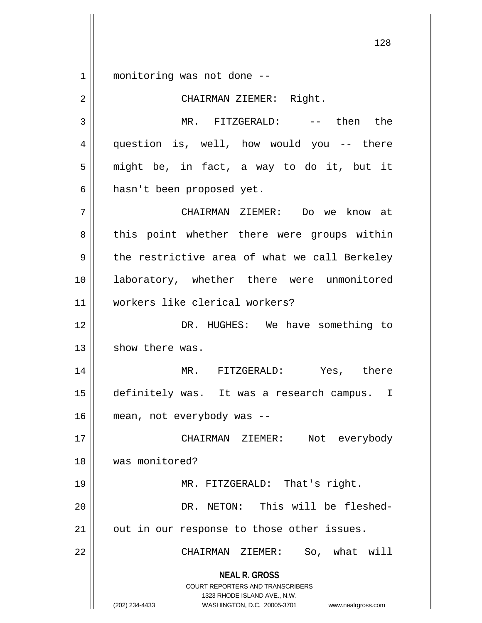1 || monitoring was not done --

**NEAL R. GROSS** COURT REPORTERS AND TRANSCRIBERS 1323 RHODE ISLAND AVE., N.W. (202) 234-4433 WASHINGTON, D.C. 20005-3701 www.nealrgross.com 2 || CHAIRMAN ZIEMER: Right. 3 MR. FITZGERALD: -- then the 4 || question is, well, how would you -- there  $5 \parallel$  might be, in fact, a way to do it, but it 6 | hasn't been proposed yet. 7 CHAIRMAN ZIEMER: Do we know at 8 || this point whether there were groups within  $9 \parallel$  the restrictive area of what we call Berkeley 10 || laboratory, whether there were unmonitored 11 workers like clerical workers? 12 DR. HUGHES: We have something to  $13$   $\parallel$  show there was. 14 MR. FITZGERALD: Yes, there 15 definitely was. It was a research campus. I 16 mean, not everybody was -- 17 CHAIRMAN ZIEMER: Not everybody 18 was monitored? 19 || MR. FITZGERALD: That's right. 20 DR. NETON: This will be fleshed-21 || out in our response to those other issues. 22 CHAIRMAN ZIEMER: So, what will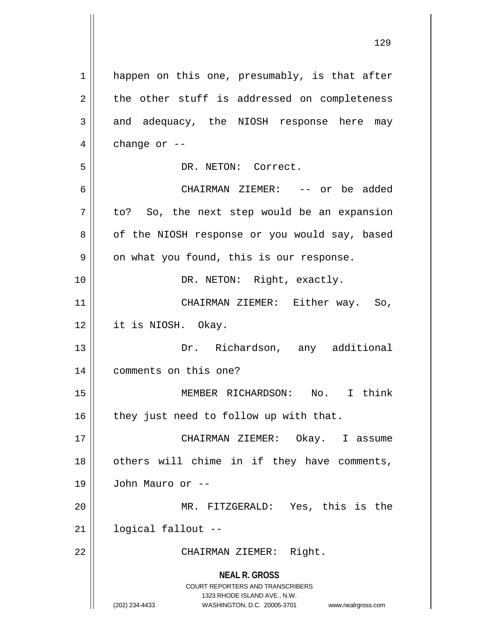**NEAL R. GROSS** COURT REPORTERS AND TRANSCRIBERS 1323 RHODE ISLAND AVE., N.W. (202) 234-4433 WASHINGTON, D.C. 20005-3701 www.nealrgross.com 1 || happen on this one, presumably, is that after  $2 \parallel$  the other stuff is addressed on completeness  $3 \parallel$  and adequacy, the NIOSH response here may  $4 \parallel$  change or --5 DR. NETON: Correct. 6 CHAIRMAN ZIEMER: -- or be added  $7 \parallel$  to? So, the next step would be an expansion 8 | of the NIOSH response or you would say, based  $9 \parallel$  on what you found, this is our response. 10 || DR. NETON: Right, exactly. 11 || CHAIRMAN ZIEMER: Either way. So, 12 it is NIOSH. Okay. 13 Dr. Richardson, any additional 14 comments on this one? 15 MEMBER RICHARDSON: No. I think  $16$  | they just need to follow up with that. 17 CHAIRMAN ZIEMER: Okay. I assume 18 || others will chime in if they have comments, 19 John Mauro or -- 20 MR. FITZGERALD: Yes, this is the 21 logical fallout -- 22 || CHAIRMAN ZIEMER: Right.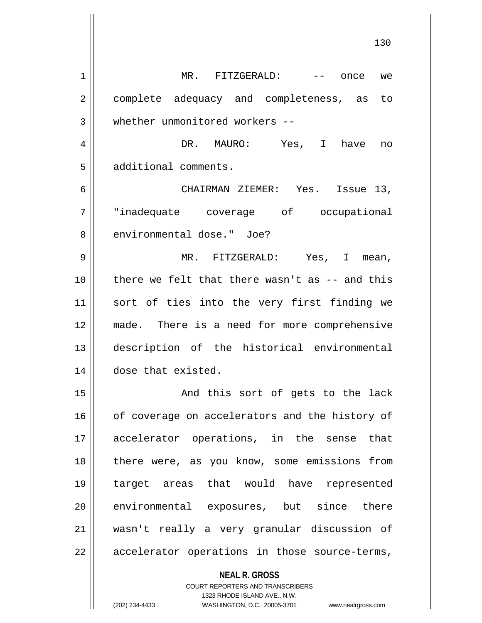| 1  | $MR.$ FITZGERALD: $---$<br>once<br>we                    |
|----|----------------------------------------------------------|
| 2  | complete adequacy and completeness, as to                |
| 3  | whether unmonitored workers --                           |
| 4  | DR. MAURO: Yes, I<br>have<br>no                          |
| 5  | additional comments.                                     |
| 6  | CHAIRMAN ZIEMER: Yes. Issue 13,                          |
| 7  | "inadequate coverage of occupational                     |
| 8  | environmental dose." Joe?                                |
| 9  | MR. FITZGERALD: Yes, I mean,                             |
| 10 | there we felt that there wasn't as -- and this           |
| 11 | sort of ties into the very first finding we              |
| 12 | made. There is a need for more comprehensive             |
| 13 | description of the historical environmental              |
| 14 | dose that existed.                                       |
| 15 | And this sort of gets to the lack                        |
| 16 | of coverage on accelerators and the history of           |
| 17 | accelerator operations, in the sense that                |
| 18 | there were, as you know, some emissions from             |
| 19 | target areas that would have represented                 |
| 20 | environmental exposures, but since there                 |
| 21 | wasn't really a very granular discussion of              |
| 22 | accelerator operations in those source-terms,            |
|    | <b>NEAL R. GROSS</b><br>COURT REPORTERS AND TRANSCRIBERS |

1323 RHODE ISLAND AVE., N.W.

 $\prod$ 

(202) 234-4433 WASHINGTON, D.C. 20005-3701 www.nealrgross.com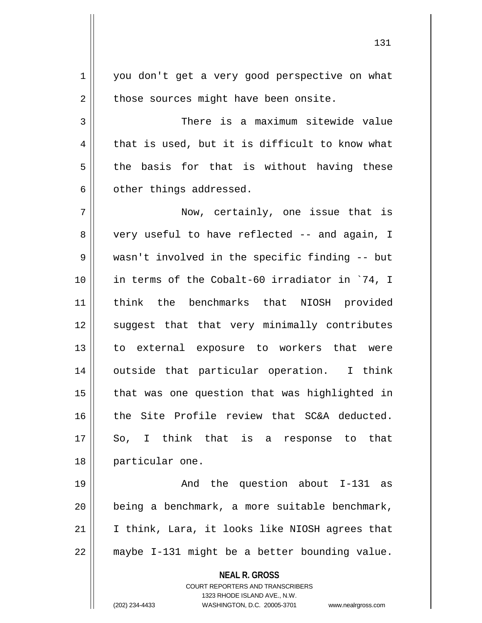1 || you don't get a very good perspective on what  $2 \parallel$  those sources might have been onsite.

3 There is a maximum sitewide value  $4 \parallel$  that is used, but it is difficult to know what  $5 \parallel$  the basis for that is without having these  $6$  | other things addressed.

7 Now, certainly, one issue that is 8 very useful to have reflected -- and again, I 9 wasn't involved in the specific finding -- but 10 in terms of the Cobalt-60 irradiator in `74, I 11 think the benchmarks that NIOSH provided 12 || suggest that that very minimally contributes 13 || to external exposure to workers that were 14 || outside that particular operation. I think  $15$  || that was one question that was highlighted in 16 || the Site Profile review that SC&A deducted.  $17 \parallel$  So, I think that is a response to that 18 || particular one.

19 And the question about I-131 as 20 being a benchmark, a more suitable benchmark, 21 I think, Lara, it looks like NIOSH agrees that  $22$  | maybe I-131 might be a better bounding value.

**NEAL R. GROSS**

COURT REPORTERS AND TRANSCRIBERS 1323 RHODE ISLAND AVE., N.W. (202) 234-4433 WASHINGTON, D.C. 20005-3701 www.nealrgross.com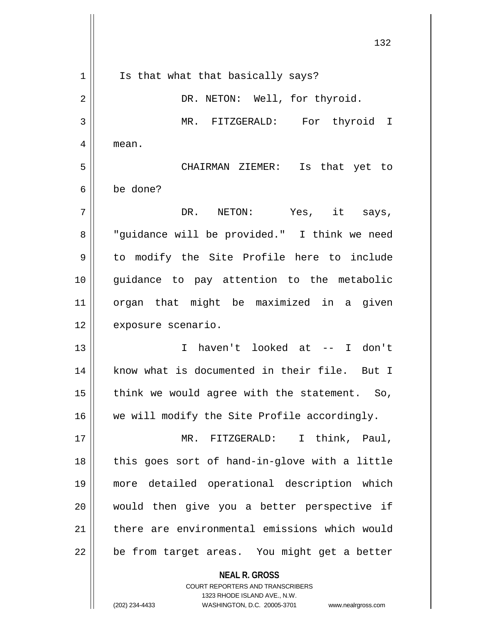**NEAL R. GROSS** COURT REPORTERS AND TRANSCRIBERS 132 1 || Is that what that basically says? 2 || DR. NETON: Well, for thyroid. 3 MR. FITZGERALD: For thyroid I 4 mean. 5 CHAIRMAN ZIEMER: Is that yet to 6 be done?  $7 \parallel$  DR. NETON: Yes, it says, 8 || "guidance will be provided." I think we need 9 to modify the Site Profile here to include 10 guidance to pay attention to the metabolic 11 organ that might be maximized in a given 12 | exposure scenario. 13 I haven't looked at -- I don't 14 || know what is documented in their file. But I 15  $\parallel$  think we would agree with the statement. So, 16 || we will modify the Site Profile accordingly. 17 || MR. FITZGERALD: I think, Paul,  $18$  || this goes sort of hand-in-glove with a little 19 more detailed operational description which 20 || would then give you a better perspective if 21 there are environmental emissions which would  $22$  | be from target areas. You might get a better

1323 RHODE ISLAND AVE., N.W.

(202) 234-4433 WASHINGTON, D.C. 20005-3701 www.nealrgross.com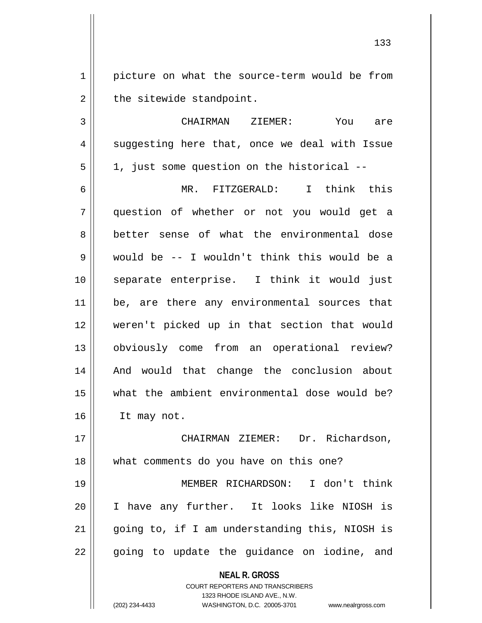1 | picture on what the source-term would be from  $2 \parallel$  the sitewide standpoint.

3 CHAIRMAN ZIEMER: You are 4 || suggesting here that, once we deal with Issue  $5 \parallel$  1, just some question on the historical --

6 MR. FITZGERALD: I think this 7 question of whether or not you would get a 8 better sense of what the environmental dose 9 would be -- I wouldn't think this would be a 10 separate enterprise. I think it would just 11 || be, are there any environmental sources that 12 weren't picked up in that section that would 13 obviously come from an operational review? 14 || And would that change the conclusion about 15 what the ambient environmental dose would be? 16 | It may not.

17 CHAIRMAN ZIEMER: Dr. Richardson, 18 || what comments do you have on this one? 19 MEMBER RICHARDSON: I don't think 20 I have any further. It looks like NIOSH is 21 going to, if I am understanding this, NIOSH is  $22 \parallel$  going to update the guidance on iodine, and

**NEAL R. GROSS**

COURT REPORTERS AND TRANSCRIBERS 1323 RHODE ISLAND AVE., N.W. (202) 234-4433 WASHINGTON, D.C. 20005-3701 www.nealrgross.com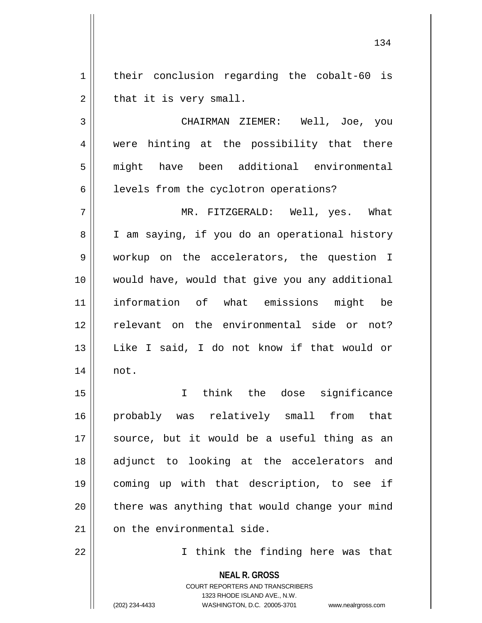1 | their conclusion regarding the cobalt-60 is  $2 \parallel$  that it is very small.

3 CHAIRMAN ZIEMER: Well, Joe, you 4 || were hinting at the possibility that there 5 might have been additional environmental  $6 \parallel$  levels from the cyclotron operations?

7 MR. FITZGERALD: Well, yes. What 8 || I am saying, if you do an operational history 9 || workup on the accelerators, the question I 10 would have, would that give you any additional 11 information of what emissions might be 12 || relevant on the environmental side or not? 13 Like I said, I do not know if that would or 14 not.

15 I think the dose significance 16 probably was relatively small from that 17 || source, but it would be a useful thing as an 18 adjunct to looking at the accelerators and 19 coming up with that description, to see if  $20$  || there was anything that would change your mind  $21$   $\parallel$  on the environmental side.

22 || Think the finding here was that

**NEAL R. GROSS** COURT REPORTERS AND TRANSCRIBERS 1323 RHODE ISLAND AVE., N.W. (202) 234-4433 WASHINGTON, D.C. 20005-3701 www.nealrgross.com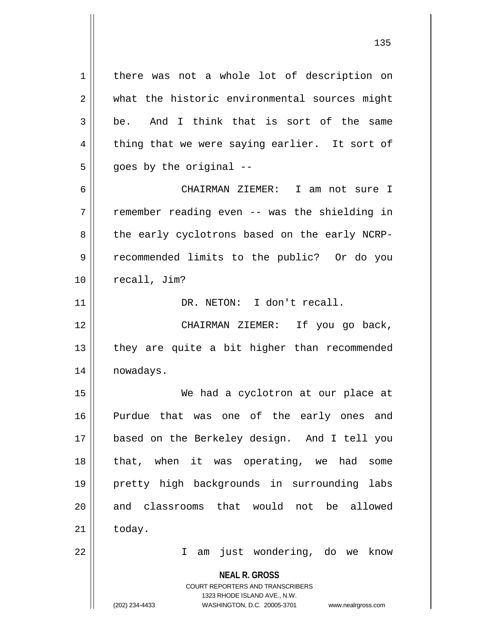**NEAL R. GROSS** COURT REPORTERS AND TRANSCRIBERS 1323 RHODE ISLAND AVE., N.W. (202) 234-4433 WASHINGTON, D.C. 20005-3701 www.nealrgross.com 1 | there was not a whole lot of description on 2 || what the historic environmental sources might  $3 \parallel$  be. And I think that is sort of the same  $4 \parallel$  thing that we were saying earlier. It sort of  $5 \parallel$  goes by the original --6 CHAIRMAN ZIEMER: I am not sure I 7 The remember reading even -- was the shielding in 8 the early cyclotrons based on the early NCRP-9 || recommended limits to the public? Or do you 10 | recall, Jim? 11 DR. NETON: I don't recall. 12 || CHAIRMAN ZIEMER: If you go back,  $13$  || they are quite a bit higher than recommended 14 | nowadays. 15 We had a cyclotron at our place at 16 Purdue that was one of the early ones and 17 based on the Berkeley design. And I tell you 18 that, when it was operating, we had some 19 pretty high backgrounds in surrounding labs 20 || and classrooms that would not be allowed  $21$   $\parallel$  today. 22 I am just wondering, do we know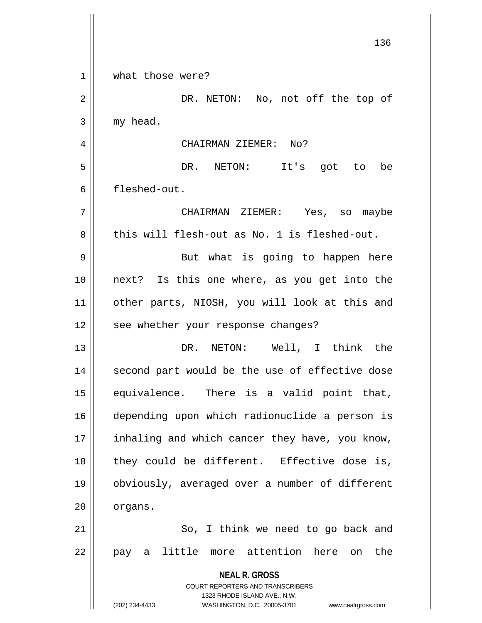|    | 136                                                                     |
|----|-------------------------------------------------------------------------|
| 1  | what those were?                                                        |
| 2  | DR. NETON: No, not off the top of                                       |
| 3  | my head.                                                                |
| 4  | CHAIRMAN ZIEMER: No?                                                    |
| 5  | DR. NETON:<br>It's got to<br>be                                         |
| 6  | fleshed-out.                                                            |
| 7  | CHAIRMAN ZIEMER: Yes, so maybe                                          |
| 8  | this will flesh-out as No. 1 is fleshed-out.                            |
| 9  | But what is going to happen here                                        |
| 10 | next? Is this one where, as you get into the                            |
| 11 | other parts, NIOSH, you will look at this and                           |
| 12 | see whether your response changes?                                      |
| 13 | NETON: Well, I think the<br>DR.                                         |
| 14 | second part would be the use of effective dose                          |
| 15 | equivalence. There is a valid point that,                               |
| 16 | depending upon which radionuclide a person is                           |
| 17 | inhaling and which cancer they have, you know,                          |
| 18 | they could be different. Effective dose is,                             |
| 19 | obviously, averaged over a number of different                          |
| 20 | organs.                                                                 |
| 21 | So, I think we need to go back and                                      |
| 22 | pay a little more attention here on the                                 |
|    | <b>NEAL R. GROSS</b>                                                    |
|    | <b>COURT REPORTERS AND TRANSCRIBERS</b><br>1323 RHODE ISLAND AVE., N.W. |
|    | (202) 234-4433<br>WASHINGTON, D.C. 20005-3701<br>www.nealrgross.com     |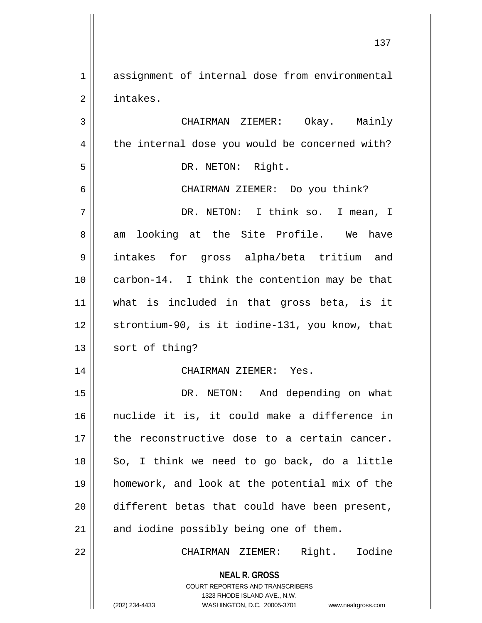1 assignment of internal dose from environmental 2 | intakes.

**NEAL R. GROSS** 3 CHAIRMAN ZIEMER: Okay. Mainly  $4 \parallel$  the internal dose you would be concerned with? 5 || DR. NETON: Right. 6 CHAIRMAN ZIEMER: Do you think? 7 DR. NETON: I think so. I mean, I 8 am looking at the Site Profile. We have 9 intakes for gross alpha/beta tritium and 10 || carbon-14. I think the contention may be that 11 what is included in that gross beta, is it 12 strontium-90, is it iodine-131, you know, that 13 || sort of thing? 14 CHAIRMAN ZIEMER: Yes. 15 || DR. NETON: And depending on what 16 nuclide it is, it could make a difference in 17 || the reconstructive dose to a certain cancer. 18 || So, I think we need to go back, do a little 19 homework, and look at the potential mix of the 20 different betas that could have been present,  $21$  and iodine possibly being one of them. 22 CHAIRMAN ZIEMER: Right. Iodine

> COURT REPORTERS AND TRANSCRIBERS 1323 RHODE ISLAND AVE., N.W.

(202) 234-4433 WASHINGTON, D.C. 20005-3701 www.nealrgross.com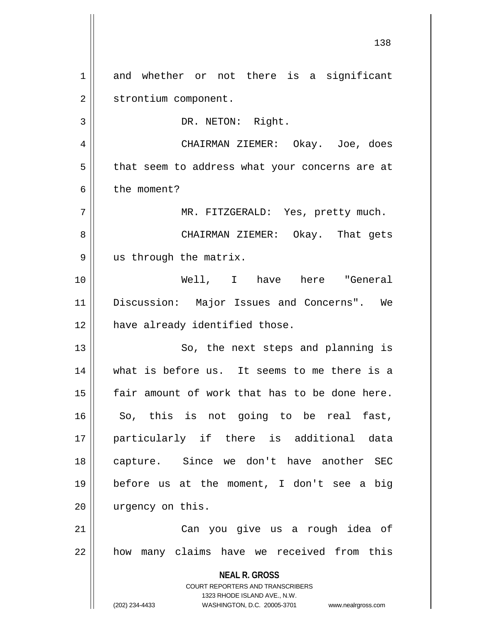**NEAL R. GROSS** COURT REPORTERS AND TRANSCRIBERS 1323 RHODE ISLAND AVE., N.W. (202) 234-4433 WASHINGTON, D.C. 20005-3701 www.nealrgross.com 1 and whether or not there is a significant 2 | strontium component. 3 || DR. NETON: Right. 4 CHAIRMAN ZIEMER: Okay. Joe, does  $5 \parallel$  that seem to address what your concerns are at 6 l the moment? 7 MR. FITZGERALD: Yes, pretty much. 8 CHAIRMAN ZIEMER: Okay. That gets 9 || us through the matrix. 10 Well, I have here "General 11 Discussion: Major Issues and Concerns". We 12 | have already identified those. 13 || So, the next steps and planning is 14 what is before us. It seems to me there is a 15 fair amount of work that has to be done here.  $16$  So, this is not going to be real fast, 17 particularly if there is additional data 18 capture. Since we don't have another SEC 19 before us at the moment, I don't see a big 20 || urgency on this. 21 Can you give us a rough idea of 22 || how many claims have we received from this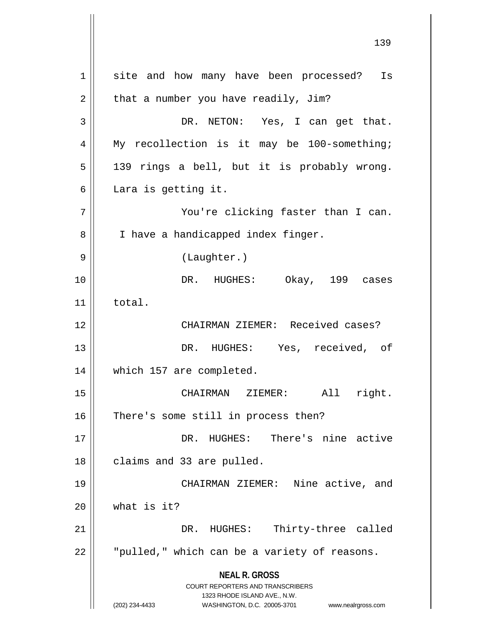**NEAL R. GROSS** COURT REPORTERS AND TRANSCRIBERS 1323 RHODE ISLAND AVE., N.W. (202) 234-4433 WASHINGTON, D.C. 20005-3701 www.nealrgross.com 1 || site and how many have been processed? Is  $2 \parallel$  that a number you have readily, Jim? 3 DR. NETON: Yes, I can get that. 4 || My recollection is it may be 100-something;  $5 \parallel$  139 rings a bell, but it is probably wrong.  $6 \parallel$  Lara is getting it. 7 You're clicking faster than I can. 8 | I have a handicapped index finger. 9 || (Laughter.) 10 DR. HUGHES: Okay, 199 cases 11 total. 12 CHAIRMAN ZIEMER: Received cases? 13 DR. HUGHES: Yes, received, of 14 which 157 are completed. 15 CHAIRMAN ZIEMER: All right. 16 || There's some still in process then? 17 DR. HUGHES: There's nine active 18 | claims and 33 are pulled. 19 CHAIRMAN ZIEMER: Nine active, and  $20$  | what is it? 21 DR. HUGHES: Thirty-three called  $22$   $\parallel$   $\parallel$  "pulled," which can be a variety of reasons.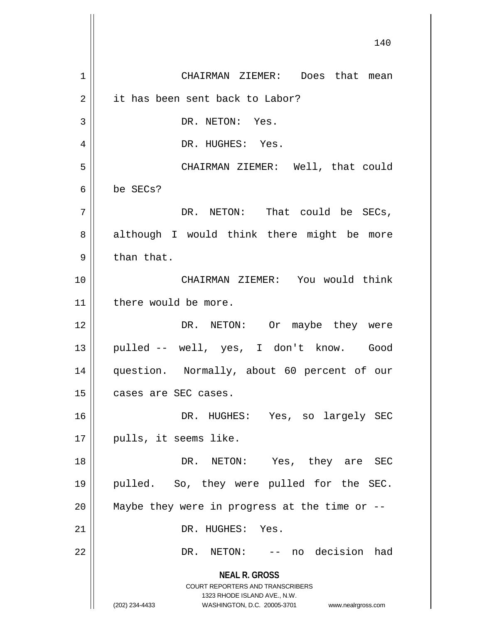**NEAL R. GROSS** COURT REPORTERS AND TRANSCRIBERS 1323 RHODE ISLAND AVE., N.W. (202) 234-4433 WASHINGTON, D.C. 20005-3701 www.nealrgross.com 1 CHAIRMAN ZIEMER: Does that mean 2 | it has been sent back to Labor? 3 || DR. NETON: Yes. 4 DR. HUGHES: Yes. 5 CHAIRMAN ZIEMER: Well, that could 6 be SECs?  $7 \parallel$  DR. NETON: That could be SECs, 8 || although I would think there might be more  $9 \parallel$  than that. 10 CHAIRMAN ZIEMER: You would think 11 || there would be more. 12 || DR. NETON: Or maybe they were 13 pulled -- well, yes, I don't know. Good 14 question. Normally, about 60 percent of our 15 | cases are SEC cases. 16 DR. HUGHES: Yes, so largely SEC 17 || pulls, it seems like. 18 DR. NETON: Yes, they are SEC 19 pulled. So, they were pulled for the SEC. 20  $\parallel$  Maybe they were in progress at the time or  $-$ 21 | DR. HUGHES: Yes. 22 DR. NETON: -- no decision had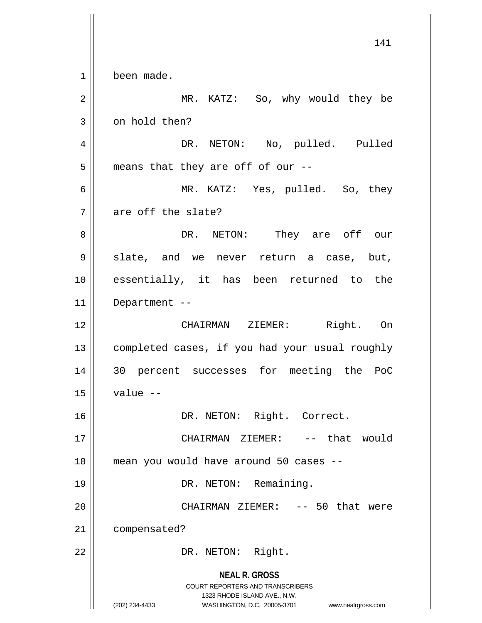**NEAL R. GROSS** COURT REPORTERS AND TRANSCRIBERS 1323 RHODE ISLAND AVE., N.W. (202) 234-4433 WASHINGTON, D.C. 20005-3701 www.nealrgross.com 1 been made. 2 MR. KATZ: So, why would they be  $3 \parallel$  on hold then? 4 DR. NETON: No, pulled. Pulled  $5 \parallel$  means that they are off of our --6 MR. KATZ: Yes, pulled. So, they  $7$  | are off the slate? 8 DR. NETON: They are off our  $9 \parallel$  slate, and we never return a case, but, 10 essentially, it has been returned to the 11 Department -- 12 CHAIRMAN ZIEMER: Right. On 13 | completed cases, if you had your usual roughly 14 30 percent successes for meeting the PoC  $15 \parallel$  value  $-$ 16 | DR. NETON: Right. Correct. 17 CHAIRMAN ZIEMER: -- that would 18 mean you would have around 50 cases -- 19 || DR. NETON: Remaining. 20 CHAIRMAN ZIEMER: -- 50 that were 21 | compensated? 22 || DR. NETON: Right.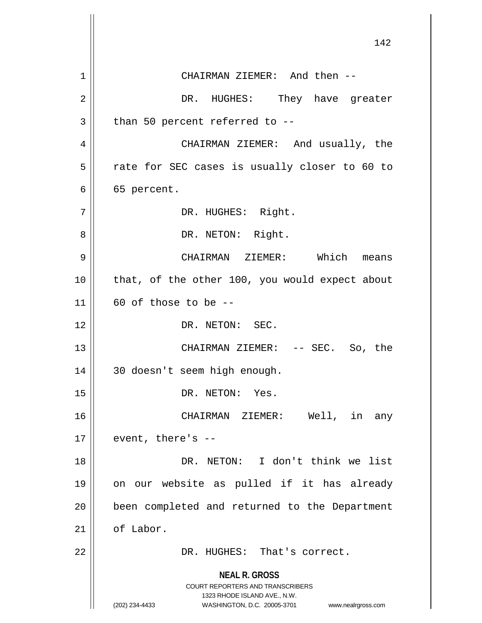**NEAL R. GROSS** COURT REPORTERS AND TRANSCRIBERS 1323 RHODE ISLAND AVE., N.W. (202) 234-4433 WASHINGTON, D.C. 20005-3701 www.nealrgross.com 142 1 || CHAIRMAN ZIEMER: And then --2 DR. HUGHES: They have greater  $3$  | than 50 percent referred to  $-$ -4 CHAIRMAN ZIEMER: And usually, the  $5$   $\parallel$  rate for SEC cases is usually closer to 60 to  $6 \parallel 65$  percent. 7 || DR. HUGHES: Right. 8 DR. NETON: Right. 9 CHAIRMAN ZIEMER: Which means 10 || that, of the other 100, you would expect about  $11$  | 60 of those to be --12 || DR. NETON: SEC. 13 CHAIRMAN ZIEMER: -- SEC. So, the 14 30 doesn't seem high enough. 15 || DR. NETON: Yes. 16 CHAIRMAN ZIEMER: Well, in any  $17 \parallel$  event, there's --18 DR. NETON: I don't think we list 19 on our website as pulled if it has already 20 || been completed and returned to the Department  $21$  of Labor. 22 || DR. HUGHES: That's correct.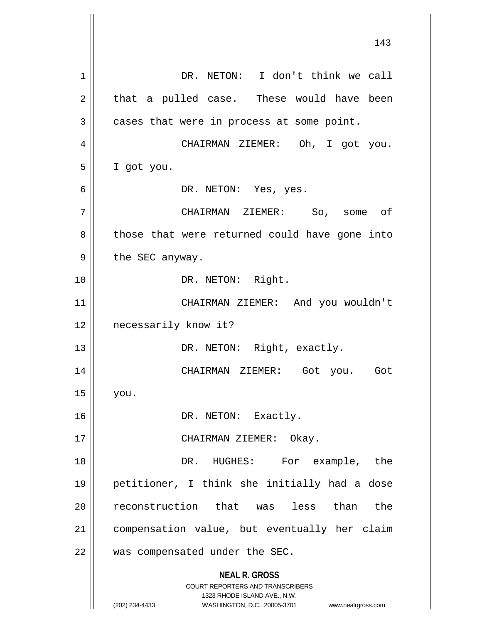**NEAL R. GROSS** COURT REPORTERS AND TRANSCRIBERS 1323 RHODE ISLAND AVE., N.W. (202) 234-4433 WASHINGTON, D.C. 20005-3701 www.nealrgross.com 1 | DR. NETON: I don't think we call  $2 \parallel$  that a pulled case. These would have been  $3 \parallel$  cases that were in process at some point. 4 || CHAIRMAN ZIEMER: Oh, I got you. 5 I got you. 6 DR. NETON: Yes, yes. 7 CHAIRMAN ZIEMER: So, some of 8 || those that were returned could have gone into  $9 \parallel$  the SEC anyway. 10 || DR. NETON: Right. 11 CHAIRMAN ZIEMER: And you wouldn't 12 || necessarily know it? 13 || DR. NETON: Right, exactly. 14 CHAIRMAN ZIEMER: Got you. Got  $15$  you. 16 || DR. NETON: Exactly. 17 || CHAIRMAN ZIEMER: Okay. 18 DR. HUGHES: For example, the 19 petitioner, I think she initially had a dose 20 || reconstruction that was less than the 21 compensation value, but eventually her claim 22 || was compensated under the SEC.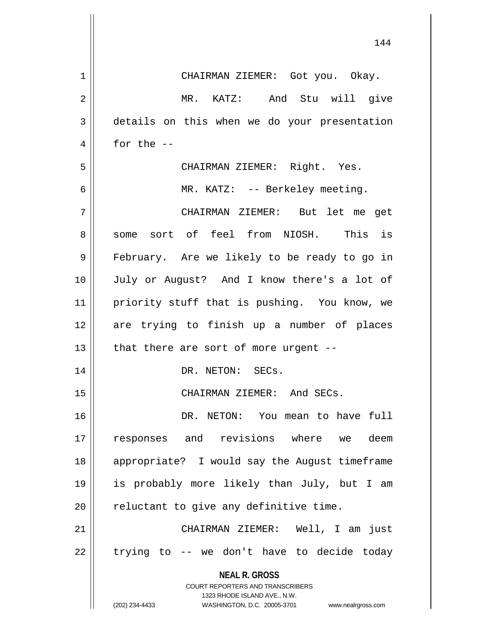| $\mathbf 1$ | CHAIRMAN ZIEMER: Got you. Okay.                                                                     |
|-------------|-----------------------------------------------------------------------------------------------------|
| 2           | MR. KATZ: And Stu will give                                                                         |
| 3           | details on this when we do your presentation                                                        |
| 4           | for the $--$                                                                                        |
| 5           | CHAIRMAN ZIEMER: Right. Yes.                                                                        |
| 6           | MR. KATZ: -- Berkeley meeting.                                                                      |
| 7           | CHAIRMAN ZIEMER: But let me get                                                                     |
| 8           | some sort of feel from NIOSH. This is                                                               |
| 9           | February. Are we likely to be ready to go in                                                        |
| 10          | July or August? And I know there's a lot of                                                         |
| 11          | priority stuff that is pushing. You know, we                                                        |
| 12          | are trying to finish up a number of places                                                          |
| 13          | that there are sort of more urgent --                                                               |
| 14          | DR. NETON: SECs.                                                                                    |
| 15          | CHAIRMAN ZIEMER: And SECs.                                                                          |
| 16          | DR. NETON: You mean to have full                                                                    |
| 17          | responses and revisions where we deem                                                               |
| 18          | appropriate? I would say the August timeframe                                                       |
| 19          | is probably more likely than July, but I am                                                         |
| 20          | reluctant to give any definitive time.                                                              |
| 21          | CHAIRMAN ZIEMER: Well, I am just                                                                    |
| 22          | trying to -- we don't have to decide today                                                          |
|             | <b>NEAL R. GROSS</b>                                                                                |
|             | <b>COURT REPORTERS AND TRANSCRIBERS</b>                                                             |
|             | 1323 RHODE ISLAND AVE., N.W.<br>(202) 234-4433<br>WASHINGTON, D.C. 20005-3701<br>www.nealrgross.com |

 $\mathsf{I}$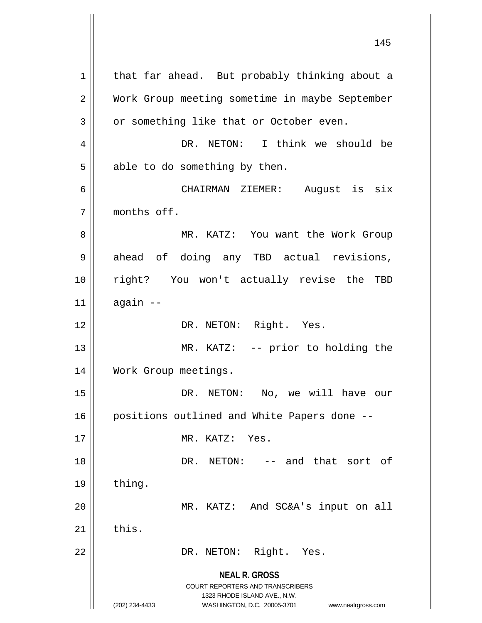**NEAL R. GROSS** COURT REPORTERS AND TRANSCRIBERS 1323 RHODE ISLAND AVE., N.W. (202) 234-4433 WASHINGTON, D.C. 20005-3701 www.nealrgross.com  $1$  that far ahead. But probably thinking about a 2 Work Group meeting sometime in maybe September  $3 \parallel$  or something like that or October even. 4 DR. NETON: I think we should be  $5 \parallel$  able to do something by then. 6 CHAIRMAN ZIEMER: August is six 7 months off. 8 MR. KATZ: You want the Work Group 9 || ahead of doing any TBD actual revisions, 10 right? You won't actually revise the TBD  $11$  again  $-$ 12 || DR. NETON: Right. Yes. 13 || MR. KATZ: -- prior to holding the 14 Work Group meetings. 15 DR. NETON: No, we will have our 16 | positions outlined and White Papers done --17 MR. KATZ: Yes. 18 DR. NETON: -- and that sort of  $19$  | thing. 20 MR. KATZ: And SC&A's input on all  $21$  this. 22 || DR. NETON: Right. Yes.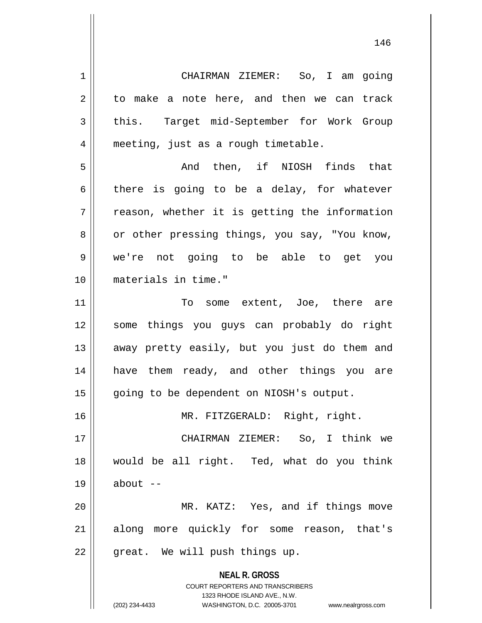**NEAL R. GROSS** COURT REPORTERS AND TRANSCRIBERS 1323 RHODE ISLAND AVE., N.W. 1 CHAIRMAN ZIEMER: So, I am going  $2 \parallel$  to make a note here, and then we can track 3 this. Target mid-September for Work Group 4 || meeting, just as a rough timetable. 5 And then, if NIOSH finds that  $6 \parallel$  there is going to be a delay, for whatever  $7 \parallel$  reason, whether it is getting the information 8 or other pressing things, you say, "You know, 9 we're not going to be able to get you 10 materials in time." 11 || To some extent, Joe, there are 12 some things you guys can probably do right 13 || away pretty easily, but you just do them and 14 have them ready, and other things you are 15 | going to be dependent on NIOSH's output. 16 MR. FITZGERALD: Right, right. 17 CHAIRMAN ZIEMER: So, I think we 18 would be all right. Ted, what do you think  $19 \parallel$  about  $-$ 20 MR. KATZ: Yes, and if things move 21 || along more quickly for some reason, that's  $22$  || great. We will push things up.

<sup>(202) 234-4433</sup> WASHINGTON, D.C. 20005-3701 www.nealrgross.com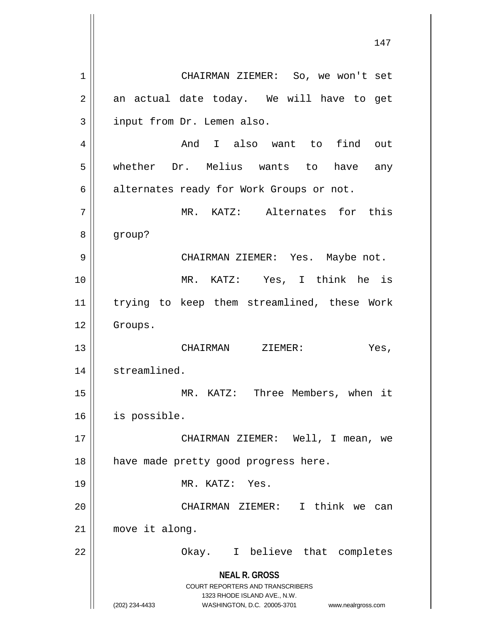**NEAL R. GROSS** COURT REPORTERS AND TRANSCRIBERS 1323 RHODE ISLAND AVE., N.W. (202) 234-4433 WASHINGTON, D.C. 20005-3701 www.nealrgross.com 1 CHAIRMAN ZIEMER: So, we won't set  $2 \parallel$  an actual date today. We will have to get 3 | input from Dr. Lemen also. 4 And I also want to find out 5 whether Dr. Melius wants to have any 6 alternates ready for Work Groups or not. 7 || MR. KATZ: Alternates for this 8 group? 9 CHAIRMAN ZIEMER: Yes. Maybe not. 10 MR. KATZ: Yes, I think he is 11 trying to keep them streamlined, these Work 12 | Groups. 13 CHAIRMAN ZIEMER: Yes, 14 | streamlined. 15 MR. KATZ: Three Members, when it 16 is possible. 17 CHAIRMAN ZIEMER: Well, I mean, we 18 || have made pretty good progress here. 19 MR. KATZ: Yes. 20 CHAIRMAN ZIEMER: I think we can 21 move it along. 22 || Chay. I believe that completes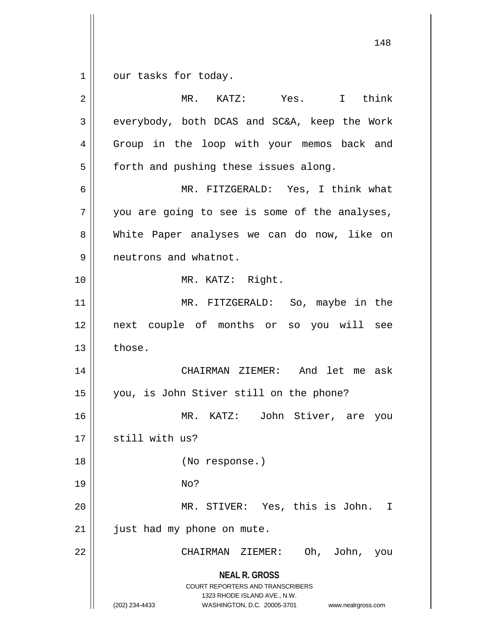1 | our tasks for today.

**NEAL R. GROSS** COURT REPORTERS AND TRANSCRIBERS 1323 RHODE ISLAND AVE., N.W. (202) 234-4433 WASHINGTON, D.C. 20005-3701 www.nealrgross.com 2 MR. KATZ: Yes. I think 3 || everybody, both DCAS and SC&A, keep the Work 4 || Group in the loop with your memos back and  $5 \parallel$  forth and pushing these issues along. 6 MR. FITZGERALD: Yes, I think what  $7 \parallel$  you are going to see is some of the analyses, 8 White Paper analyses we can do now, like on 9 | neutrons and whatnot. 10 MR. KATZ: Right. 11 || MR. FITZGERALD: So, maybe in the 12 next couple of months or so you will see  $13 \parallel$  those. 14 CHAIRMAN ZIEMER: And let me ask 15 you, is John Stiver still on the phone? 16 MR. KATZ: John Stiver, are you  $17$   $\parallel$  still with us? 18 || (No response.) 19 No? 20 MR. STIVER: Yes, this is John. I  $21$  | just had my phone on mute. 22 CHAIRMAN ZIEMER: Oh, John, you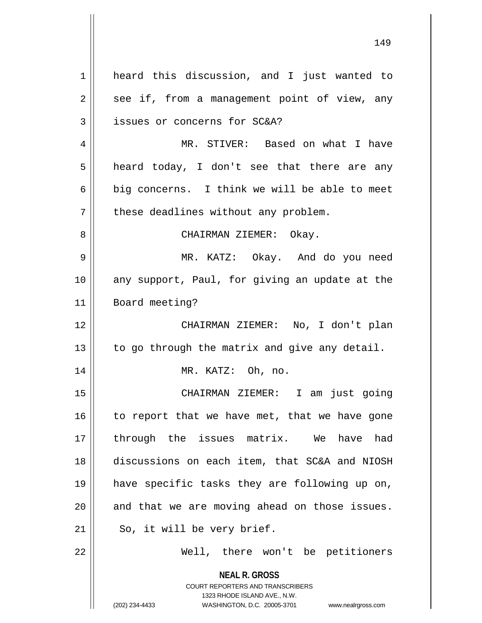| $\mathbf 1$ | heard this discussion, and I just wanted to                                                                                                                            |
|-------------|------------------------------------------------------------------------------------------------------------------------------------------------------------------------|
| 2           | see if, from a management point of view, any                                                                                                                           |
| 3           | issues or concerns for SC&A?                                                                                                                                           |
| 4           | MR. STIVER: Based on what I have                                                                                                                                       |
| 5           | heard today, I don't see that there are any                                                                                                                            |
| 6           | big concerns. I think we will be able to meet                                                                                                                          |
| 7           | these deadlines without any problem.                                                                                                                                   |
| 8           | CHAIRMAN ZIEMER: Okay.                                                                                                                                                 |
| 9           | MR. KATZ: Okay. And do you need                                                                                                                                        |
| 10          | any support, Paul, for giving an update at the                                                                                                                         |
| 11          | Board meeting?                                                                                                                                                         |
| 12          | CHAIRMAN ZIEMER: No, I don't plan                                                                                                                                      |
| 13          | to go through the matrix and give any detail.                                                                                                                          |
| 14          | MR. KATZ: Oh, no.                                                                                                                                                      |
| 15          | CHAIRMAN ZIEMER: I am just going                                                                                                                                       |
| 16          | to report that we have met, that we have gone                                                                                                                          |
| 17          | through the issues matrix. We have had                                                                                                                                 |
| 18          | discussions on each item, that SC&A and NIOSH                                                                                                                          |
| 19          | have specific tasks they are following up on,                                                                                                                          |
| 20          | and that we are moving ahead on those issues.                                                                                                                          |
| 21          | So, it will be very brief.                                                                                                                                             |
| 22          | Well, there won't be petitioners                                                                                                                                       |
|             | <b>NEAL R. GROSS</b><br><b>COURT REPORTERS AND TRANSCRIBERS</b><br>1323 RHODE ISLAND AVE., N.W.<br>(202) 234-4433<br>WASHINGTON, D.C. 20005-3701<br>www.nealrgross.com |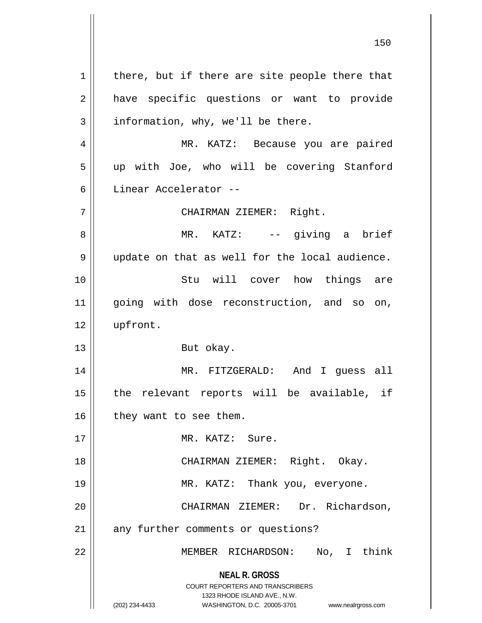**NEAL R. GROSS** COURT REPORTERS AND TRANSCRIBERS 1323 RHODE ISLAND AVE., N.W. (202) 234-4433 WASHINGTON, D.C. 20005-3701 www.nealrgross.com  $1$  there, but if there are site people there that 2 || have specific questions or want to provide  $3 \parallel$  information, why, we'll be there. 4 MR. KATZ: Because you are paired 5 || up with Joe, who will be covering Stanford 6 Linear Accelerator -- 7 CHAIRMAN ZIEMER: Right. 8 MR. KATZ: -- giving a brief 9 || update on that as well for the local audience. 10 Stu will cover how things are 11 || going with dose reconstruction, and so on, 12 | upfront. 13 || But okay. 14 MR. FITZGERALD: And I guess all  $15$  || the relevant reports will be available, if  $16$  | they want to see them. 17 MR. KATZ: Sure. 18 || CHAIRMAN ZIEMER: Right. Okay. 19 MR. KATZ: Thank you, everyone. 20 CHAIRMAN ZIEMER: Dr. Richardson, 21 || any further comments or questions? 22 MEMBER RICHARDSON: No, I think